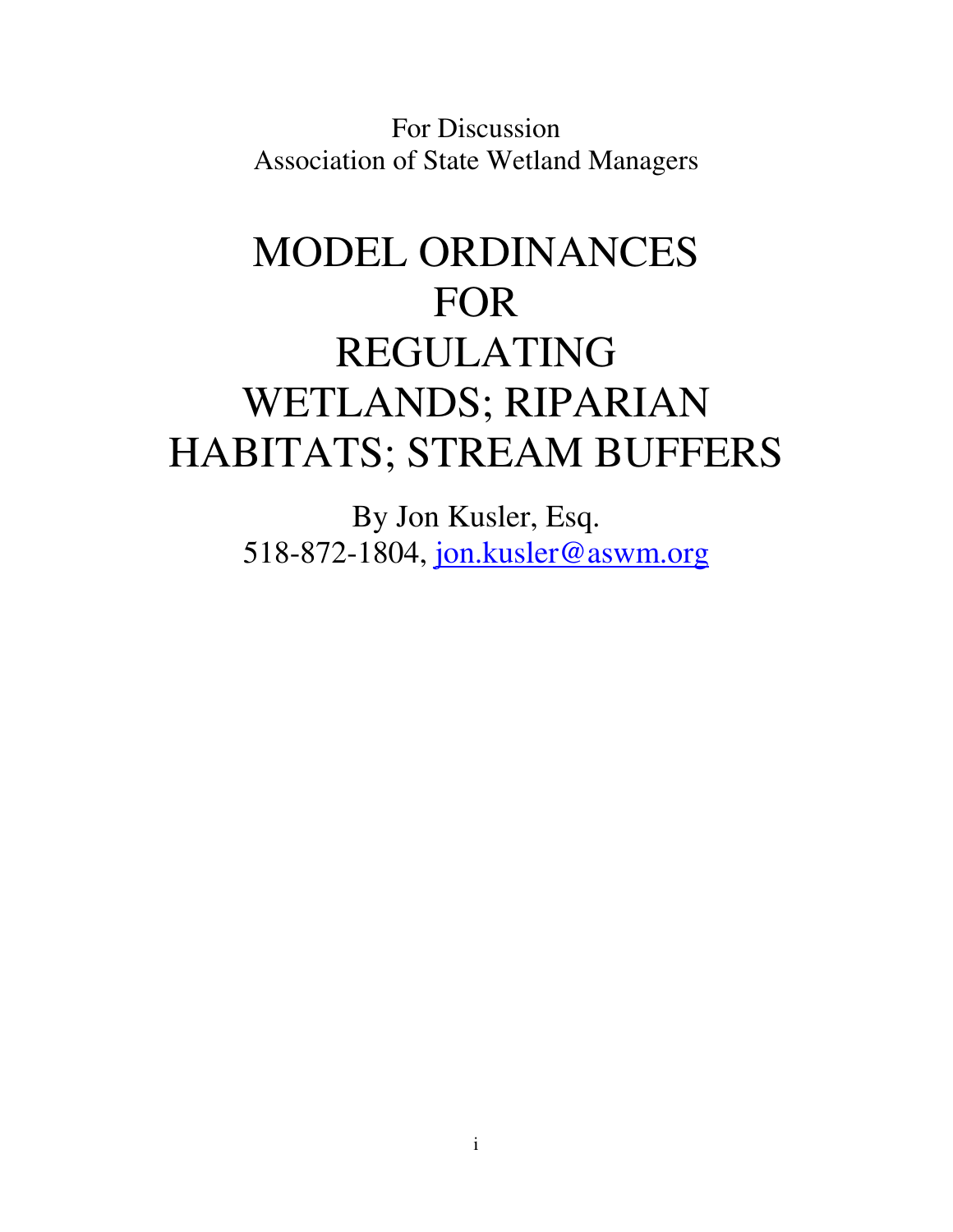For Discussion Association of State Wetland Managers

# MODEL ORDINANCES FOR REGULATING WETLANDS; RIPARIAN HABITATS; STREAM BUFFERS

By Jon Kusler, Esq. 518-872-1804, jon.kusler@aswm.org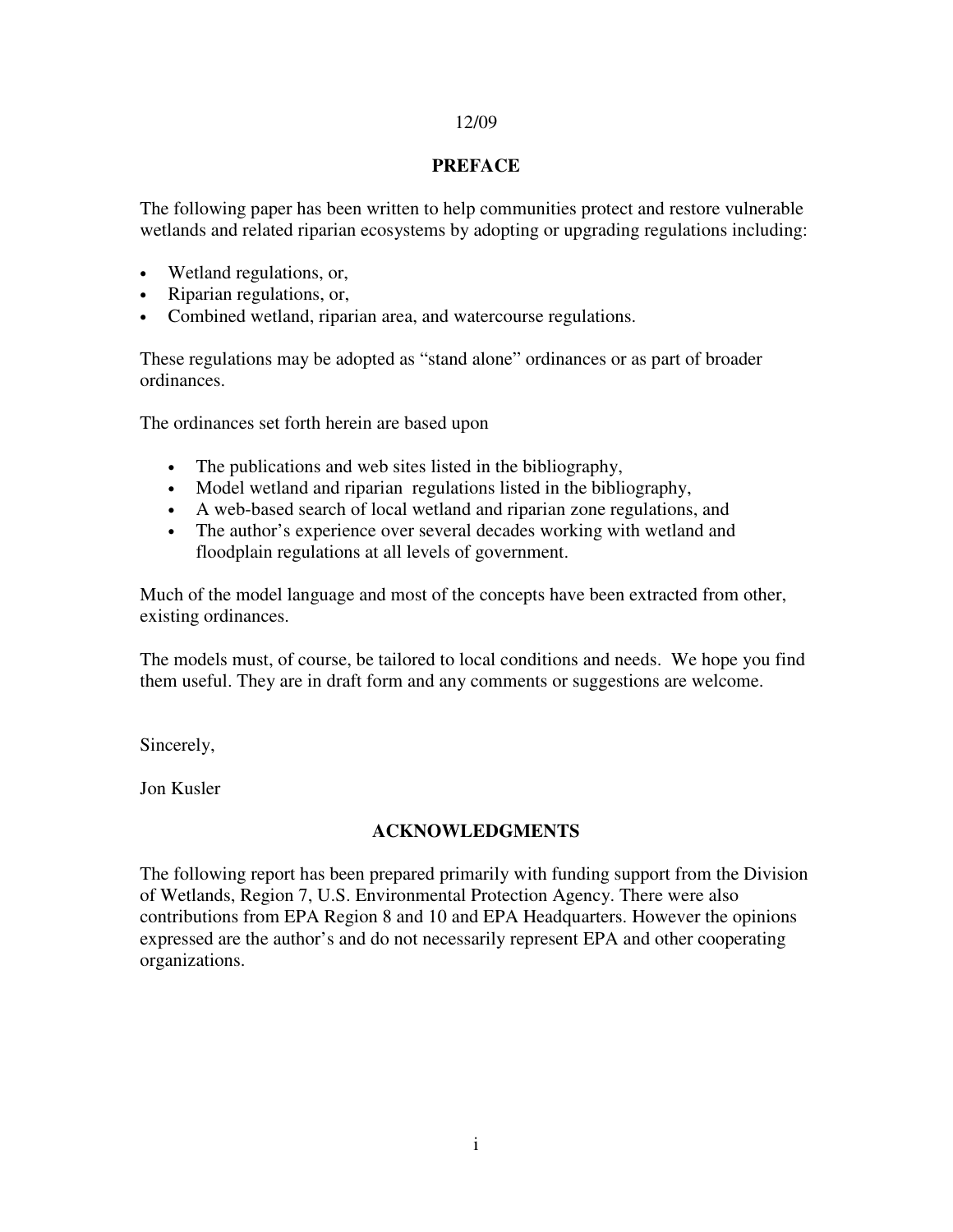#### 12/09

#### **PREFACE**

The following paper has been written to help communities protect and restore vulnerable wetlands and related riparian ecosystems by adopting or upgrading regulations including:

- Wetland regulations, or,
- Riparian regulations, or,
- Combined wetland, riparian area, and watercourse regulations.

These regulations may be adopted as "stand alone" ordinances or as part of broader ordinances.

The ordinances set forth herein are based upon

- The publications and web sites listed in the bibliography,
- Model wetland and riparian regulations listed in the bibliography,
- A web-based search of local wetland and riparian zone regulations, and
- The author's experience over several decades working with wetland and floodplain regulations at all levels of government.

Much of the model language and most of the concepts have been extracted from other, existing ordinances.

The models must, of course, be tailored to local conditions and needs. We hope you find them useful. They are in draft form and any comments or suggestions are welcome.

Sincerely,

Jon Kusler

#### **ACKNOWLEDGMENTS**

The following report has been prepared primarily with funding support from the Division of Wetlands, Region 7, U.S. Environmental Protection Agency. There were also contributions from EPA Region 8 and 10 and EPA Headquarters. However the opinions expressed are the author's and do not necessarily represent EPA and other cooperating organizations.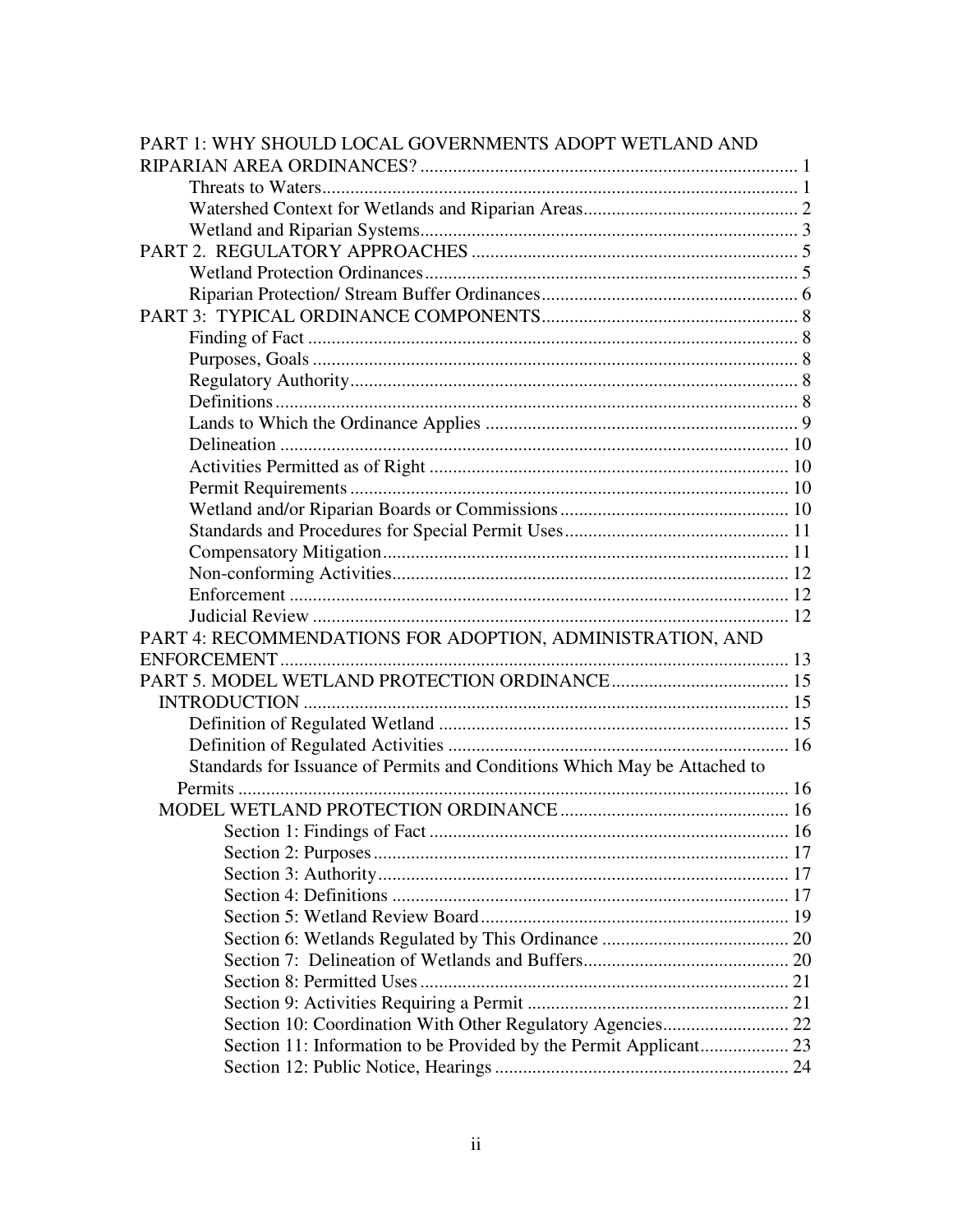| PART 1: WHY SHOULD LOCAL GOVERNMENTS ADOPT WETLAND AND                    |  |
|---------------------------------------------------------------------------|--|
|                                                                           |  |
|                                                                           |  |
|                                                                           |  |
|                                                                           |  |
|                                                                           |  |
|                                                                           |  |
|                                                                           |  |
|                                                                           |  |
|                                                                           |  |
|                                                                           |  |
|                                                                           |  |
|                                                                           |  |
|                                                                           |  |
|                                                                           |  |
|                                                                           |  |
|                                                                           |  |
|                                                                           |  |
|                                                                           |  |
|                                                                           |  |
|                                                                           |  |
|                                                                           |  |
|                                                                           |  |
| PART 4: RECOMMENDATIONS FOR ADOPTION, ADMINISTRATION, AND                 |  |
|                                                                           |  |
|                                                                           |  |
|                                                                           |  |
|                                                                           |  |
|                                                                           |  |
| Standards for Issuance of Permits and Conditions Which May be Attached to |  |
|                                                                           |  |
|                                                                           |  |
| Section 1: Findings of Fact.                                              |  |
|                                                                           |  |
|                                                                           |  |
|                                                                           |  |
|                                                                           |  |
|                                                                           |  |
|                                                                           |  |
|                                                                           |  |
|                                                                           |  |
| Section 10: Coordination With Other Regulatory Agencies 22                |  |
|                                                                           |  |
|                                                                           |  |
|                                                                           |  |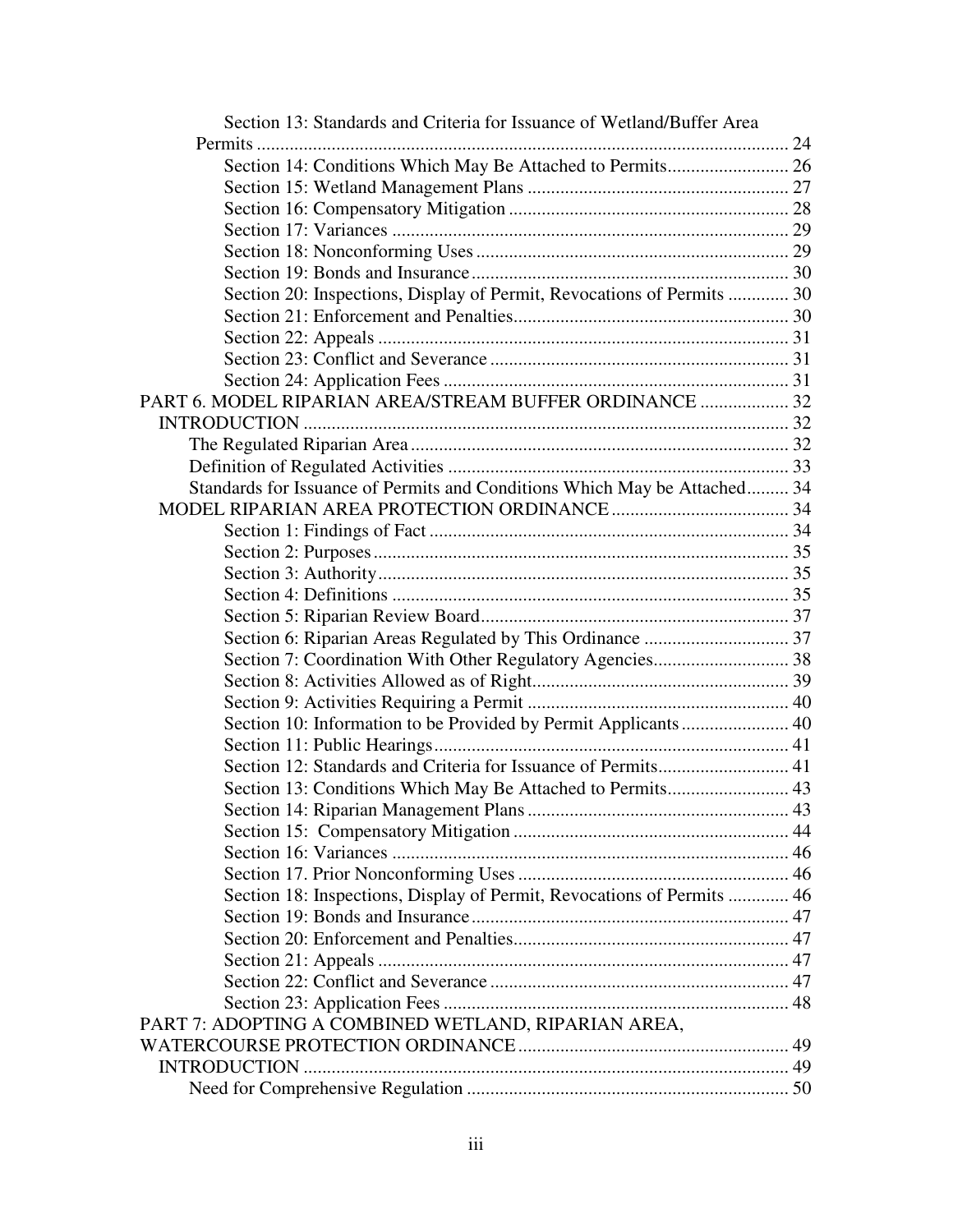| Section 13: Standards and Criteria for Issuance of Wetland/Buffer Area    |  |
|---------------------------------------------------------------------------|--|
|                                                                           |  |
| Section 14: Conditions Which May Be Attached to Permits 26                |  |
|                                                                           |  |
|                                                                           |  |
|                                                                           |  |
|                                                                           |  |
|                                                                           |  |
| Section 20: Inspections, Display of Permit, Revocations of Permits  30    |  |
|                                                                           |  |
|                                                                           |  |
|                                                                           |  |
|                                                                           |  |
| PART 6. MODEL RIPARIAN AREA/STREAM BUFFER ORDINANCE  32                   |  |
|                                                                           |  |
|                                                                           |  |
|                                                                           |  |
| Standards for Issuance of Permits and Conditions Which May be Attached 34 |  |
|                                                                           |  |
|                                                                           |  |
|                                                                           |  |
|                                                                           |  |
|                                                                           |  |
|                                                                           |  |
|                                                                           |  |
| Section 7: Coordination With Other Regulatory Agencies 38                 |  |
|                                                                           |  |
|                                                                           |  |
| Section 10: Information to be Provided by Permit Applicants 40            |  |
|                                                                           |  |
|                                                                           |  |
| Section 13: Conditions Which May Be Attached to Permits 43                |  |
|                                                                           |  |
|                                                                           |  |
|                                                                           |  |
|                                                                           |  |
| Section 18: Inspections, Display of Permit, Revocations of Permits  46    |  |
|                                                                           |  |
|                                                                           |  |
|                                                                           |  |
|                                                                           |  |
|                                                                           |  |
| PART 7: ADOPTING A COMBINED WETLAND, RIPARIAN AREA,                       |  |
|                                                                           |  |
|                                                                           |  |
|                                                                           |  |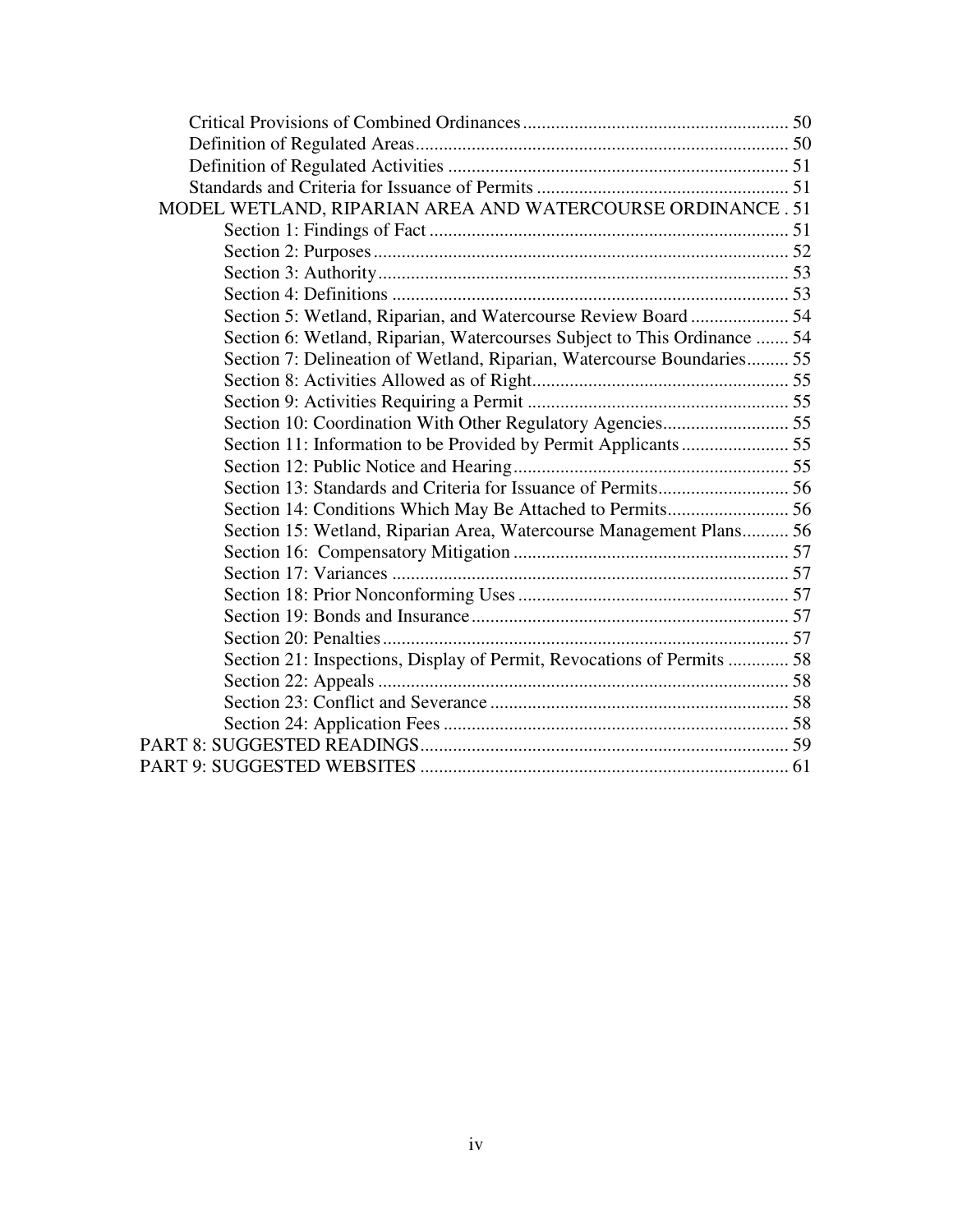| MODEL WETLAND, RIPARIAN AREA AND WATERCOURSE ORDINANCE . 51              |  |
|--------------------------------------------------------------------------|--|
|                                                                          |  |
|                                                                          |  |
|                                                                          |  |
|                                                                          |  |
| Section 5: Wetland, Riparian, and Watercourse Review Board  54           |  |
| Section 6: Wetland, Riparian, Watercourses Subject to This Ordinance  54 |  |
| Section 7: Delineation of Wetland, Riparian, Watercourse Boundaries 55   |  |
|                                                                          |  |
|                                                                          |  |
| Section 10: Coordination With Other Regulatory Agencies 55               |  |
| Section 11: Information to be Provided by Permit Applicants 55           |  |
|                                                                          |  |
|                                                                          |  |
| Section 14: Conditions Which May Be Attached to Permits 56               |  |
| Section 15: Wetland, Riparian Area, Watercourse Management Plans 56      |  |
|                                                                          |  |
|                                                                          |  |
|                                                                          |  |
|                                                                          |  |
|                                                                          |  |
| Section 21: Inspections, Display of Permit, Revocations of Permits  58   |  |
|                                                                          |  |
|                                                                          |  |
|                                                                          |  |
|                                                                          |  |
|                                                                          |  |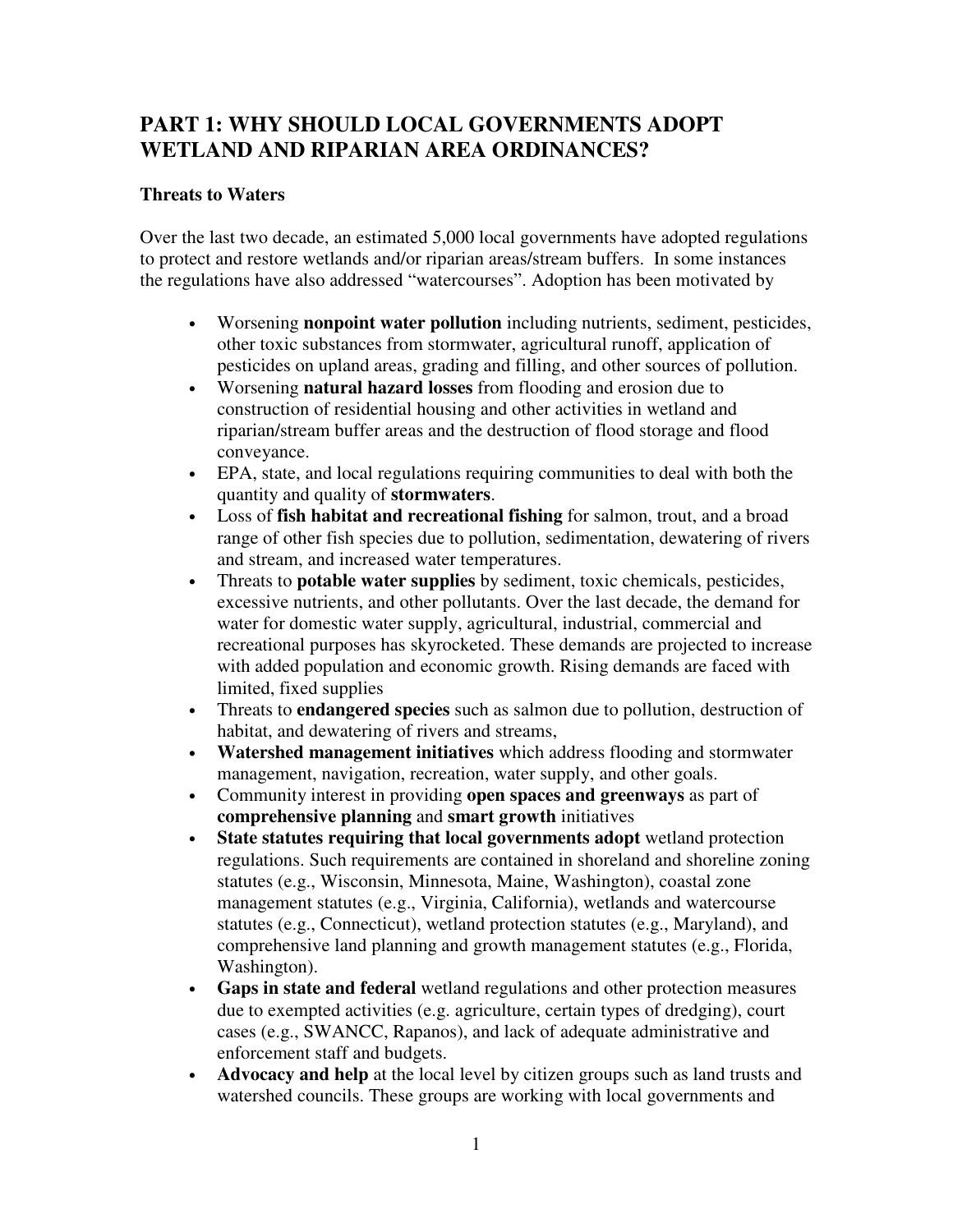# **PART 1: WHY SHOULD LOCAL GOVERNMENTS ADOPT WETLAND AND RIPARIAN AREA ORDINANCES?**

## **Threats to Waters**

Over the last two decade, an estimated 5,000 local governments have adopted regulations to protect and restore wetlands and/or riparian areas/stream buffers. In some instances the regulations have also addressed "watercourses". Adoption has been motivated by

- Worsening **nonpoint water pollution** including nutrients, sediment, pesticides, other toxic substances from stormwater, agricultural runoff, application of pesticides on upland areas, grading and filling, and other sources of pollution.
- Worsening **natural hazard losses** from flooding and erosion due to construction of residential housing and other activities in wetland and riparian/stream buffer areas and the destruction of flood storage and flood conveyance.
- EPA, state, and local regulations requiring communities to deal with both the quantity and quality of **stormwaters**.
- Loss of **fish habitat and recreational fishing** for salmon, trout, and a broad range of other fish species due to pollution, sedimentation, dewatering of rivers and stream, and increased water temperatures.
- Threats to **potable water supplies** by sediment, toxic chemicals, pesticides, excessive nutrients, and other pollutants. Over the last decade, the demand for water for domestic water supply, agricultural, industrial, commercial and recreational purposes has skyrocketed. These demands are projected to increase with added population and economic growth. Rising demands are faced with limited, fixed supplies
- Threats to **endangered species** such as salmon due to pollution, destruction of habitat, and dewatering of rivers and streams,
- **Watershed management initiatives** which address flooding and stormwater management, navigation, recreation, water supply, and other goals.
- Community interest in providing **open spaces and greenways** as part of **comprehensive planning** and **smart growth** initiatives
- **State statutes requiring that local governments adopt** wetland protection regulations. Such requirements are contained in shoreland and shoreline zoning statutes (e.g., Wisconsin, Minnesota, Maine, Washington), coastal zone management statutes (e.g., Virginia, California), wetlands and watercourse statutes (e.g., Connecticut), wetland protection statutes (e.g., Maryland), and comprehensive land planning and growth management statutes (e.g., Florida, Washington).
- **Gaps in state and federal** wetland regulations and other protection measures due to exempted activities (e.g. agriculture, certain types of dredging), court cases (e.g., SWANCC, Rapanos), and lack of adequate administrative and enforcement staff and budgets.
- **Advocacy and help** at the local level by citizen groups such as land trusts and watershed councils. These groups are working with local governments and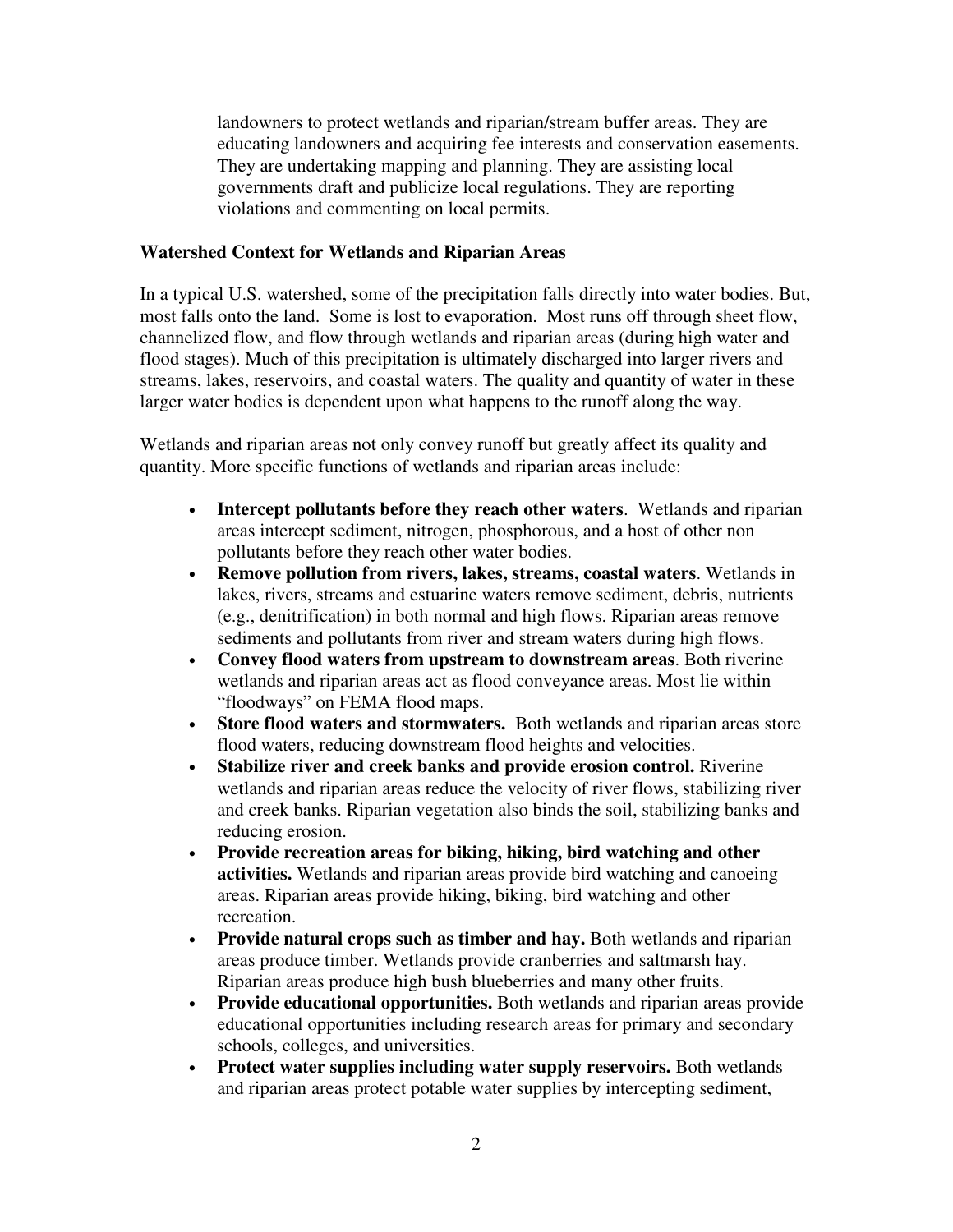landowners to protect wetlands and riparian/stream buffer areas. They are educating landowners and acquiring fee interests and conservation easements. They are undertaking mapping and planning. They are assisting local governments draft and publicize local regulations. They are reporting violations and commenting on local permits.

#### **Watershed Context for Wetlands and Riparian Areas**

In a typical U.S. watershed, some of the precipitation falls directly into water bodies. But, most falls onto the land. Some is lost to evaporation. Most runs off through sheet flow, channelized flow, and flow through wetlands and riparian areas (during high water and flood stages). Much of this precipitation is ultimately discharged into larger rivers and streams, lakes, reservoirs, and coastal waters. The quality and quantity of water in these larger water bodies is dependent upon what happens to the runoff along the way.

Wetlands and riparian areas not only convey runoff but greatly affect its quality and quantity. More specific functions of wetlands and riparian areas include:

- **Intercept pollutants before they reach other waters**. Wetlands and riparian areas intercept sediment, nitrogen, phosphorous, and a host of other non pollutants before they reach other water bodies.
- **Remove pollution from rivers, lakes, streams, coastal waters**. Wetlands in lakes, rivers, streams and estuarine waters remove sediment, debris, nutrients (e.g., denitrification) in both normal and high flows. Riparian areas remove sediments and pollutants from river and stream waters during high flows.
- **Convey flood waters from upstream to downstream areas**. Both riverine wetlands and riparian areas act as flood conveyance areas. Most lie within "floodways" on FEMA flood maps.
- **Store flood waters and stormwaters.** Both wetlands and riparian areas store flood waters, reducing downstream flood heights and velocities.
- **Stabilize river and creek banks and provide erosion control.** Riverine wetlands and riparian areas reduce the velocity of river flows, stabilizing river and creek banks. Riparian vegetation also binds the soil, stabilizing banks and reducing erosion.
- **Provide recreation areas for biking, hiking, bird watching and other activities.** Wetlands and riparian areas provide bird watching and canoeing areas. Riparian areas provide hiking, biking, bird watching and other recreation.
- **Provide natural crops such as timber and hay.** Both wetlands and riparian areas produce timber. Wetlands provide cranberries and saltmarsh hay. Riparian areas produce high bush blueberries and many other fruits.
- **Provide educational opportunities.** Both wetlands and riparian areas provide educational opportunities including research areas for primary and secondary schools, colleges, and universities.
- **Protect water supplies including water supply reservoirs.** Both wetlands and riparian areas protect potable water supplies by intercepting sediment,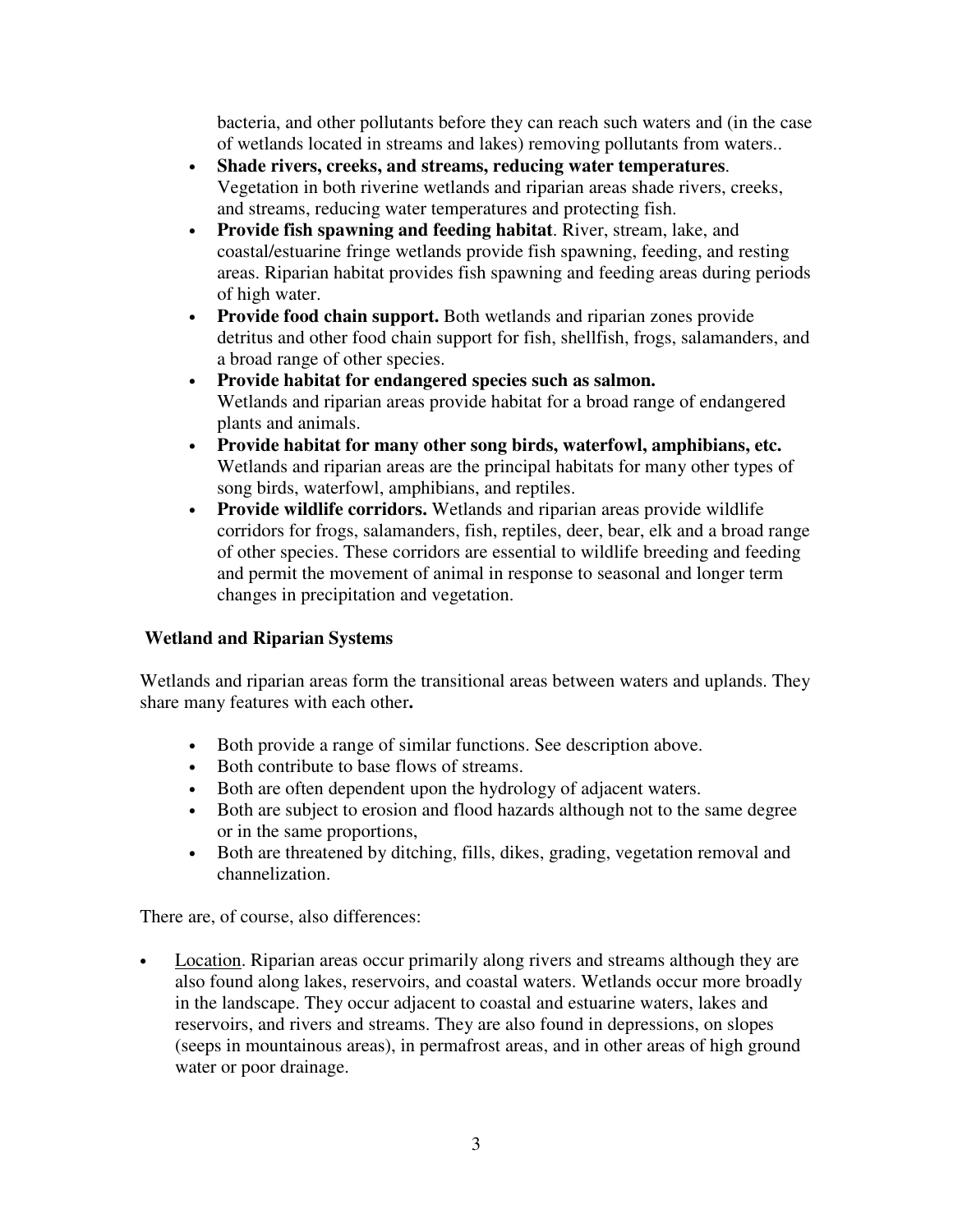bacteria, and other pollutants before they can reach such waters and (in the case of wetlands located in streams and lakes) removing pollutants from waters..

- **Shade rivers, creeks, and streams, reducing water temperatures**. Vegetation in both riverine wetlands and riparian areas shade rivers, creeks, and streams, reducing water temperatures and protecting fish.
- **Provide fish spawning and feeding habitat**. River, stream, lake, and coastal/estuarine fringe wetlands provide fish spawning, feeding, and resting areas. Riparian habitat provides fish spawning and feeding areas during periods of high water.
- **Provide food chain support.** Both wetlands and riparian zones provide detritus and other food chain support for fish, shellfish, frogs, salamanders, and a broad range of other species.
- **Provide habitat for endangered species such as salmon.**  Wetlands and riparian areas provide habitat for a broad range of endangered plants and animals.
- **Provide habitat for many other song birds, waterfowl, amphibians, etc.**  Wetlands and riparian areas are the principal habitats for many other types of song birds, waterfowl, amphibians, and reptiles.
- **Provide wildlife corridors.** Wetlands and riparian areas provide wildlife corridors for frogs, salamanders, fish, reptiles, deer, bear, elk and a broad range of other species. These corridors are essential to wildlife breeding and feeding and permit the movement of animal in response to seasonal and longer term changes in precipitation and vegetation.

## **Wetland and Riparian Systems**

Wetlands and riparian areas form the transitional areas between waters and uplands. They share many features with each other**.**

- Both provide a range of similar functions. See description above.
- Both contribute to base flows of streams.
- Both are often dependent upon the hydrology of adjacent waters.
- Both are subject to erosion and flood hazards although not to the same degree or in the same proportions,
- Both are threatened by ditching, fills, dikes, grading, vegetation removal and channelization.

There are, of course, also differences:

• Location. Riparian areas occur primarily along rivers and streams although they are also found along lakes, reservoirs, and coastal waters. Wetlands occur more broadly in the landscape. They occur adjacent to coastal and estuarine waters, lakes and reservoirs, and rivers and streams. They are also found in depressions, on slopes (seeps in mountainous areas), in permafrost areas, and in other areas of high ground water or poor drainage.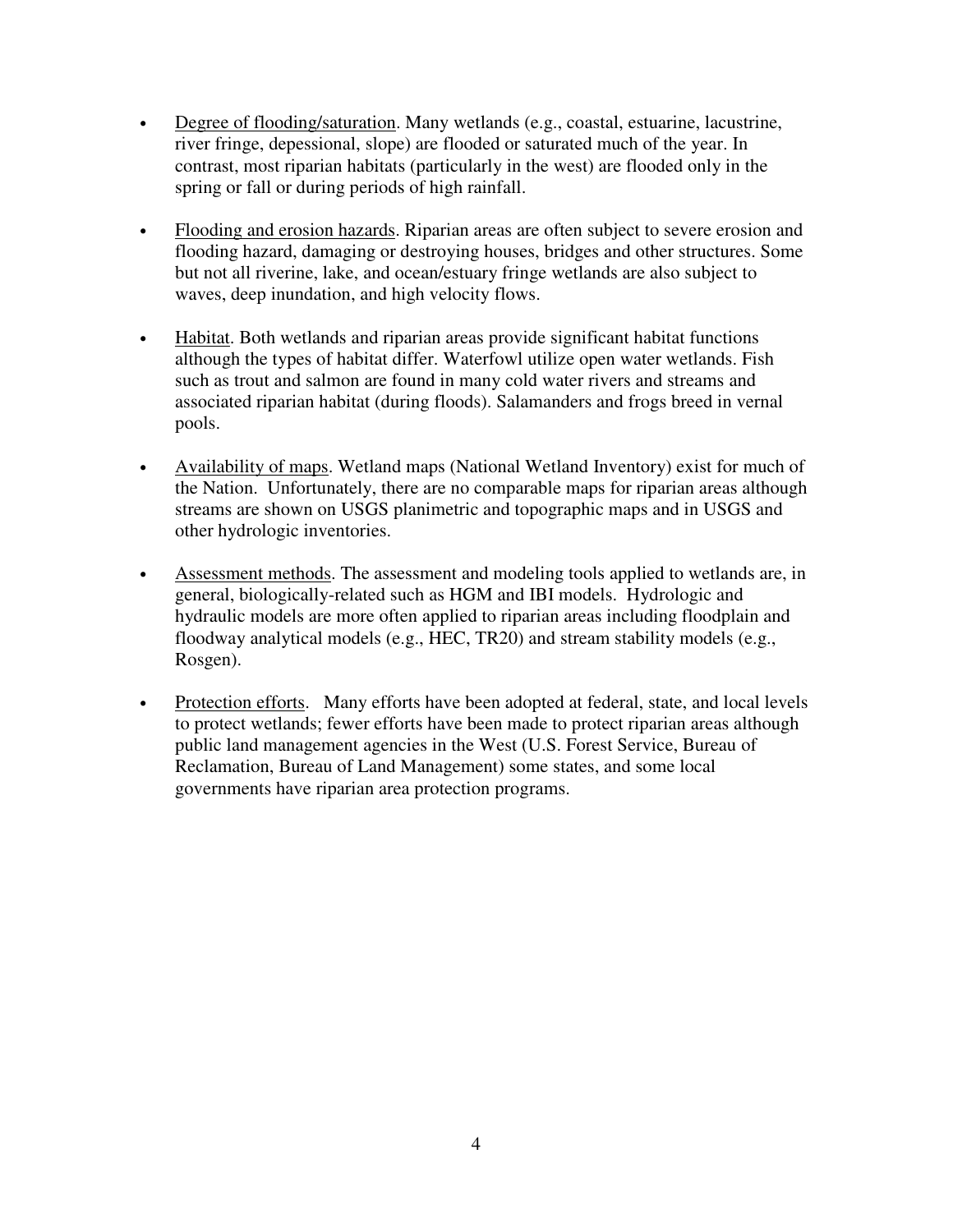- Degree of flooding/saturation. Many wetlands (e.g., coastal, estuarine, lacustrine, river fringe, depessional, slope) are flooded or saturated much of the year. In contrast, most riparian habitats (particularly in the west) are flooded only in the spring or fall or during periods of high rainfall.
- Flooding and erosion hazards. Riparian areas are often subject to severe erosion and flooding hazard, damaging or destroying houses, bridges and other structures. Some but not all riverine, lake, and ocean/estuary fringe wetlands are also subject to waves, deep inundation, and high velocity flows.
- Habitat. Both wetlands and riparian areas provide significant habitat functions although the types of habitat differ. Waterfowl utilize open water wetlands. Fish such as trout and salmon are found in many cold water rivers and streams and associated riparian habitat (during floods). Salamanders and frogs breed in vernal pools.
- Availability of maps. Wetland maps (National Wetland Inventory) exist for much of the Nation. Unfortunately, there are no comparable maps for riparian areas although streams are shown on USGS planimetric and topographic maps and in USGS and other hydrologic inventories.
- Assessment methods. The assessment and modeling tools applied to wetlands are, in general, biologically-related such as HGM and IBI models. Hydrologic and hydraulic models are more often applied to riparian areas including floodplain and floodway analytical models (e.g., HEC, TR20) and stream stability models (e.g., Rosgen).
- Protection efforts. Many efforts have been adopted at federal, state, and local levels to protect wetlands; fewer efforts have been made to protect riparian areas although public land management agencies in the West (U.S. Forest Service, Bureau of Reclamation, Bureau of Land Management) some states, and some local governments have riparian area protection programs.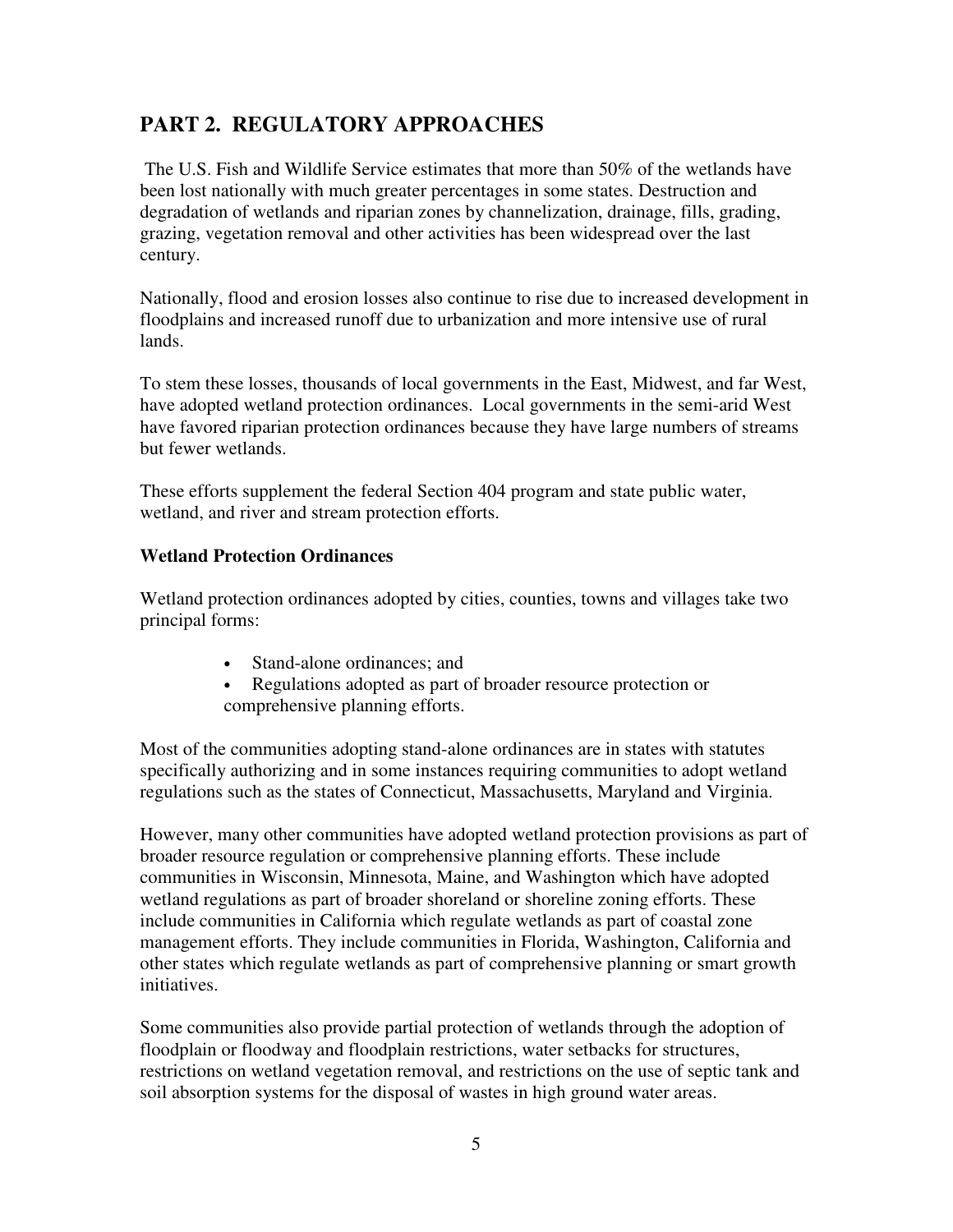# **PART 2. REGULATORY APPROACHES**

 The U.S. Fish and Wildlife Service estimates that more than 50% of the wetlands have been lost nationally with much greater percentages in some states. Destruction and degradation of wetlands and riparian zones by channelization, drainage, fills, grading, grazing, vegetation removal and other activities has been widespread over the last century.

Nationally, flood and erosion losses also continue to rise due to increased development in floodplains and increased runoff due to urbanization and more intensive use of rural lands.

To stem these losses, thousands of local governments in the East, Midwest, and far West, have adopted wetland protection ordinances. Local governments in the semi-arid West have favored riparian protection ordinances because they have large numbers of streams but fewer wetlands.

These efforts supplement the federal Section 404 program and state public water, wetland, and river and stream protection efforts.

## **Wetland Protection Ordinances**

Wetland protection ordinances adopted by cities, counties, towns and villages take two principal forms:

- Stand-alone ordinances: and
- Regulations adopted as part of broader resource protection or comprehensive planning efforts.

Most of the communities adopting stand-alone ordinances are in states with statutes specifically authorizing and in some instances requiring communities to adopt wetland regulations such as the states of Connecticut, Massachusetts, Maryland and Virginia.

However, many other communities have adopted wetland protection provisions as part of broader resource regulation or comprehensive planning efforts. These include communities in Wisconsin, Minnesota, Maine, and Washington which have adopted wetland regulations as part of broader shoreland or shoreline zoning efforts. These include communities in California which regulate wetlands as part of coastal zone management efforts. They include communities in Florida, Washington, California and other states which regulate wetlands as part of comprehensive planning or smart growth initiatives.

Some communities also provide partial protection of wetlands through the adoption of floodplain or floodway and floodplain restrictions, water setbacks for structures, restrictions on wetland vegetation removal, and restrictions on the use of septic tank and soil absorption systems for the disposal of wastes in high ground water areas.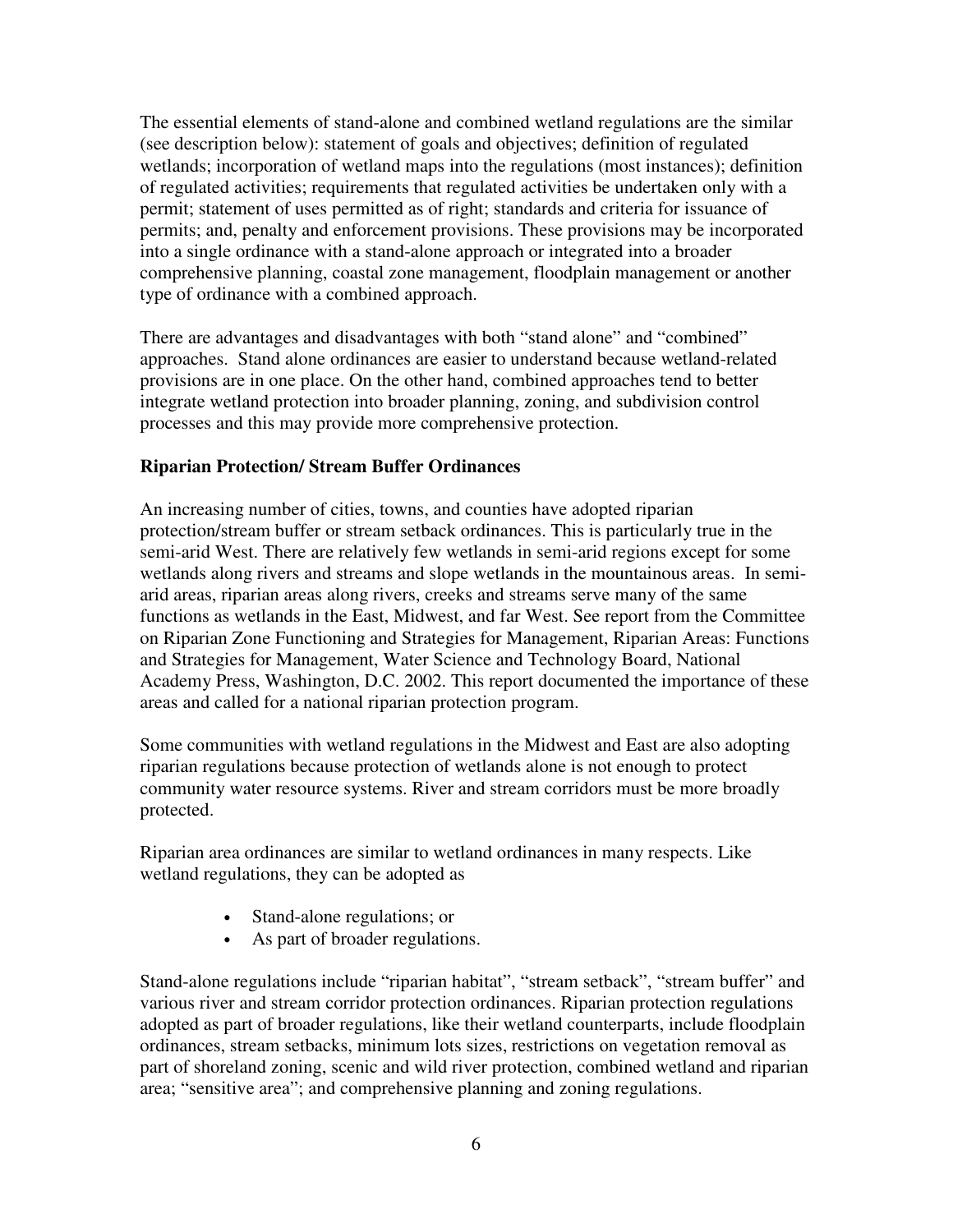The essential elements of stand-alone and combined wetland regulations are the similar (see description below): statement of goals and objectives; definition of regulated wetlands; incorporation of wetland maps into the regulations (most instances); definition of regulated activities; requirements that regulated activities be undertaken only with a permit; statement of uses permitted as of right; standards and criteria for issuance of permits; and, penalty and enforcement provisions. These provisions may be incorporated into a single ordinance with a stand-alone approach or integrated into a broader comprehensive planning, coastal zone management, floodplain management or another type of ordinance with a combined approach.

There are advantages and disadvantages with both "stand alone" and "combined" approaches. Stand alone ordinances are easier to understand because wetland-related provisions are in one place. On the other hand, combined approaches tend to better integrate wetland protection into broader planning, zoning, and subdivision control processes and this may provide more comprehensive protection.

#### **Riparian Protection/ Stream Buffer Ordinances**

An increasing number of cities, towns, and counties have adopted riparian protection/stream buffer or stream setback ordinances. This is particularly true in the semi-arid West. There are relatively few wetlands in semi-arid regions except for some wetlands along rivers and streams and slope wetlands in the mountainous areas. In semiarid areas, riparian areas along rivers, creeks and streams serve many of the same functions as wetlands in the East, Midwest, and far West. See report from the Committee on Riparian Zone Functioning and Strategies for Management, Riparian Areas: Functions and Strategies for Management, Water Science and Technology Board, National Academy Press, Washington, D.C. 2002. This report documented the importance of these areas and called for a national riparian protection program.

Some communities with wetland regulations in the Midwest and East are also adopting riparian regulations because protection of wetlands alone is not enough to protect community water resource systems. River and stream corridors must be more broadly protected.

Riparian area ordinances are similar to wetland ordinances in many respects. Like wetland regulations, they can be adopted as

- Stand-alone regulations; or
- As part of broader regulations.

Stand-alone regulations include "riparian habitat", "stream setback", "stream buffer" and various river and stream corridor protection ordinances. Riparian protection regulations adopted as part of broader regulations, like their wetland counterparts, include floodplain ordinances, stream setbacks, minimum lots sizes, restrictions on vegetation removal as part of shoreland zoning, scenic and wild river protection, combined wetland and riparian area; "sensitive area"; and comprehensive planning and zoning regulations.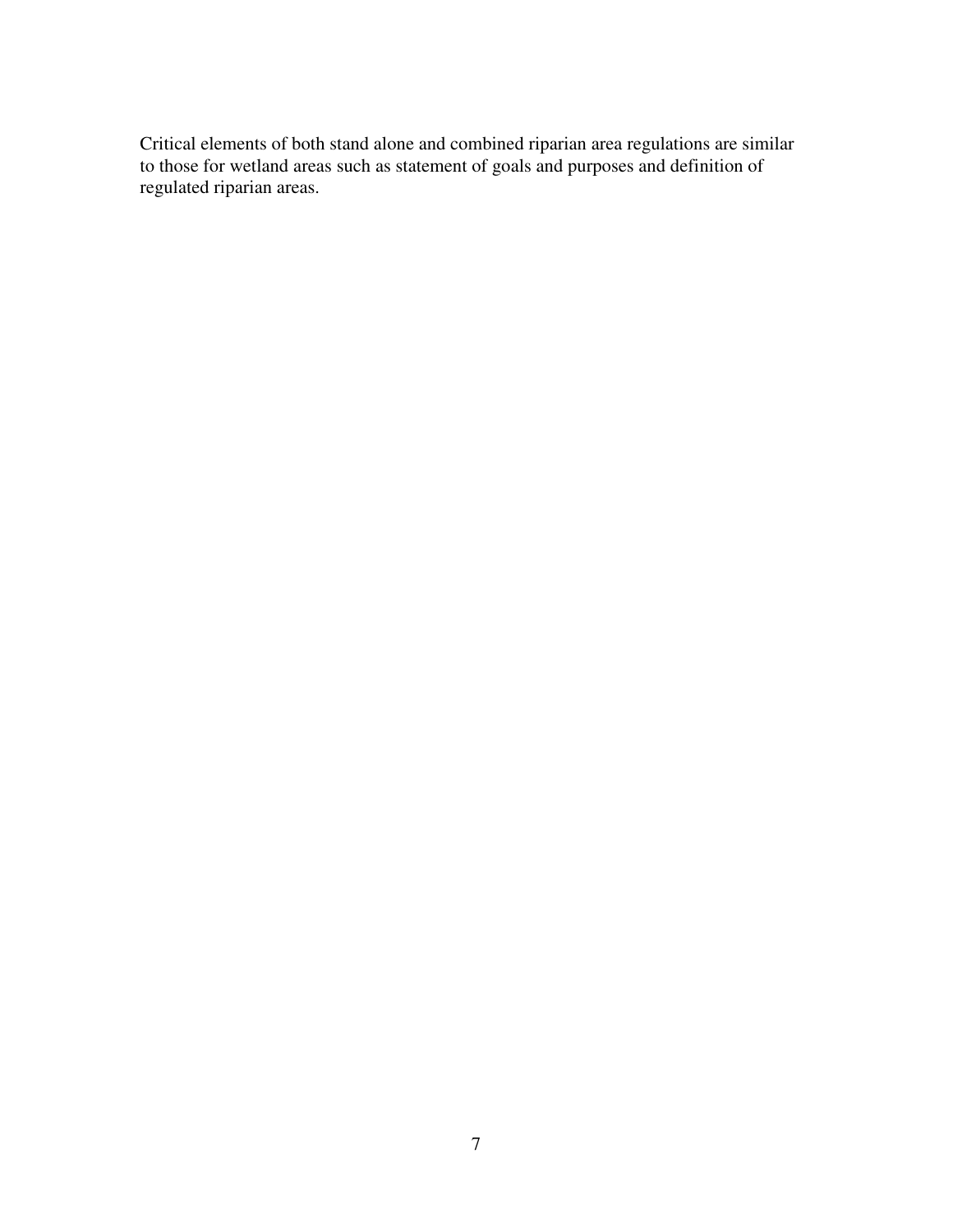Critical elements of both stand alone and combined riparian area regulations are similar to those for wetland areas such as statement of goals and purposes and definition of regulated riparian areas.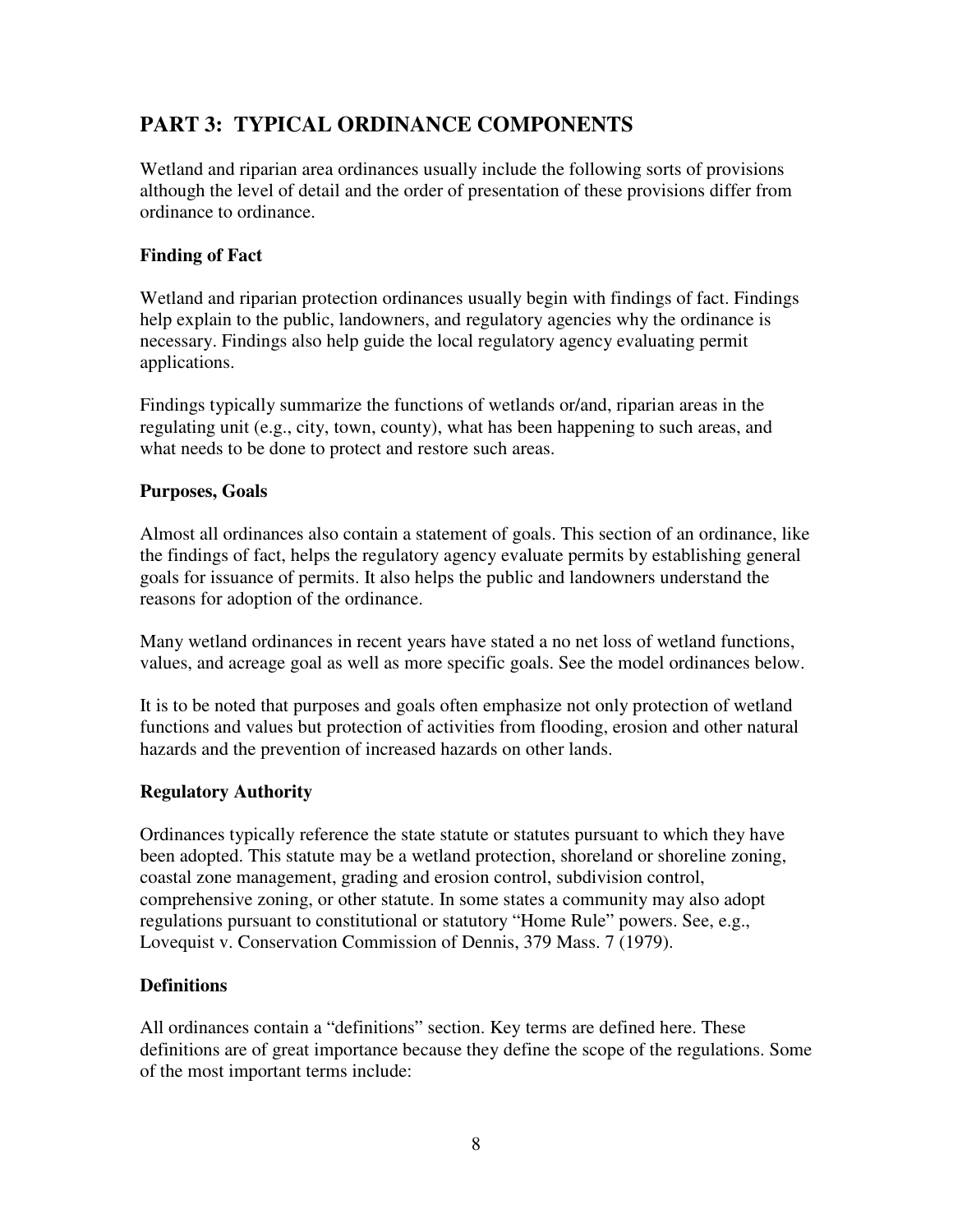# **PART 3: TYPICAL ORDINANCE COMPONENTS**

Wetland and riparian area ordinances usually include the following sorts of provisions although the level of detail and the order of presentation of these provisions differ from ordinance to ordinance.

#### **Finding of Fact**

Wetland and riparian protection ordinances usually begin with findings of fact. Findings help explain to the public, landowners, and regulatory agencies why the ordinance is necessary. Findings also help guide the local regulatory agency evaluating permit applications.

Findings typically summarize the functions of wetlands or/and, riparian areas in the regulating unit (e.g., city, town, county), what has been happening to such areas, and what needs to be done to protect and restore such areas.

#### **Purposes, Goals**

Almost all ordinances also contain a statement of goals. This section of an ordinance, like the findings of fact, helps the regulatory agency evaluate permits by establishing general goals for issuance of permits. It also helps the public and landowners understand the reasons for adoption of the ordinance.

Many wetland ordinances in recent years have stated a no net loss of wetland functions, values, and acreage goal as well as more specific goals. See the model ordinances below.

It is to be noted that purposes and goals often emphasize not only protection of wetland functions and values but protection of activities from flooding, erosion and other natural hazards and the prevention of increased hazards on other lands.

#### **Regulatory Authority**

Ordinances typically reference the state statute or statutes pursuant to which they have been adopted. This statute may be a wetland protection, shoreland or shoreline zoning, coastal zone management, grading and erosion control, subdivision control, comprehensive zoning, or other statute. In some states a community may also adopt regulations pursuant to constitutional or statutory "Home Rule" powers. See, e.g., Lovequist v. Conservation Commission of Dennis, 379 Mass. 7 (1979).

#### **Definitions**

All ordinances contain a "definitions" section. Key terms are defined here. These definitions are of great importance because they define the scope of the regulations. Some of the most important terms include: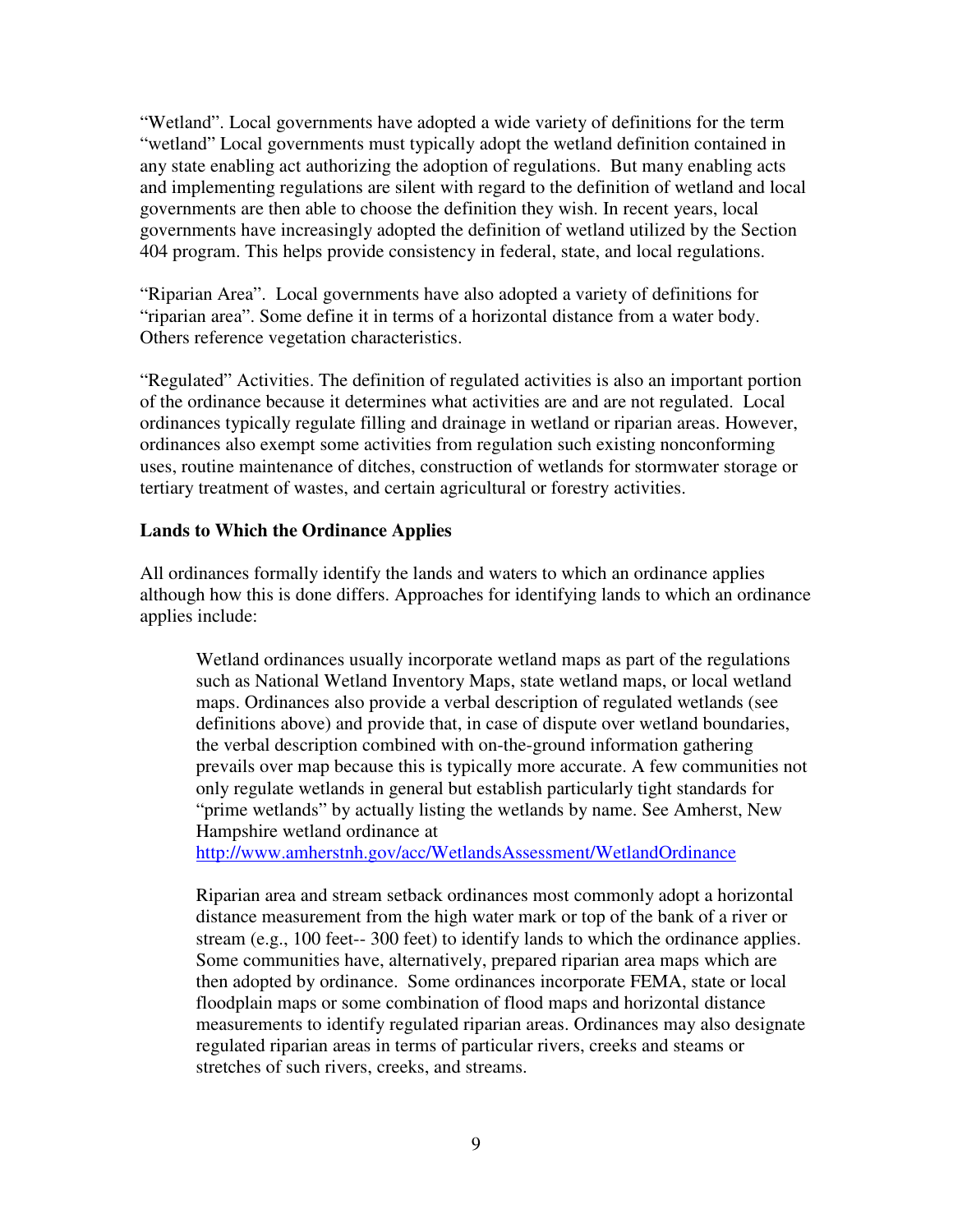"Wetland". Local governments have adopted a wide variety of definitions for the term "wetland" Local governments must typically adopt the wetland definition contained in any state enabling act authorizing the adoption of regulations. But many enabling acts and implementing regulations are silent with regard to the definition of wetland and local governments are then able to choose the definition they wish. In recent years, local governments have increasingly adopted the definition of wetland utilized by the Section 404 program. This helps provide consistency in federal, state, and local regulations.

"Riparian Area". Local governments have also adopted a variety of definitions for "riparian area". Some define it in terms of a horizontal distance from a water body. Others reference vegetation characteristics.

"Regulated" Activities. The definition of regulated activities is also an important portion of the ordinance because it determines what activities are and are not regulated. Local ordinances typically regulate filling and drainage in wetland or riparian areas. However, ordinances also exempt some activities from regulation such existing nonconforming uses, routine maintenance of ditches, construction of wetlands for stormwater storage or tertiary treatment of wastes, and certain agricultural or forestry activities.

#### **Lands to Which the Ordinance Applies**

All ordinances formally identify the lands and waters to which an ordinance applies although how this is done differs. Approaches for identifying lands to which an ordinance applies include:

Wetland ordinances usually incorporate wetland maps as part of the regulations such as National Wetland Inventory Maps, state wetland maps, or local wetland maps. Ordinances also provide a verbal description of regulated wetlands (see definitions above) and provide that, in case of dispute over wetland boundaries, the verbal description combined with on-the-ground information gathering prevails over map because this is typically more accurate. A few communities not only regulate wetlands in general but establish particularly tight standards for "prime wetlands" by actually listing the wetlands by name. See Amherst, New Hampshire wetland ordinance at

http://www.amherstnh.gov/acc/WetlandsAssessment/WetlandOrdinance

Riparian area and stream setback ordinances most commonly adopt a horizontal distance measurement from the high water mark or top of the bank of a river or stream (e.g., 100 feet-- 300 feet) to identify lands to which the ordinance applies. Some communities have, alternatively, prepared riparian area maps which are then adopted by ordinance. Some ordinances incorporate FEMA, state or local floodplain maps or some combination of flood maps and horizontal distance measurements to identify regulated riparian areas. Ordinances may also designate regulated riparian areas in terms of particular rivers, creeks and steams or stretches of such rivers, creeks, and streams.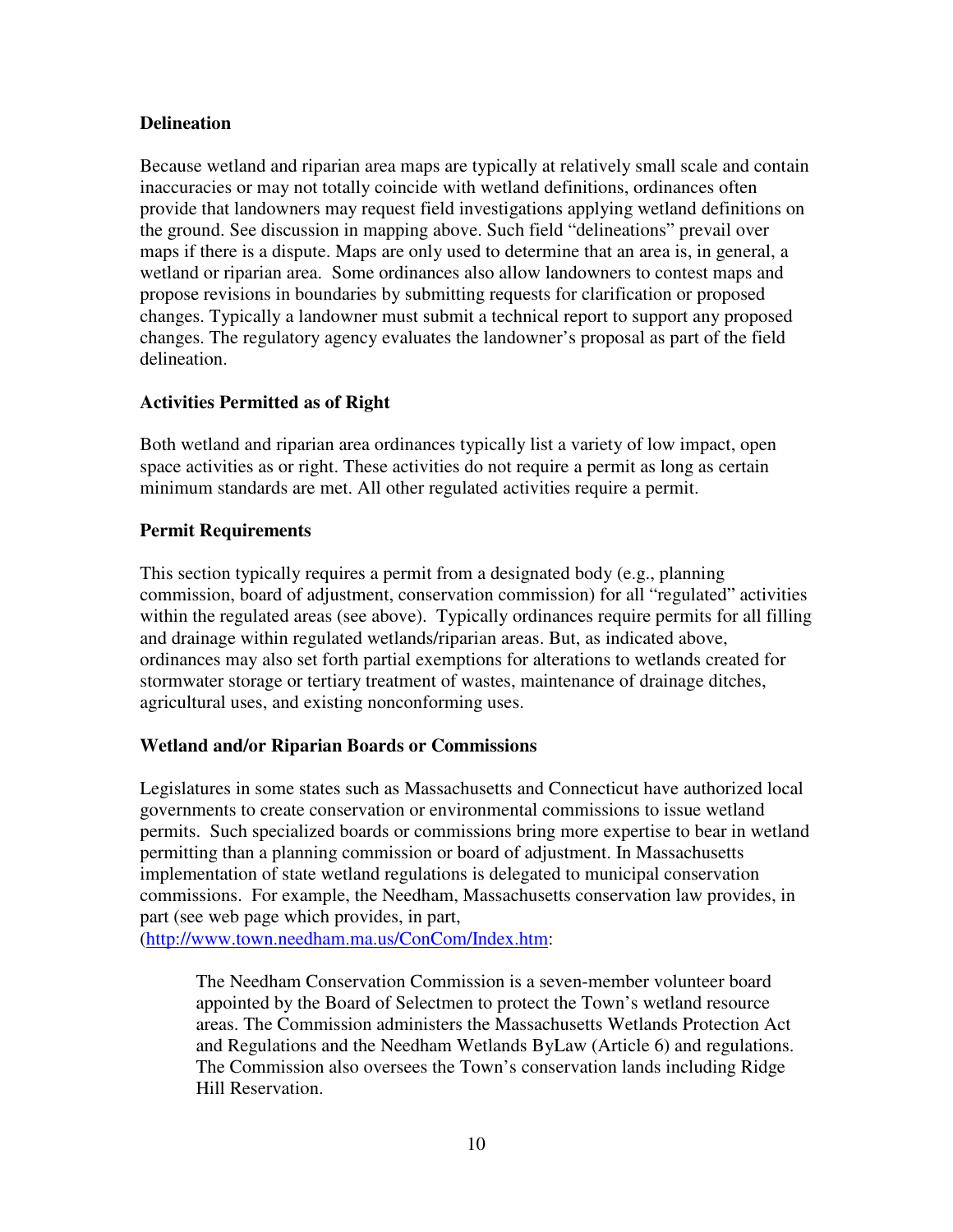#### **Delineation**

Because wetland and riparian area maps are typically at relatively small scale and contain inaccuracies or may not totally coincide with wetland definitions, ordinances often provide that landowners may request field investigations applying wetland definitions on the ground. See discussion in mapping above. Such field "delineations" prevail over maps if there is a dispute. Maps are only used to determine that an area is, in general, a wetland or riparian area. Some ordinances also allow landowners to contest maps and propose revisions in boundaries by submitting requests for clarification or proposed changes. Typically a landowner must submit a technical report to support any proposed changes. The regulatory agency evaluates the landowner's proposal as part of the field delineation.

## **Activities Permitted as of Right**

Both wetland and riparian area ordinances typically list a variety of low impact, open space activities as or right. These activities do not require a permit as long as certain minimum standards are met. All other regulated activities require a permit.

## **Permit Requirements**

This section typically requires a permit from a designated body (e.g., planning commission, board of adjustment, conservation commission) for all "regulated" activities within the regulated areas (see above). Typically ordinances require permits for all filling and drainage within regulated wetlands/riparian areas. But, as indicated above, ordinances may also set forth partial exemptions for alterations to wetlands created for stormwater storage or tertiary treatment of wastes, maintenance of drainage ditches, agricultural uses, and existing nonconforming uses.

## **Wetland and/or Riparian Boards or Commissions**

Legislatures in some states such as Massachusetts and Connecticut have authorized local governments to create conservation or environmental commissions to issue wetland permits. Such specialized boards or commissions bring more expertise to bear in wetland permitting than a planning commission or board of adjustment. In Massachusetts implementation of state wetland regulations is delegated to municipal conservation commissions. For example, the Needham, Massachusetts conservation law provides, in part (see web page which provides, in part,

(http://www.town.needham.ma.us/ConCom/Index.htm:

The Needham Conservation Commission is a seven-member volunteer board appointed by the Board of Selectmen to protect the Town's wetland resource areas. The Commission administers the Massachusetts Wetlands Protection Act and Regulations and the Needham Wetlands ByLaw (Article 6) and regulations. The Commission also oversees the Town's conservation lands including Ridge Hill Reservation.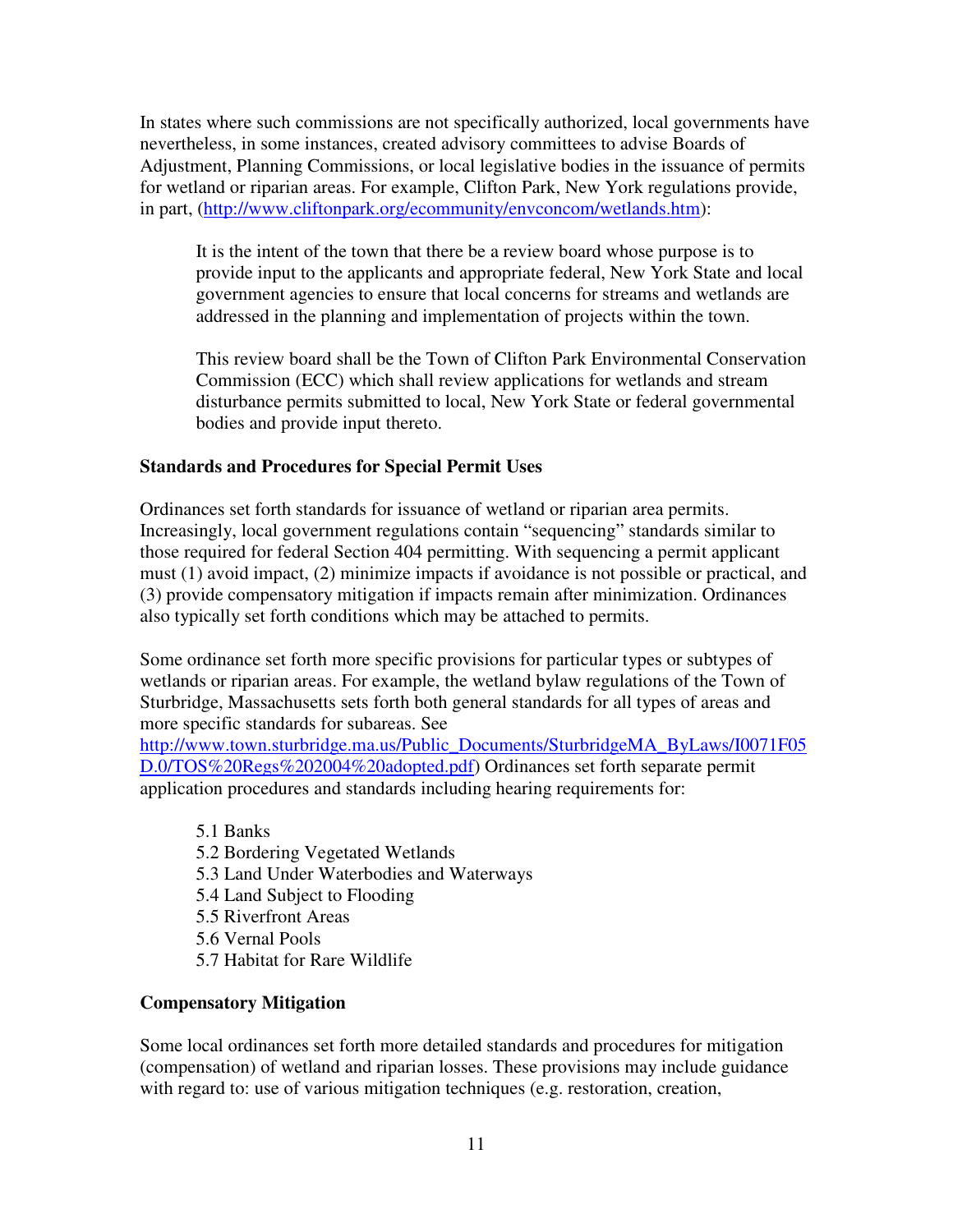In states where such commissions are not specifically authorized, local governments have nevertheless, in some instances, created advisory committees to advise Boards of Adjustment, Planning Commissions, or local legislative bodies in the issuance of permits for wetland or riparian areas. For example, Clifton Park, New York regulations provide, in part, (http://www.cliftonpark.org/ecommunity/envconcom/wetlands.htm):

It is the intent of the town that there be a review board whose purpose is to provide input to the applicants and appropriate federal, New York State and local government agencies to ensure that local concerns for streams and wetlands are addressed in the planning and implementation of projects within the town.

This review board shall be the Town of Clifton Park Environmental Conservation Commission (ECC) which shall review applications for wetlands and stream disturbance permits submitted to local, New York State or federal governmental bodies and provide input thereto.

#### **Standards and Procedures for Special Permit Uses**

Ordinances set forth standards for issuance of wetland or riparian area permits. Increasingly, local government regulations contain "sequencing" standards similar to those required for federal Section 404 permitting. With sequencing a permit applicant must (1) avoid impact, (2) minimize impacts if avoidance is not possible or practical, and (3) provide compensatory mitigation if impacts remain after minimization. Ordinances also typically set forth conditions which may be attached to permits.

Some ordinance set forth more specific provisions for particular types or subtypes of wetlands or riparian areas. For example, the wetland bylaw regulations of the Town of Sturbridge, Massachusetts sets forth both general standards for all types of areas and more specific standards for subareas. See

http://www.town.sturbridge.ma.us/Public\_Documents/SturbridgeMA\_ByLaws/I0071F05 D.0/TOS%20Regs%202004%20adopted.pdf) Ordinances set forth separate permit application procedures and standards including hearing requirements for:

- 5.1 Banks 5.2 Bordering Vegetated Wetlands 5.3 Land Under Waterbodies and Waterways 5.4 Land Subject to Flooding 5.5 Riverfront Areas 5.6 Vernal Pools
- 5.7 Habitat for Rare Wildlife

## **Compensatory Mitigation**

Some local ordinances set forth more detailed standards and procedures for mitigation (compensation) of wetland and riparian losses. These provisions may include guidance with regard to: use of various mitigation techniques (e.g. restoration, creation,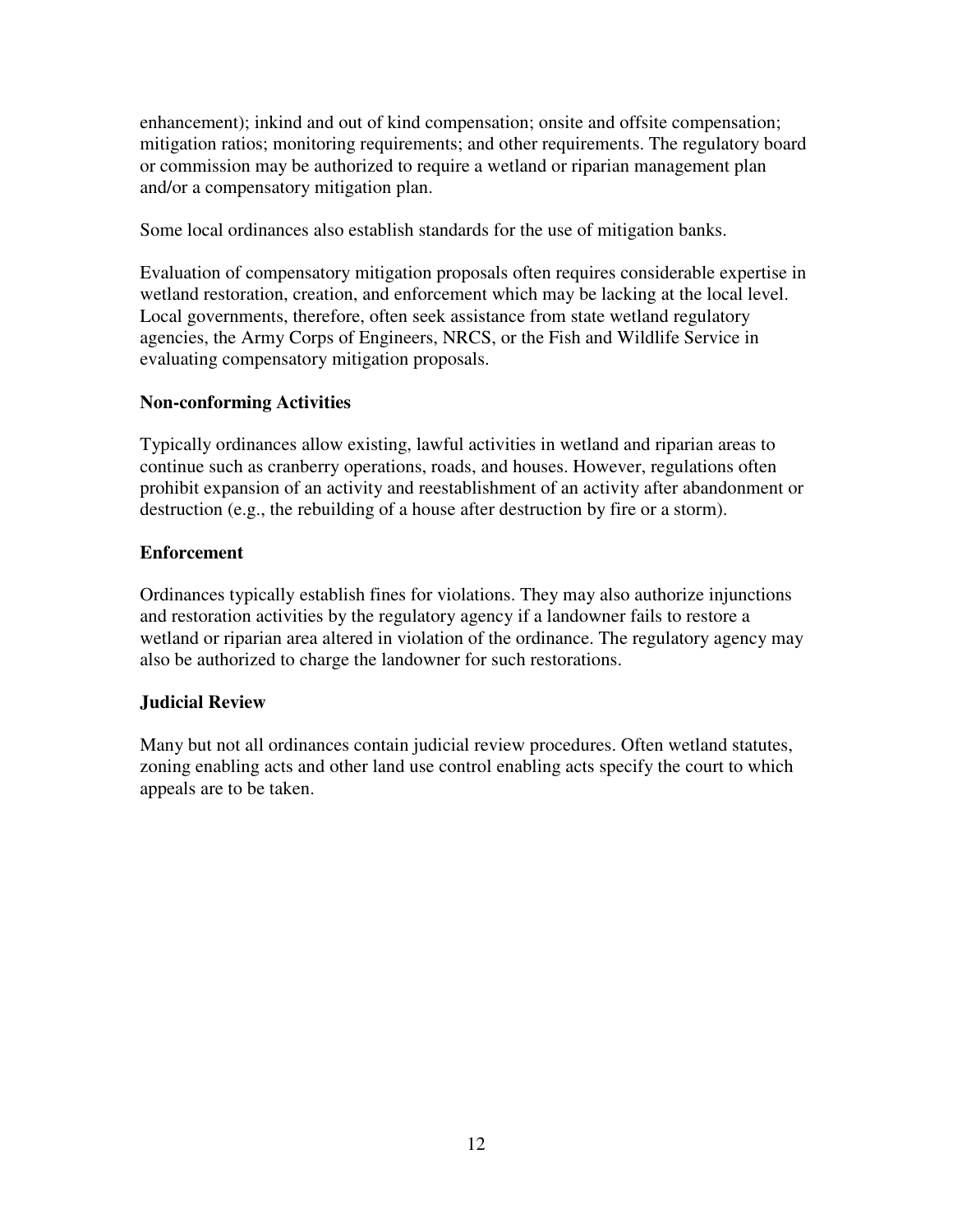enhancement); inkind and out of kind compensation; onsite and offsite compensation; mitigation ratios; monitoring requirements; and other requirements. The regulatory board or commission may be authorized to require a wetland or riparian management plan and/or a compensatory mitigation plan.

Some local ordinances also establish standards for the use of mitigation banks.

Evaluation of compensatory mitigation proposals often requires considerable expertise in wetland restoration, creation, and enforcement which may be lacking at the local level. Local governments, therefore, often seek assistance from state wetland regulatory agencies, the Army Corps of Engineers, NRCS, or the Fish and Wildlife Service in evaluating compensatory mitigation proposals.

## **Non-conforming Activities**

Typically ordinances allow existing, lawful activities in wetland and riparian areas to continue such as cranberry operations, roads, and houses. However, regulations often prohibit expansion of an activity and reestablishment of an activity after abandonment or destruction (e.g., the rebuilding of a house after destruction by fire or a storm).

#### **Enforcement**

Ordinances typically establish fines for violations. They may also authorize injunctions and restoration activities by the regulatory agency if a landowner fails to restore a wetland or riparian area altered in violation of the ordinance. The regulatory agency may also be authorized to charge the landowner for such restorations.

## **Judicial Review**

Many but not all ordinances contain judicial review procedures. Often wetland statutes, zoning enabling acts and other land use control enabling acts specify the court to which appeals are to be taken.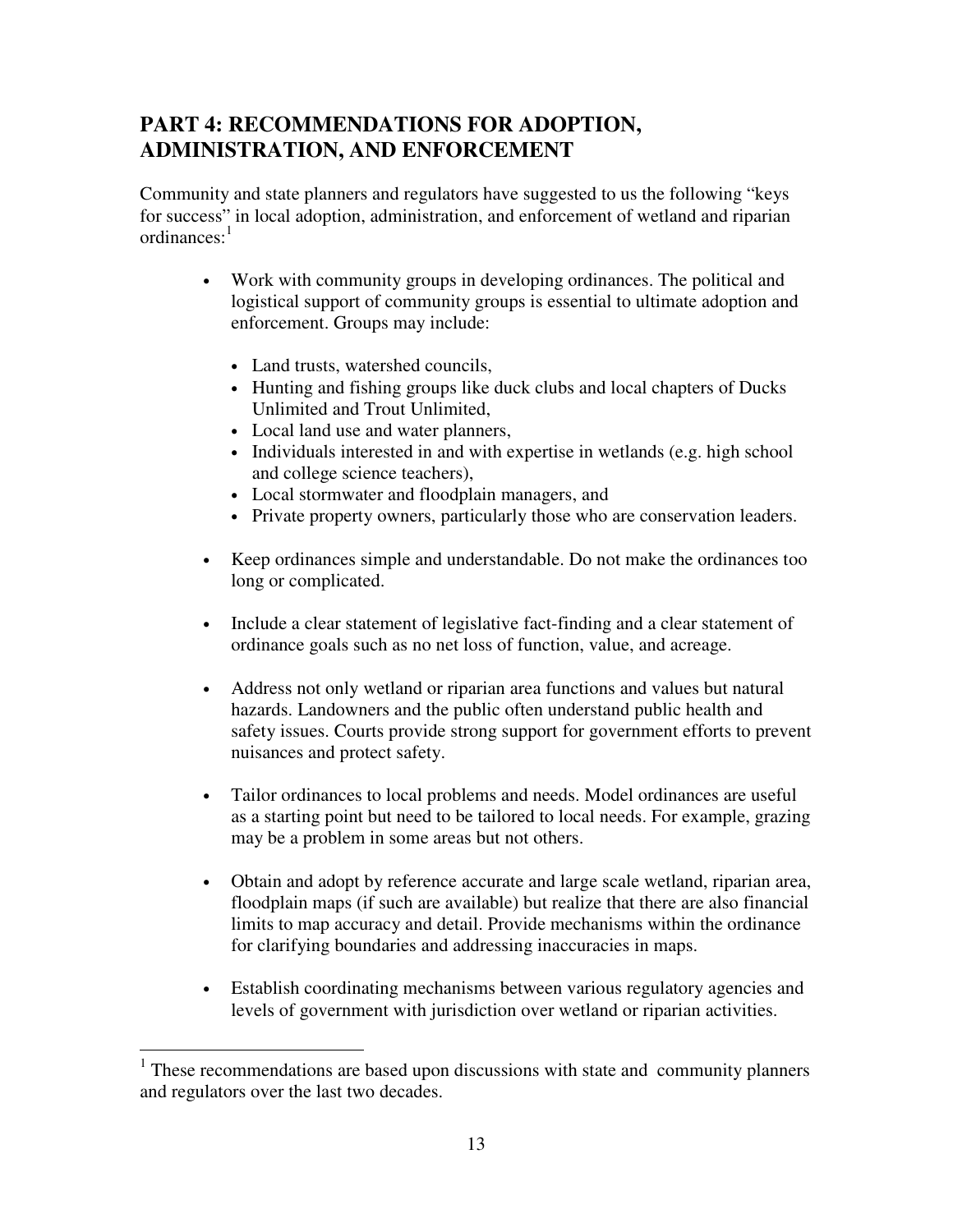# **PART 4: RECOMMENDATIONS FOR ADOPTION, ADMINISTRATION, AND ENFORCEMENT**

Community and state planners and regulators have suggested to us the following "keys for success" in local adoption, administration, and enforcement of wetland and riparian ordinances:<sup>1</sup>

- Work with community groups in developing ordinances. The political and logistical support of community groups is essential to ultimate adoption and enforcement. Groups may include:
	- Land trusts, watershed councils,
	- Hunting and fishing groups like duck clubs and local chapters of Ducks Unlimited and Trout Unlimited,
	- Local land use and water planners,
	- Individuals interested in and with expertise in wetlands (e.g. high school and college science teachers),
	- Local stormwater and floodplain managers, and
	- Private property owners, particularly those who are conservation leaders.
- Keep ordinances simple and understandable. Do not make the ordinances too long or complicated.
- Include a clear statement of legislative fact-finding and a clear statement of ordinance goals such as no net loss of function, value, and acreage.
- Address not only wetland or riparian area functions and values but natural hazards. Landowners and the public often understand public health and safety issues. Courts provide strong support for government efforts to prevent nuisances and protect safety.
- Tailor ordinances to local problems and needs. Model ordinances are useful as a starting point but need to be tailored to local needs. For example, grazing may be a problem in some areas but not others.
- Obtain and adopt by reference accurate and large scale wetland, riparian area, floodplain maps (if such are available) but realize that there are also financial limits to map accuracy and detail. Provide mechanisms within the ordinance for clarifying boundaries and addressing inaccuracies in maps.
- Establish coordinating mechanisms between various regulatory agencies and levels of government with jurisdiction over wetland or riparian activities.

 $\overline{a}$ <sup>1</sup> These recommendations are based upon discussions with state and community planners and regulators over the last two decades.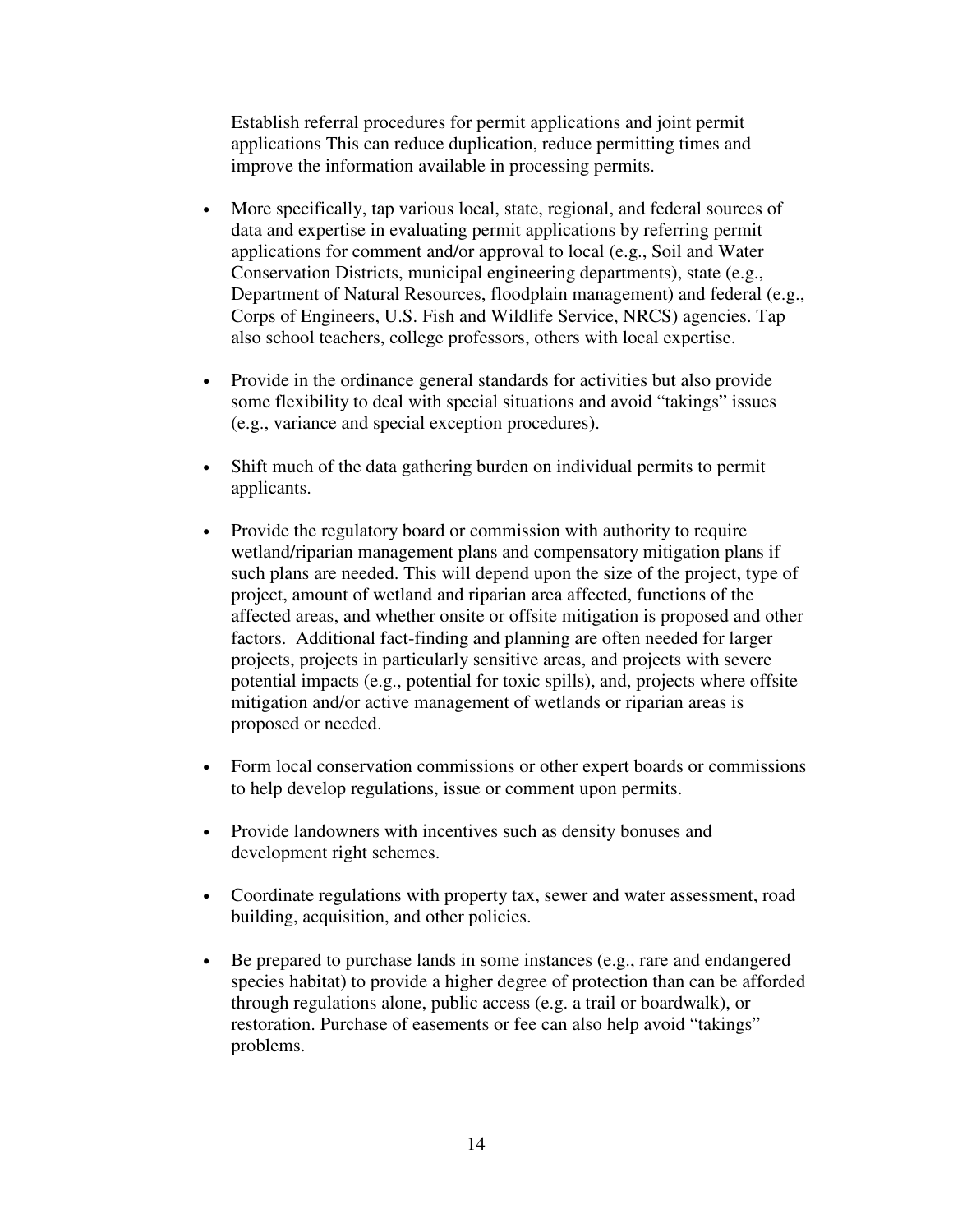Establish referral procedures for permit applications and joint permit applications This can reduce duplication, reduce permitting times and improve the information available in processing permits.

- More specifically, tap various local, state, regional, and federal sources of data and expertise in evaluating permit applications by referring permit applications for comment and/or approval to local (e.g., Soil and Water Conservation Districts, municipal engineering departments), state (e.g., Department of Natural Resources, floodplain management) and federal (e.g., Corps of Engineers, U.S. Fish and Wildlife Service, NRCS) agencies. Tap also school teachers, college professors, others with local expertise.
- Provide in the ordinance general standards for activities but also provide some flexibility to deal with special situations and avoid "takings" issues (e.g., variance and special exception procedures).
- Shift much of the data gathering burden on individual permits to permit applicants.
- Provide the regulatory board or commission with authority to require wetland/riparian management plans and compensatory mitigation plans if such plans are needed. This will depend upon the size of the project, type of project, amount of wetland and riparian area affected, functions of the affected areas, and whether onsite or offsite mitigation is proposed and other factors. Additional fact-finding and planning are often needed for larger projects, projects in particularly sensitive areas, and projects with severe potential impacts (e.g., potential for toxic spills), and, projects where offsite mitigation and/or active management of wetlands or riparian areas is proposed or needed.
- Form local conservation commissions or other expert boards or commissions to help develop regulations, issue or comment upon permits.
- Provide landowners with incentives such as density bonuses and development right schemes.
- Coordinate regulations with property tax, sewer and water assessment, road building, acquisition, and other policies.
- Be prepared to purchase lands in some instances (e.g., rare and endangered species habitat) to provide a higher degree of protection than can be afforded through regulations alone, public access (e.g. a trail or boardwalk), or restoration. Purchase of easements or fee can also help avoid "takings" problems.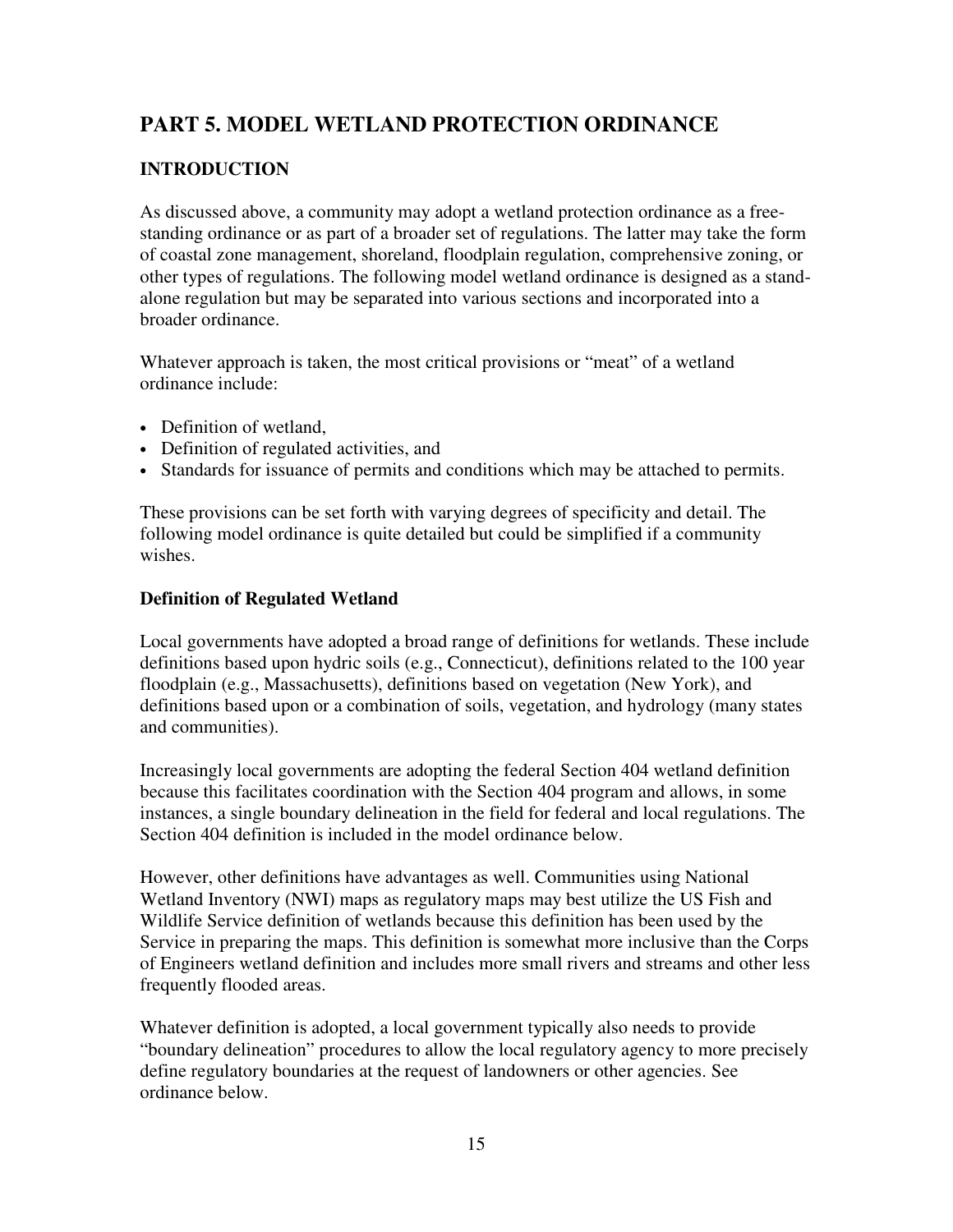# **PART 5. MODEL WETLAND PROTECTION ORDINANCE**

# **INTRODUCTION**

As discussed above, a community may adopt a wetland protection ordinance as a freestanding ordinance or as part of a broader set of regulations. The latter may take the form of coastal zone management, shoreland, floodplain regulation, comprehensive zoning, or other types of regulations. The following model wetland ordinance is designed as a standalone regulation but may be separated into various sections and incorporated into a broader ordinance.

Whatever approach is taken, the most critical provisions or "meat" of a wetland ordinance include:

- Definition of wetland,
- Definition of regulated activities, and
- Standards for issuance of permits and conditions which may be attached to permits.

These provisions can be set forth with varying degrees of specificity and detail. The following model ordinance is quite detailed but could be simplified if a community wishes.

#### **Definition of Regulated Wetland**

Local governments have adopted a broad range of definitions for wetlands. These include definitions based upon hydric soils (e.g., Connecticut), definitions related to the 100 year floodplain (e.g., Massachusetts), definitions based on vegetation (New York), and definitions based upon or a combination of soils, vegetation, and hydrology (many states and communities).

Increasingly local governments are adopting the federal Section 404 wetland definition because this facilitates coordination with the Section 404 program and allows, in some instances, a single boundary delineation in the field for federal and local regulations. The Section 404 definition is included in the model ordinance below.

However, other definitions have advantages as well. Communities using National Wetland Inventory (NWI) maps as regulatory maps may best utilize the US Fish and Wildlife Service definition of wetlands because this definition has been used by the Service in preparing the maps. This definition is somewhat more inclusive than the Corps of Engineers wetland definition and includes more small rivers and streams and other less frequently flooded areas.

Whatever definition is adopted, a local government typically also needs to provide "boundary delineation" procedures to allow the local regulatory agency to more precisely define regulatory boundaries at the request of landowners or other agencies. See ordinance below.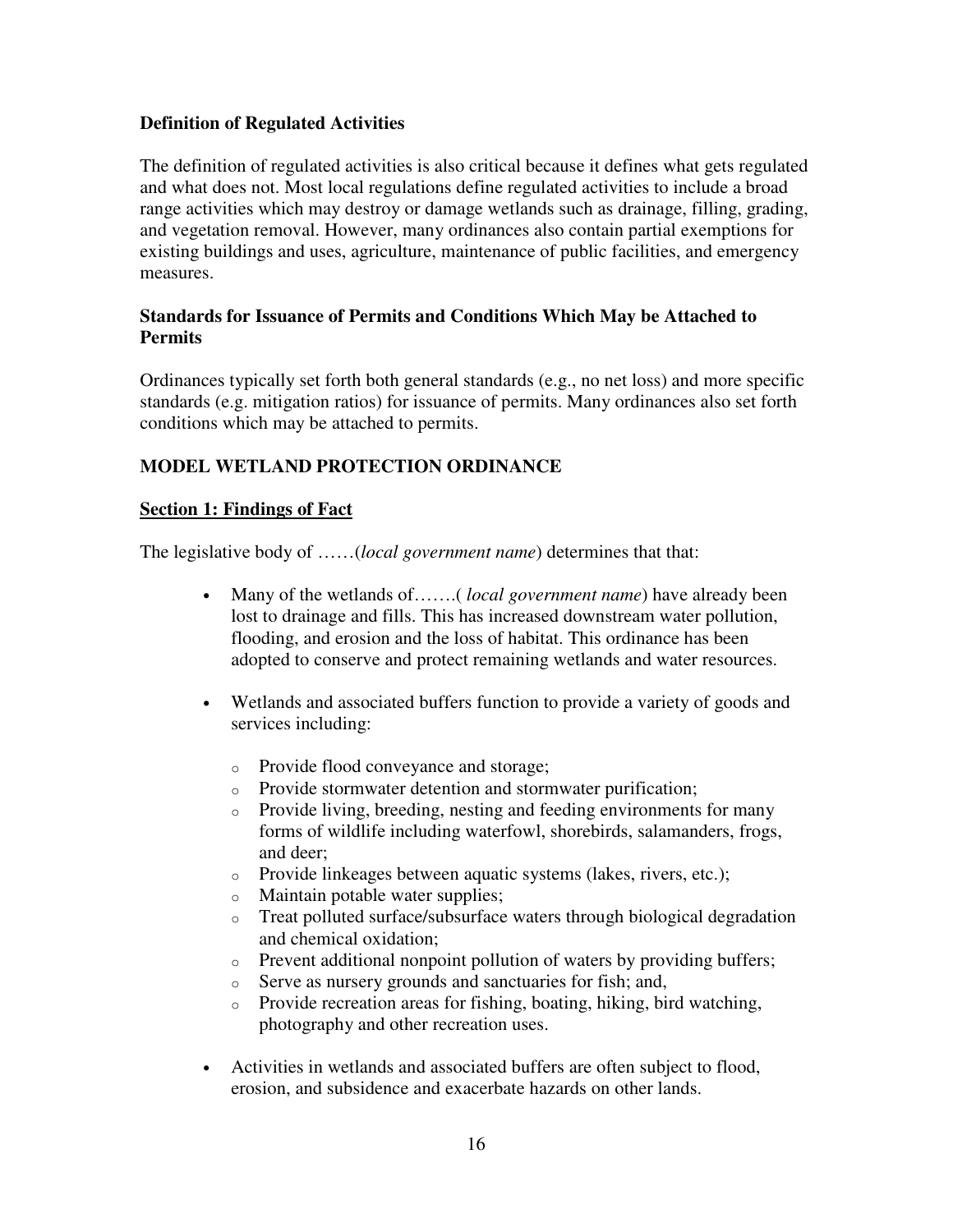#### **Definition of Regulated Activities**

The definition of regulated activities is also critical because it defines what gets regulated and what does not. Most local regulations define regulated activities to include a broad range activities which may destroy or damage wetlands such as drainage, filling, grading, and vegetation removal. However, many ordinances also contain partial exemptions for existing buildings and uses, agriculture, maintenance of public facilities, and emergency measures.

## **Standards for Issuance of Permits and Conditions Which May be Attached to Permits**

Ordinances typically set forth both general standards (e.g., no net loss) and more specific standards (e.g. mitigation ratios) for issuance of permits. Many ordinances also set forth conditions which may be attached to permits.

# **MODEL WETLAND PROTECTION ORDINANCE**

#### **Section 1: Findings of Fact**

The legislative body of ……(*local government name*) determines that that:

- Many of the wetlands of.......(*local government name*) have already been lost to drainage and fills. This has increased downstream water pollution, flooding, and erosion and the loss of habitat. This ordinance has been adopted to conserve and protect remaining wetlands and water resources.
- Wetlands and associated buffers function to provide a variety of goods and services including:
	- o Provide flood conveyance and storage;
	- o Provide stormwater detention and stormwater purification;
	- o Provide living, breeding, nesting and feeding environments for many forms of wildlife including waterfowl, shorebirds, salamanders, frogs, and deer;
	- o Provide linkeages between aquatic systems (lakes, rivers, etc.);
	- o Maintain potable water supplies;
	- o Treat polluted surface/subsurface waters through biological degradation and chemical oxidation;
	- o Prevent additional nonpoint pollution of waters by providing buffers;
	- o Serve as nursery grounds and sanctuaries for fish; and,
	- o Provide recreation areas for fishing, boating, hiking, bird watching, photography and other recreation uses.
- Activities in wetlands and associated buffers are often subject to flood, erosion, and subsidence and exacerbate hazards on other lands.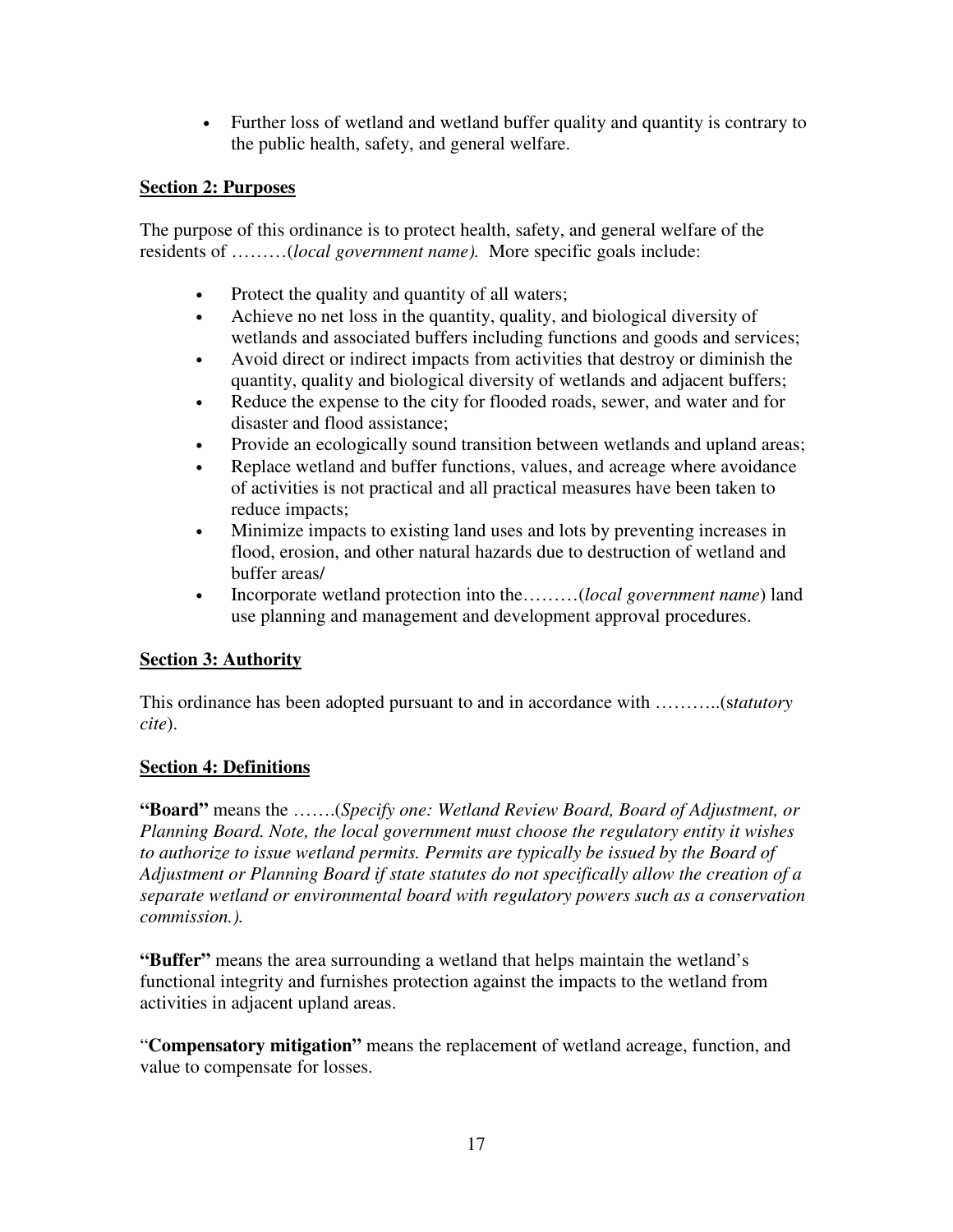• Further loss of wetland and wetland buffer quality and quantity is contrary to the public health, safety, and general welfare.

# **Section 2: Purposes**

The purpose of this ordinance is to protect health, safety, and general welfare of the residents of ………(*local government name).* More specific goals include:

- Protect the quality and quantity of all waters;
- Achieve no net loss in the quantity, quality, and biological diversity of wetlands and associated buffers including functions and goods and services;
- Avoid direct or indirect impacts from activities that destroy or diminish the quantity, quality and biological diversity of wetlands and adjacent buffers;
- Reduce the expense to the city for flooded roads, sewer, and water and for disaster and flood assistance;
- Provide an ecologically sound transition between wetlands and upland areas;
- Replace wetland and buffer functions, values, and acreage where avoidance of activities is not practical and all practical measures have been taken to reduce impacts;
- Minimize impacts to existing land uses and lots by preventing increases in flood, erosion, and other natural hazards due to destruction of wetland and buffer areas/
- Incorporate wetland protection into the………(*local government name*) land use planning and management and development approval procedures.

# **Section 3: Authority**

This ordinance has been adopted pursuant to and in accordance with ………..(s*tatutory cite*).

# **Section 4: Definitions**

**"Board"** means the …….(*Specify one: Wetland Review Board, Board of Adjustment, or Planning Board. Note, the local government must choose the regulatory entity it wishes to authorize to issue wetland permits. Permits are typically be issued by the Board of Adjustment or Planning Board if state statutes do not specifically allow the creation of a separate wetland or environmental board with regulatory powers such as a conservation commission.).* 

**"Buffer"** means the area surrounding a wetland that helps maintain the wetland's functional integrity and furnishes protection against the impacts to the wetland from activities in adjacent upland areas.

"**Compensatory mitigation"** means the replacement of wetland acreage, function, and value to compensate for losses.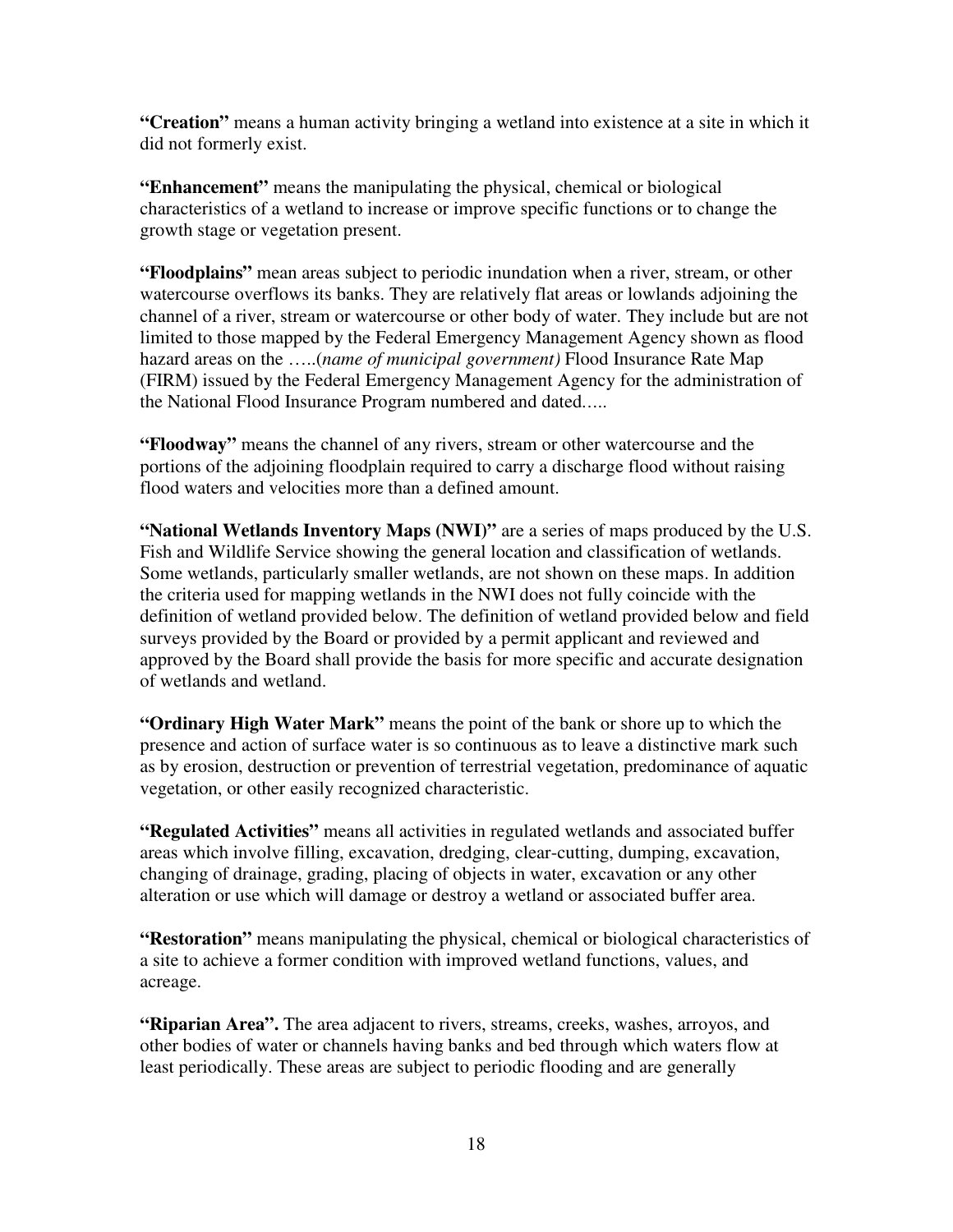**"Creation"** means a human activity bringing a wetland into existence at a site in which it did not formerly exist.

**"Enhancement"** means the manipulating the physical, chemical or biological characteristics of a wetland to increase or improve specific functions or to change the growth stage or vegetation present.

**"Floodplains"** mean areas subject to periodic inundation when a river, stream, or other watercourse overflows its banks. They are relatively flat areas or lowlands adjoining the channel of a river, stream or watercourse or other body of water. They include but are not limited to those mapped by the Federal Emergency Management Agency shown as flood hazard areas on the …..(*name of municipal government)* Flood Insurance Rate Map (FIRM) issued by the Federal Emergency Management Agency for the administration of the National Flood Insurance Program numbered and dated*…..* 

**"Floodway"** means the channel of any rivers, stream or other watercourse and the portions of the adjoining floodplain required to carry a discharge flood without raising flood waters and velocities more than a defined amount.

**"National Wetlands Inventory Maps (NWI)"** are a series of maps produced by the U.S. Fish and Wildlife Service showing the general location and classification of wetlands. Some wetlands, particularly smaller wetlands, are not shown on these maps. In addition the criteria used for mapping wetlands in the NWI does not fully coincide with the definition of wetland provided below. The definition of wetland provided below and field surveys provided by the Board or provided by a permit applicant and reviewed and approved by the Board shall provide the basis for more specific and accurate designation of wetlands and wetland.

**"Ordinary High Water Mark"** means the point of the bank or shore up to which the presence and action of surface water is so continuous as to leave a distinctive mark such as by erosion, destruction or prevention of terrestrial vegetation, predominance of aquatic vegetation, or other easily recognized characteristic.

**"Regulated Activities"** means all activities in regulated wetlands and associated buffer areas which involve filling, excavation, dredging, clear-cutting, dumping, excavation, changing of drainage, grading, placing of objects in water, excavation or any other alteration or use which will damage or destroy a wetland or associated buffer area.

**"Restoration"** means manipulating the physical, chemical or biological characteristics of a site to achieve a former condition with improved wetland functions, values, and acreage.

**"Riparian Area".** The area adjacent to rivers, streams, creeks, washes, arroyos, and other bodies of water or channels having banks and bed through which waters flow at least periodically. These areas are subject to periodic flooding and are generally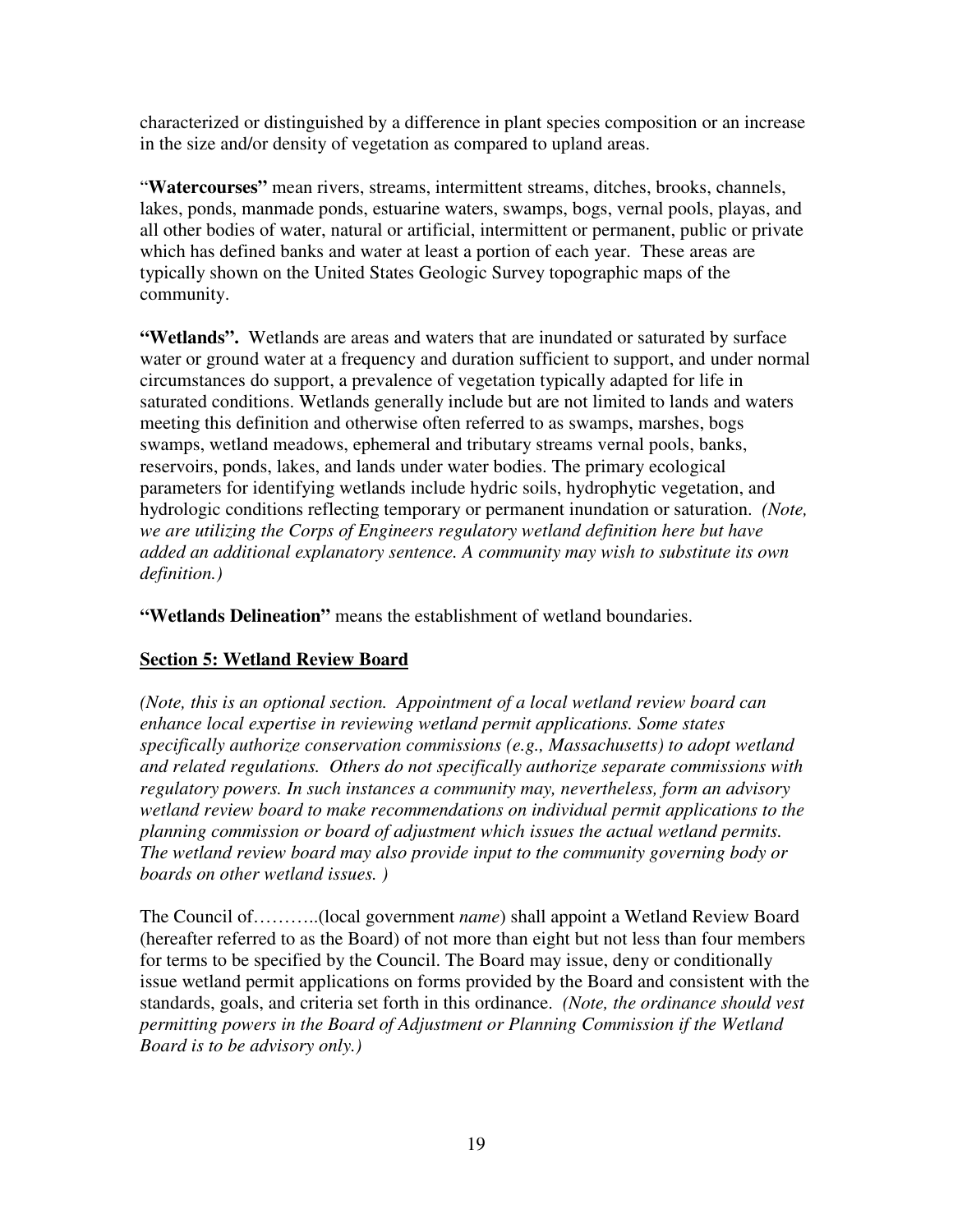characterized or distinguished by a difference in plant species composition or an increase in the size and/or density of vegetation as compared to upland areas.

"**Watercourses"** mean rivers, streams, intermittent streams, ditches, brooks, channels, lakes, ponds, manmade ponds, estuarine waters, swamps, bogs, vernal pools, playas, and all other bodies of water, natural or artificial, intermittent or permanent, public or private which has defined banks and water at least a portion of each year. These areas are typically shown on the United States Geologic Survey topographic maps of the community.

**"Wetlands".** Wetlands are areas and waters that are inundated or saturated by surface water or ground water at a frequency and duration sufficient to support, and under normal circumstances do support, a prevalence of vegetation typically adapted for life in saturated conditions. Wetlands generally include but are not limited to lands and waters meeting this definition and otherwise often referred to as swamps, marshes, bogs swamps, wetland meadows, ephemeral and tributary streams vernal pools, banks, reservoirs, ponds, lakes, and lands under water bodies. The primary ecological parameters for identifying wetlands include hydric soils, hydrophytic vegetation, and hydrologic conditions reflecting temporary or permanent inundation or saturation. *(Note, we are utilizing the Corps of Engineers regulatory wetland definition here but have added an additional explanatory sentence. A community may wish to substitute its own definition.)* 

**"Wetlands Delineation"** means the establishment of wetland boundaries.

## **Section 5: Wetland Review Board**

*(Note, this is an optional section. Appointment of a local wetland review board can enhance local expertise in reviewing wetland permit applications. Some states specifically authorize conservation commissions (e.g., Massachusetts) to adopt wetland and related regulations. Others do not specifically authorize separate commissions with regulatory powers. In such instances a community may, nevertheless, form an advisory wetland review board to make recommendations on individual permit applications to the planning commission or board of adjustment which issues the actual wetland permits. The wetland review board may also provide input to the community governing body or boards on other wetland issues. )* 

The Council of………..(local government *name*) shall appoint a Wetland Review Board (hereafter referred to as the Board) of not more than eight but not less than four members for terms to be specified by the Council. The Board may issue, deny or conditionally issue wetland permit applications on forms provided by the Board and consistent with the standards, goals, and criteria set forth in this ordinance. *(Note, the ordinance should vest permitting powers in the Board of Adjustment or Planning Commission if the Wetland Board is to be advisory only.)*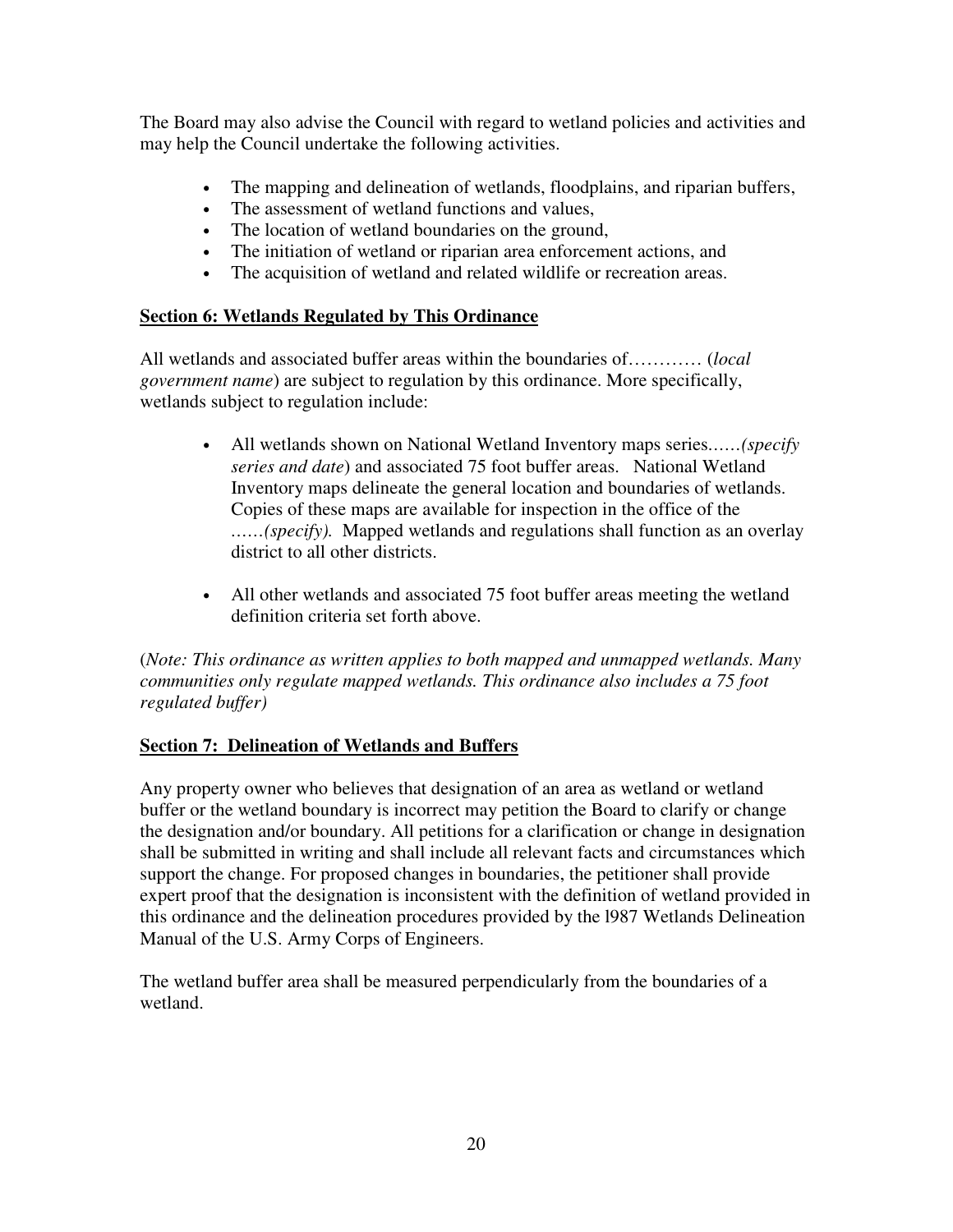The Board may also advise the Council with regard to wetland policies and activities and may help the Council undertake the following activities.

- The mapping and delineation of wetlands, floodplains, and riparian buffers,
- The assessment of wetland functions and values,
- The location of wetland boundaries on the ground,
- The initiation of wetland or riparian area enforcement actions, and
- The acquisition of wetland and related wildlife or recreation areas.

# **Section 6: Wetlands Regulated by This Ordinance**

All wetlands and associated buffer areas within the boundaries of………… (*local government name*) are subject to regulation by this ordinance. More specifically, wetlands subject to regulation include:

- All wetlands shown on National Wetland Inventory maps series*……(specify series and date*) and associated 75 foot buffer areas. National Wetland Inventory maps delineate the general location and boundaries of wetlands. Copies of these maps are available for inspection in the office of the *……(specify).* Mapped wetlands and regulations shall function as an overlay district to all other districts.
- All other wetlands and associated 75 foot buffer areas meeting the wetland definition criteria set forth above.

(*Note: This ordinance as written applies to both mapped and unmapped wetlands. Many communities only regulate mapped wetlands. This ordinance also includes a 75 foot regulated buffer)* 

# **Section 7: Delineation of Wetlands and Buffers**

Any property owner who believes that designation of an area as wetland or wetland buffer or the wetland boundary is incorrect may petition the Board to clarify or change the designation and/or boundary. All petitions for a clarification or change in designation shall be submitted in writing and shall include all relevant facts and circumstances which support the change. For proposed changes in boundaries, the petitioner shall provide expert proof that the designation is inconsistent with the definition of wetland provided in this ordinance and the delineation procedures provided by the l987 Wetlands Delineation Manual of the U.S. Army Corps of Engineers.

The wetland buffer area shall be measured perpendicularly from the boundaries of a wetland.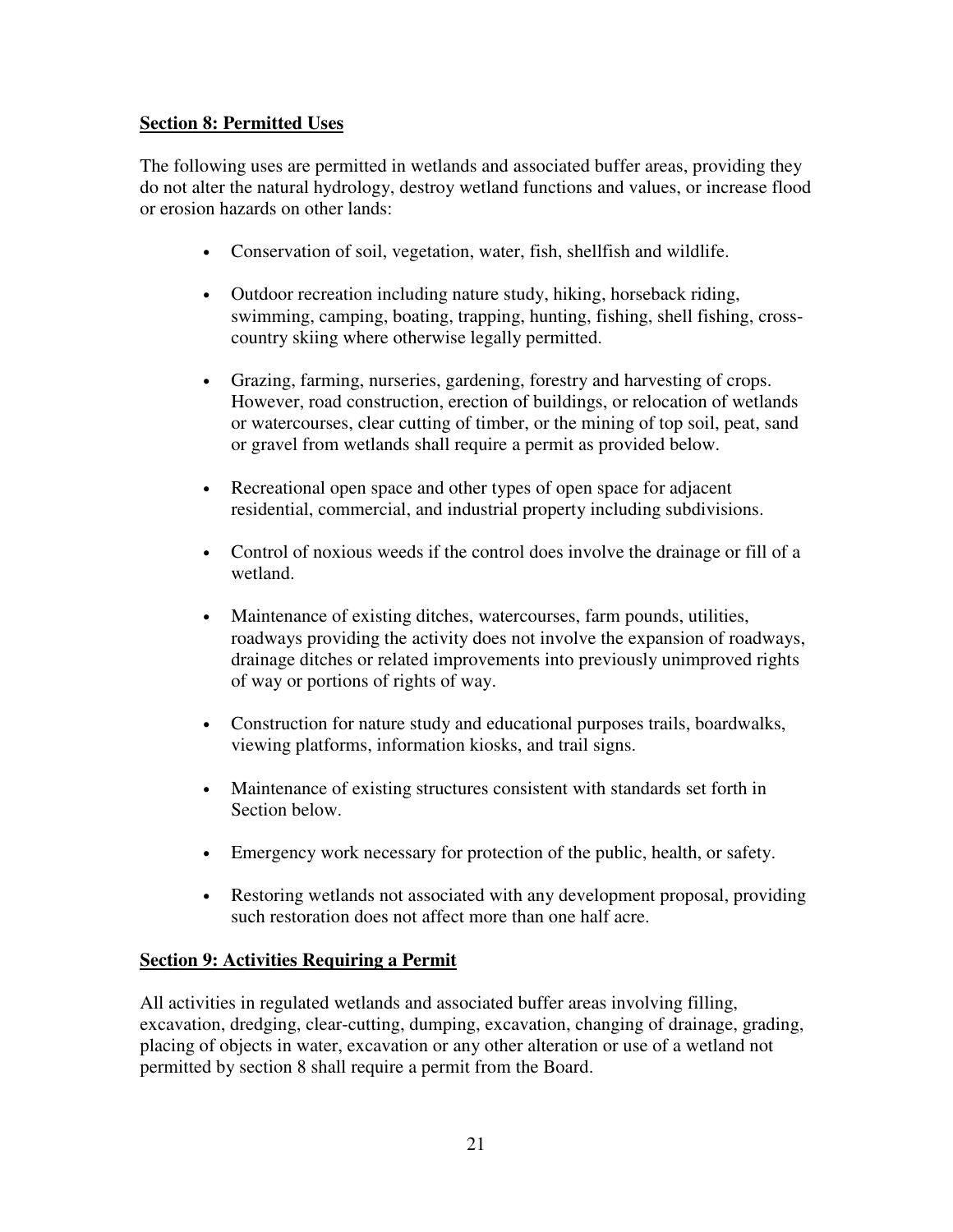## **Section 8: Permitted Uses**

The following uses are permitted in wetlands and associated buffer areas, providing they do not alter the natural hydrology, destroy wetland functions and values, or increase flood or erosion hazards on other lands:

- Conservation of soil, vegetation, water, fish, shellfish and wildlife.
- Outdoor recreation including nature study, hiking, horseback riding, swimming, camping, boating, trapping, hunting, fishing, shell fishing, crosscountry skiing where otherwise legally permitted.
- Grazing, farming, nurseries, gardening, forestry and harvesting of crops. However, road construction, erection of buildings, or relocation of wetlands or watercourses, clear cutting of timber, or the mining of top soil, peat, sand or gravel from wetlands shall require a permit as provided below.
- Recreational open space and other types of open space for adjacent residential, commercial, and industrial property including subdivisions.
- Control of noxious weeds if the control does involve the drainage or fill of a wetland.
- Maintenance of existing ditches, watercourses, farm pounds, utilities, roadways providing the activity does not involve the expansion of roadways, drainage ditches or related improvements into previously unimproved rights of way or portions of rights of way.
- Construction for nature study and educational purposes trails, boardwalks, viewing platforms, information kiosks, and trail signs.
- Maintenance of existing structures consistent with standards set forth in Section below.
- Emergency work necessary for protection of the public, health, or safety.
- Restoring wetlands not associated with any development proposal, providing such restoration does not affect more than one half acre.

## **Section 9: Activities Requiring a Permit**

All activities in regulated wetlands and associated buffer areas involving filling, excavation, dredging, clear-cutting, dumping, excavation, changing of drainage, grading, placing of objects in water, excavation or any other alteration or use of a wetland not permitted by section 8 shall require a permit from the Board.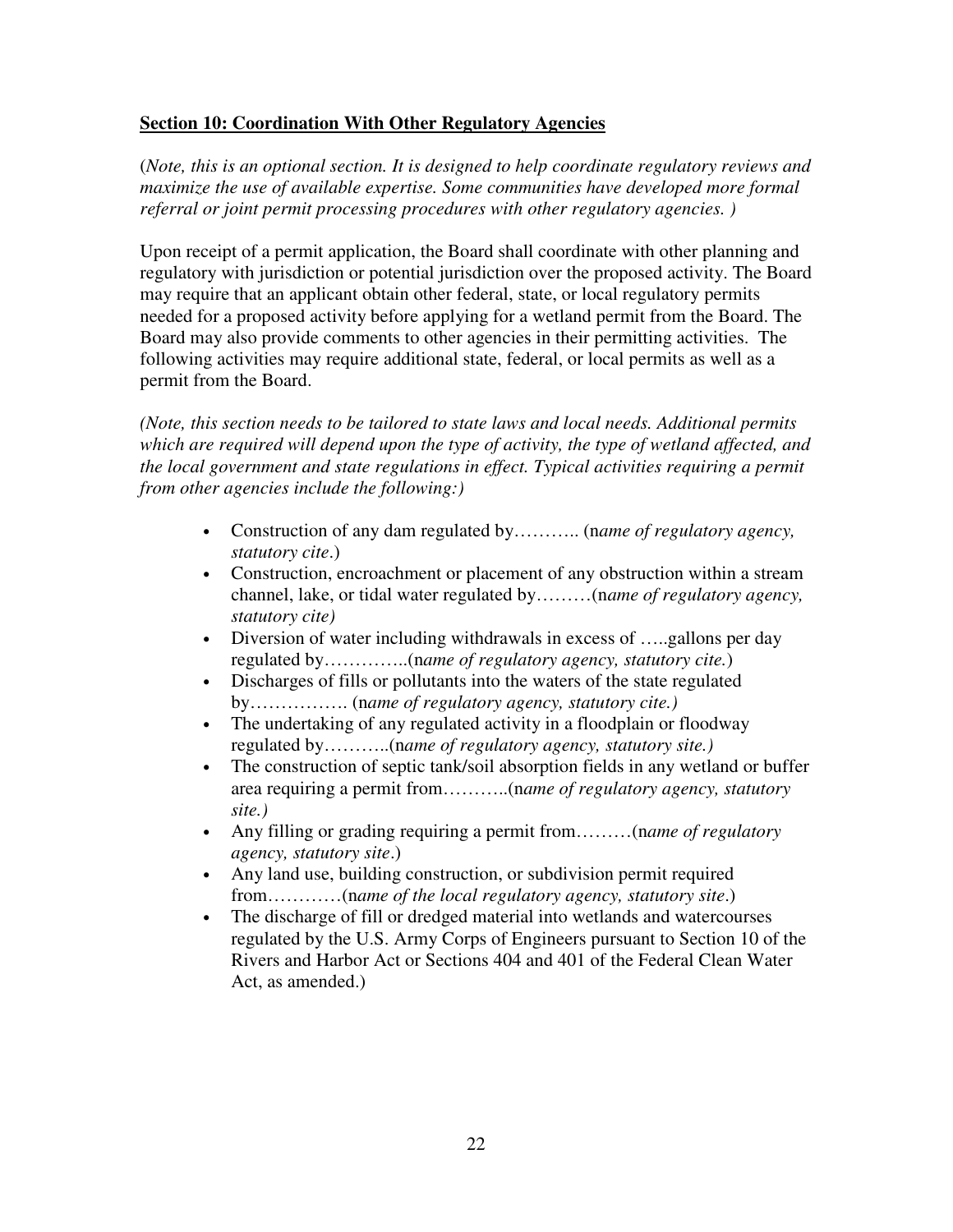#### **Section 10: Coordination With Other Regulatory Agencies**

(*Note, this is an optional section. It is designed to help coordinate regulatory reviews and maximize the use of available expertise. Some communities have developed more formal referral or joint permit processing procedures with other regulatory agencies. )* 

Upon receipt of a permit application, the Board shall coordinate with other planning and regulatory with jurisdiction or potential jurisdiction over the proposed activity. The Board may require that an applicant obtain other federal, state, or local regulatory permits needed for a proposed activity before applying for a wetland permit from the Board. The Board may also provide comments to other agencies in their permitting activities. The following activities may require additional state, federal, or local permits as well as a permit from the Board.

*(Note, this section needs to be tailored to state laws and local needs. Additional permits which are required will depend upon the type of activity, the type of wetland affected, and the local government and state regulations in effect. Typical activities requiring a permit from other agencies include the following:)* 

- Construction of any dam regulated by……….. (n*ame of regulatory agency, statutory cite*.)
- Construction, encroachment or placement of any obstruction within a stream channel, lake, or tidal water regulated by………(n*ame of regulatory agency, statutory cite)*
- Diversion of water including withdrawals in excess of .....gallons per day regulated by…………..(n*ame of regulatory agency, statutory cite.*)
- Discharges of fills or pollutants into the waters of the state regulated by……………. (n*ame of regulatory agency, statutory cite.)*
- The undertaking of any regulated activity in a floodplain or floodway regulated by………..(n*ame of regulatory agency, statutory site.)*
- The construction of septic tank/soil absorption fields in any wetland or buffer area requiring a permit from………..(n*ame of regulatory agency, statutory site.)*
- Any filling or grading requiring a permit from………(n*ame of regulatory agency, statutory site*.)
- Any land use, building construction, or subdivision permit required from…………(n*ame of the local regulatory agency, statutory site*.)
- The discharge of fill or dredged material into wetlands and watercourses regulated by the U.S. Army Corps of Engineers pursuant to Section 10 of the Rivers and Harbor Act or Sections 404 and 401 of the Federal Clean Water Act, as amended.)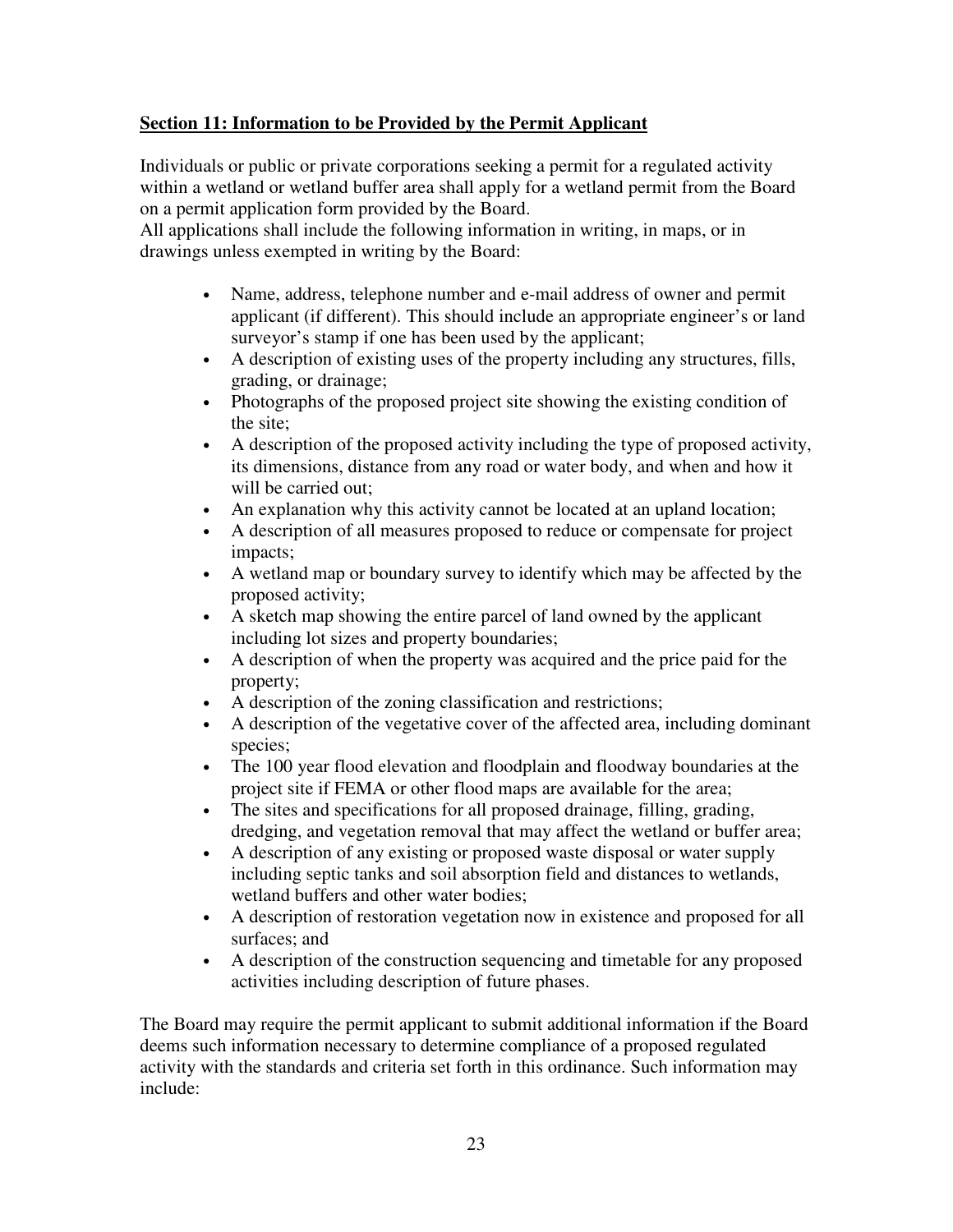# **Section 11: Information to be Provided by the Permit Applicant**

Individuals or public or private corporations seeking a permit for a regulated activity within a wetland or wetland buffer area shall apply for a wetland permit from the Board on a permit application form provided by the Board.

All applications shall include the following information in writing, in maps, or in drawings unless exempted in writing by the Board:

- Name, address, telephone number and e-mail address of owner and permit applicant (if different). This should include an appropriate engineer's or land surveyor's stamp if one has been used by the applicant;
- A description of existing uses of the property including any structures, fills, grading, or drainage;
- Photographs of the proposed project site showing the existing condition of the site;
- A description of the proposed activity including the type of proposed activity, its dimensions, distance from any road or water body, and when and how it will be carried out;
- An explanation why this activity cannot be located at an upland location;
- A description of all measures proposed to reduce or compensate for project impacts;
- A wetland map or boundary survey to identify which may be affected by the proposed activity;
- A sketch map showing the entire parcel of land owned by the applicant including lot sizes and property boundaries;
- A description of when the property was acquired and the price paid for the property;
- A description of the zoning classification and restrictions;
- A description of the vegetative cover of the affected area, including dominant species;
- The 100 year flood elevation and floodplain and floodway boundaries at the project site if FEMA or other flood maps are available for the area;
- The sites and specifications for all proposed drainage, filling, grading, dredging, and vegetation removal that may affect the wetland or buffer area;
- A description of any existing or proposed waste disposal or water supply including septic tanks and soil absorption field and distances to wetlands, wetland buffers and other water bodies;
- A description of restoration vegetation now in existence and proposed for all surfaces; and
- A description of the construction sequencing and timetable for any proposed activities including description of future phases.

The Board may require the permit applicant to submit additional information if the Board deems such information necessary to determine compliance of a proposed regulated activity with the standards and criteria set forth in this ordinance. Such information may include: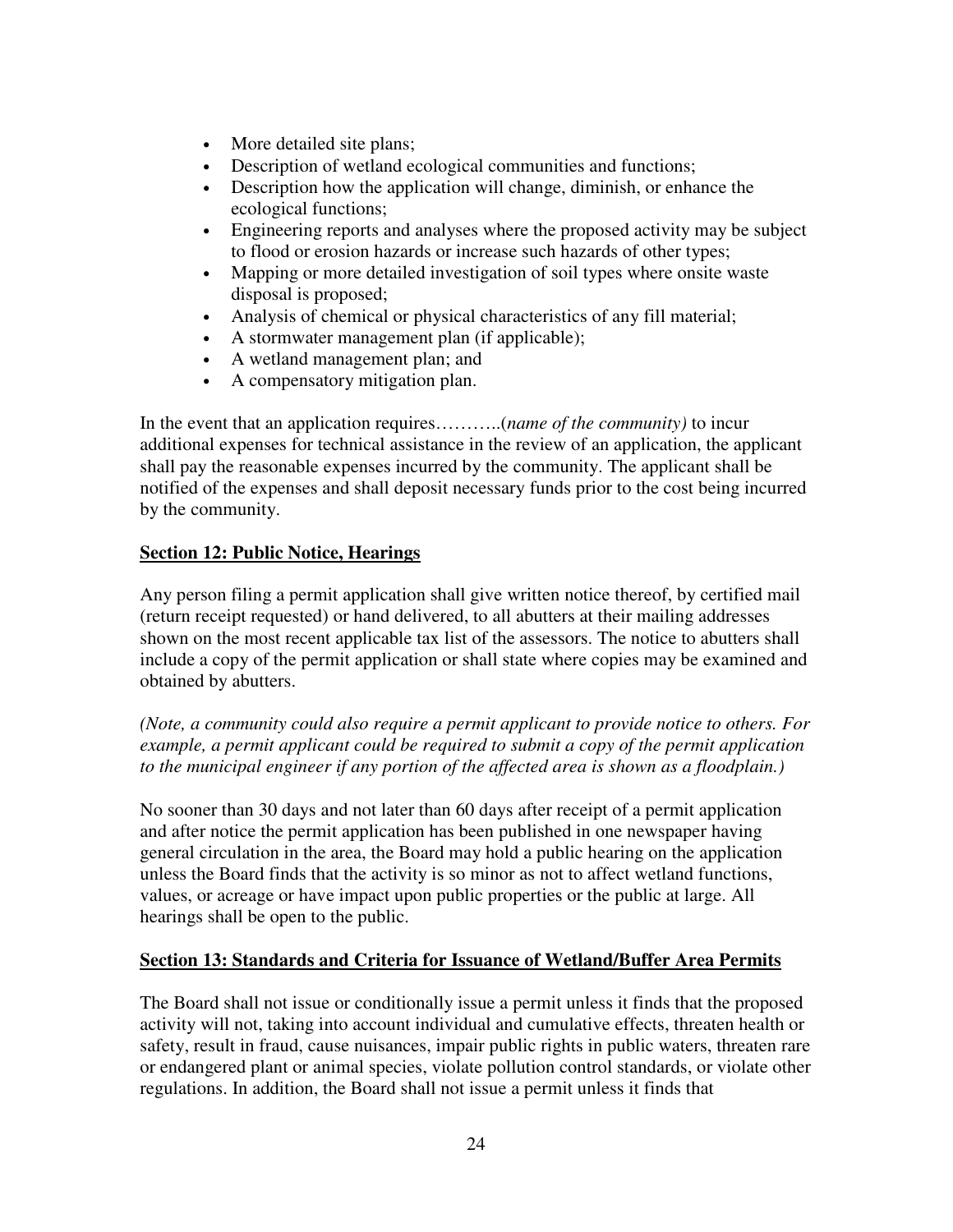- More detailed site plans;
- Description of wetland ecological communities and functions;
- Description how the application will change, diminish, or enhance the ecological functions;
- Engineering reports and analyses where the proposed activity may be subject to flood or erosion hazards or increase such hazards of other types;
- Mapping or more detailed investigation of soil types where onsite waste disposal is proposed;
- Analysis of chemical or physical characteristics of any fill material;
- A stormwater management plan (if applicable);
- A wetland management plan; and
- A compensatory mitigation plan.

In the event that an application requires………..(*name of the community)* to incur additional expenses for technical assistance in the review of an application, the applicant shall pay the reasonable expenses incurred by the community. The applicant shall be notified of the expenses and shall deposit necessary funds prior to the cost being incurred by the community.

## **Section 12: Public Notice, Hearings**

Any person filing a permit application shall give written notice thereof, by certified mail (return receipt requested) or hand delivered, to all abutters at their mailing addresses shown on the most recent applicable tax list of the assessors. The notice to abutters shall include a copy of the permit application or shall state where copies may be examined and obtained by abutters.

*(Note, a community could also require a permit applicant to provide notice to others. For example, a permit applicant could be required to submit a copy of the permit application to the municipal engineer if any portion of the affected area is shown as a floodplain.)* 

No sooner than 30 days and not later than 60 days after receipt of a permit application and after notice the permit application has been published in one newspaper having general circulation in the area, the Board may hold a public hearing on the application unless the Board finds that the activity is so minor as not to affect wetland functions, values, or acreage or have impact upon public properties or the public at large. All hearings shall be open to the public.

## **Section 13: Standards and Criteria for Issuance of Wetland/Buffer Area Permits**

The Board shall not issue or conditionally issue a permit unless it finds that the proposed activity will not, taking into account individual and cumulative effects, threaten health or safety, result in fraud, cause nuisances, impair public rights in public waters, threaten rare or endangered plant or animal species, violate pollution control standards, or violate other regulations. In addition, the Board shall not issue a permit unless it finds that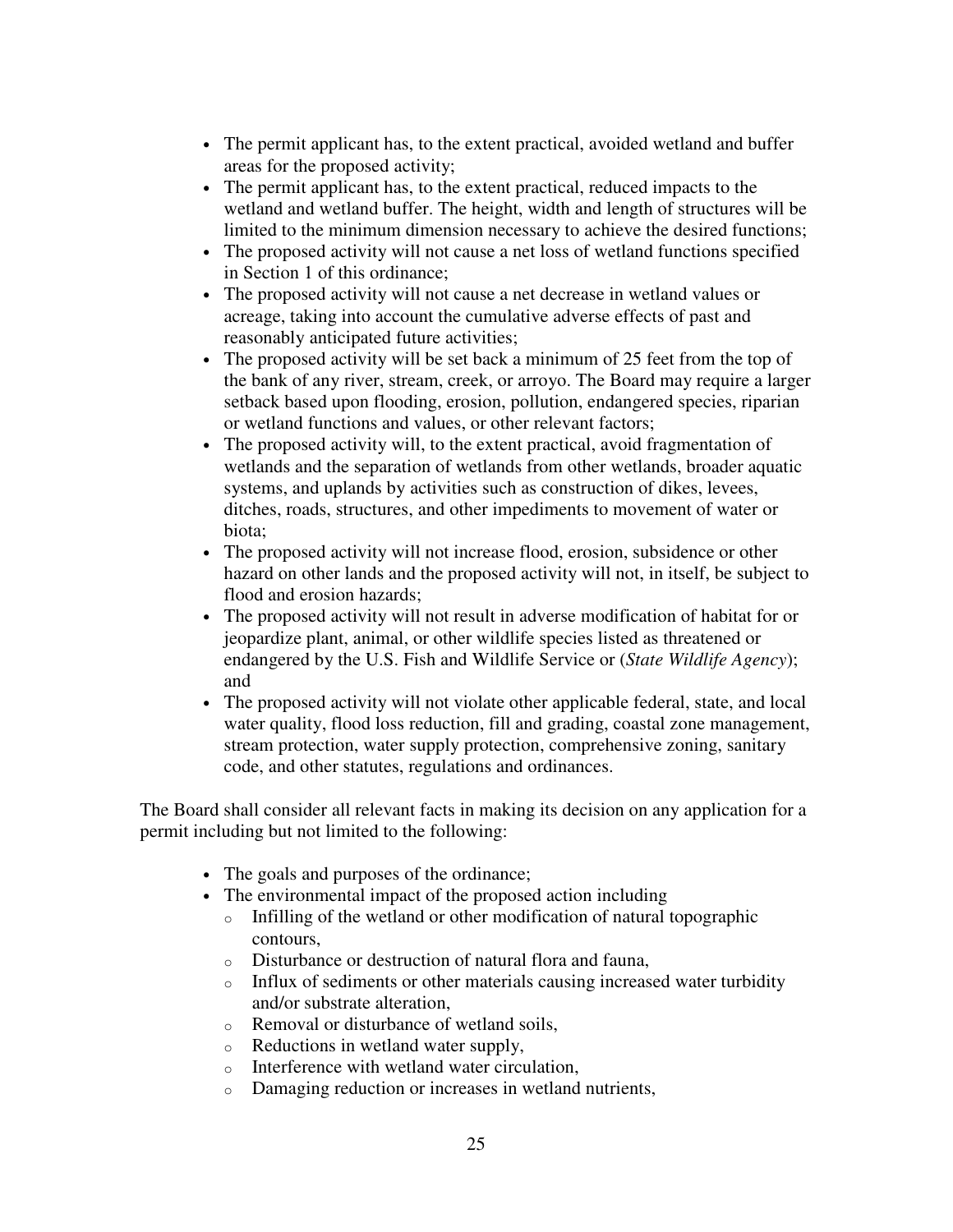- The permit applicant has, to the extent practical, avoided wetland and buffer areas for the proposed activity;
- The permit applicant has, to the extent practical, reduced impacts to the wetland and wetland buffer. The height, width and length of structures will be limited to the minimum dimension necessary to achieve the desired functions;
- The proposed activity will not cause a net loss of wetland functions specified in Section 1 of this ordinance;
- The proposed activity will not cause a net decrease in wetland values or acreage, taking into account the cumulative adverse effects of past and reasonably anticipated future activities;
- The proposed activity will be set back a minimum of 25 feet from the top of the bank of any river, stream, creek, or arroyo. The Board may require a larger setback based upon flooding, erosion, pollution, endangered species, riparian or wetland functions and values, or other relevant factors;
- The proposed activity will, to the extent practical, avoid fragmentation of wetlands and the separation of wetlands from other wetlands, broader aquatic systems, and uplands by activities such as construction of dikes, levees, ditches, roads, structures, and other impediments to movement of water or biota;
- The proposed activity will not increase flood, erosion, subsidence or other hazard on other lands and the proposed activity will not, in itself, be subject to flood and erosion hazards;
- The proposed activity will not result in adverse modification of habitat for or jeopardize plant, animal, or other wildlife species listed as threatened or endangered by the U.S. Fish and Wildlife Service or (*State Wildlife Agency*); and
- The proposed activity will not violate other applicable federal, state, and local water quality, flood loss reduction, fill and grading, coastal zone management, stream protection, water supply protection, comprehensive zoning, sanitary code, and other statutes, regulations and ordinances.

The Board shall consider all relevant facts in making its decision on any application for a permit including but not limited to the following:

- The goals and purposes of the ordinance;
- The environmental impact of the proposed action including
	- o Infilling of the wetland or other modification of natural topographic contours,
	- o Disturbance or destruction of natural flora and fauna,
	- o Influx of sediments or other materials causing increased water turbidity and/or substrate alteration,
	- o Removal or disturbance of wetland soils,
	- o Reductions in wetland water supply,
	- o Interference with wetland water circulation,
	- o Damaging reduction or increases in wetland nutrients,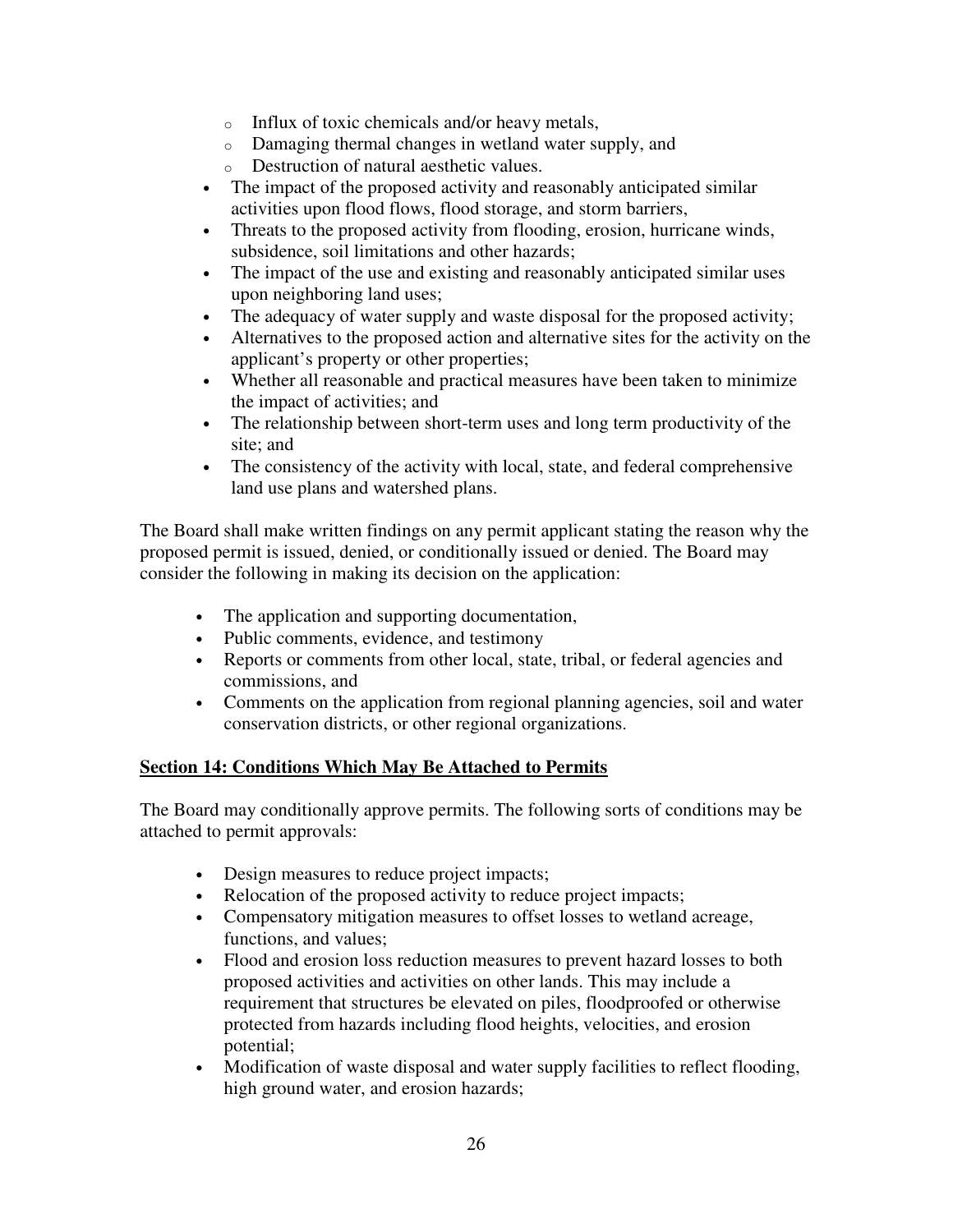- o Influx of toxic chemicals and/or heavy metals,
- o Damaging thermal changes in wetland water supply, and
- o Destruction of natural aesthetic values.
- The impact of the proposed activity and reasonably anticipated similar activities upon flood flows, flood storage, and storm barriers,
- Threats to the proposed activity from flooding, erosion, hurricane winds, subsidence, soil limitations and other hazards;
- The impact of the use and existing and reasonably anticipated similar uses upon neighboring land uses;
- The adequacy of water supply and waste disposal for the proposed activity;
- Alternatives to the proposed action and alternative sites for the activity on the applicant's property or other properties;
- Whether all reasonable and practical measures have been taken to minimize the impact of activities; and
- The relationship between short-term uses and long term productivity of the site; and
- The consistency of the activity with local, state, and federal comprehensive land use plans and watershed plans.

The Board shall make written findings on any permit applicant stating the reason why the proposed permit is issued, denied, or conditionally issued or denied. The Board may consider the following in making its decision on the application:

- The application and supporting documentation,
- Public comments, evidence, and testimony
- Reports or comments from other local, state, tribal, or federal agencies and commissions, and
- Comments on the application from regional planning agencies, soil and water conservation districts, or other regional organizations.

## **Section 14: Conditions Which May Be Attached to Permits**

The Board may conditionally approve permits. The following sorts of conditions may be attached to permit approvals:

- Design measures to reduce project impacts;
- Relocation of the proposed activity to reduce project impacts;
- Compensatory mitigation measures to offset losses to wetland acreage, functions, and values;
- Flood and erosion loss reduction measures to prevent hazard losses to both proposed activities and activities on other lands. This may include a requirement that structures be elevated on piles, floodproofed or otherwise protected from hazards including flood heights, velocities, and erosion potential;
- Modification of waste disposal and water supply facilities to reflect flooding, high ground water, and erosion hazards;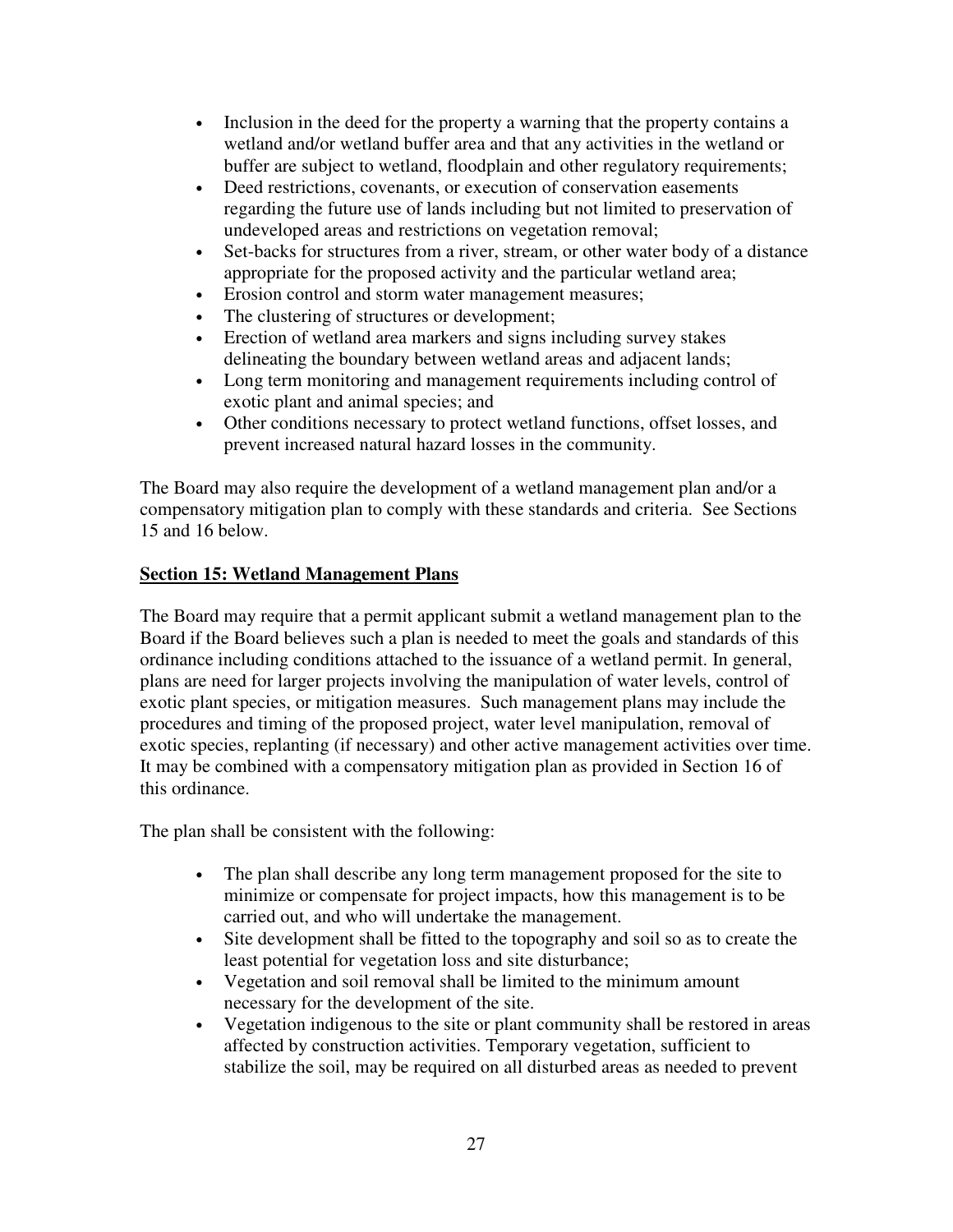- Inclusion in the deed for the property a warning that the property contains a wetland and/or wetland buffer area and that any activities in the wetland or buffer are subject to wetland, floodplain and other regulatory requirements;
- Deed restrictions, covenants, or execution of conservation easements regarding the future use of lands including but not limited to preservation of undeveloped areas and restrictions on vegetation removal;
- Set-backs for structures from a river, stream, or other water body of a distance appropriate for the proposed activity and the particular wetland area;
- Erosion control and storm water management measures;
- The clustering of structures or development;
- Erection of wetland area markers and signs including survey stakes delineating the boundary between wetland areas and adjacent lands;
- Long term monitoring and management requirements including control of exotic plant and animal species; and
- Other conditions necessary to protect wetland functions, offset losses, and prevent increased natural hazard losses in the community.

The Board may also require the development of a wetland management plan and/or a compensatory mitigation plan to comply with these standards and criteria. See Sections 15 and 16 below.

# **Section 15: Wetland Management Plans**

The Board may require that a permit applicant submit a wetland management plan to the Board if the Board believes such a plan is needed to meet the goals and standards of this ordinance including conditions attached to the issuance of a wetland permit. In general, plans are need for larger projects involving the manipulation of water levels, control of exotic plant species, or mitigation measures. Such management plans may include the procedures and timing of the proposed project, water level manipulation, removal of exotic species, replanting (if necessary) and other active management activities over time. It may be combined with a compensatory mitigation plan as provided in Section 16 of this ordinance.

The plan shall be consistent with the following:

- The plan shall describe any long term management proposed for the site to minimize or compensate for project impacts, how this management is to be carried out, and who will undertake the management.
- Site development shall be fitted to the topography and soil so as to create the least potential for vegetation loss and site disturbance;
- Vegetation and soil removal shall be limited to the minimum amount necessary for the development of the site.
- Vegetation indigenous to the site or plant community shall be restored in areas affected by construction activities. Temporary vegetation, sufficient to stabilize the soil, may be required on all disturbed areas as needed to prevent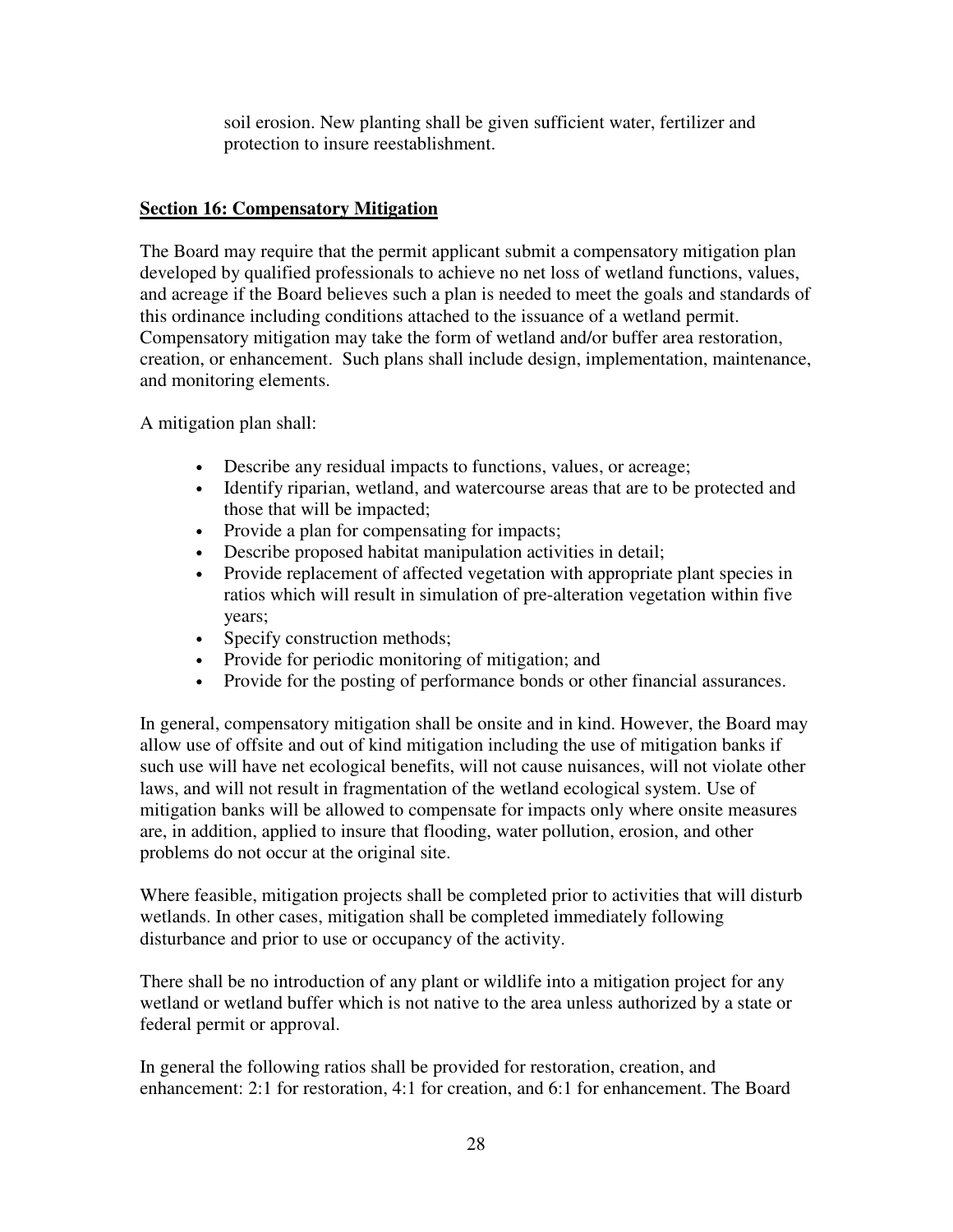soil erosion. New planting shall be given sufficient water, fertilizer and protection to insure reestablishment.

# **Section 16: Compensatory Mitigation**

The Board may require that the permit applicant submit a compensatory mitigation plan developed by qualified professionals to achieve no net loss of wetland functions, values, and acreage if the Board believes such a plan is needed to meet the goals and standards of this ordinance including conditions attached to the issuance of a wetland permit. Compensatory mitigation may take the form of wetland and/or buffer area restoration, creation, or enhancement. Such plans shall include design, implementation, maintenance, and monitoring elements.

A mitigation plan shall:

- Describe any residual impacts to functions, values, or acreage;
- Identify riparian, wetland, and watercourse areas that are to be protected and those that will be impacted;
- Provide a plan for compensating for impacts;
- Describe proposed habitat manipulation activities in detail;
- Provide replacement of affected vegetation with appropriate plant species in ratios which will result in simulation of pre-alteration vegetation within five years;
- Specify construction methods;
- Provide for periodic monitoring of mitigation; and
- Provide for the posting of performance bonds or other financial assurances.

In general, compensatory mitigation shall be onsite and in kind. However, the Board may allow use of offsite and out of kind mitigation including the use of mitigation banks if such use will have net ecological benefits, will not cause nuisances, will not violate other laws, and will not result in fragmentation of the wetland ecological system. Use of mitigation banks will be allowed to compensate for impacts only where onsite measures are, in addition, applied to insure that flooding, water pollution, erosion, and other problems do not occur at the original site.

Where feasible, mitigation projects shall be completed prior to activities that will disturb wetlands. In other cases, mitigation shall be completed immediately following disturbance and prior to use or occupancy of the activity.

There shall be no introduction of any plant or wildlife into a mitigation project for any wetland or wetland buffer which is not native to the area unless authorized by a state or federal permit or approval.

In general the following ratios shall be provided for restoration, creation, and enhancement: 2:1 for restoration, 4:1 for creation, and 6:1 for enhancement. The Board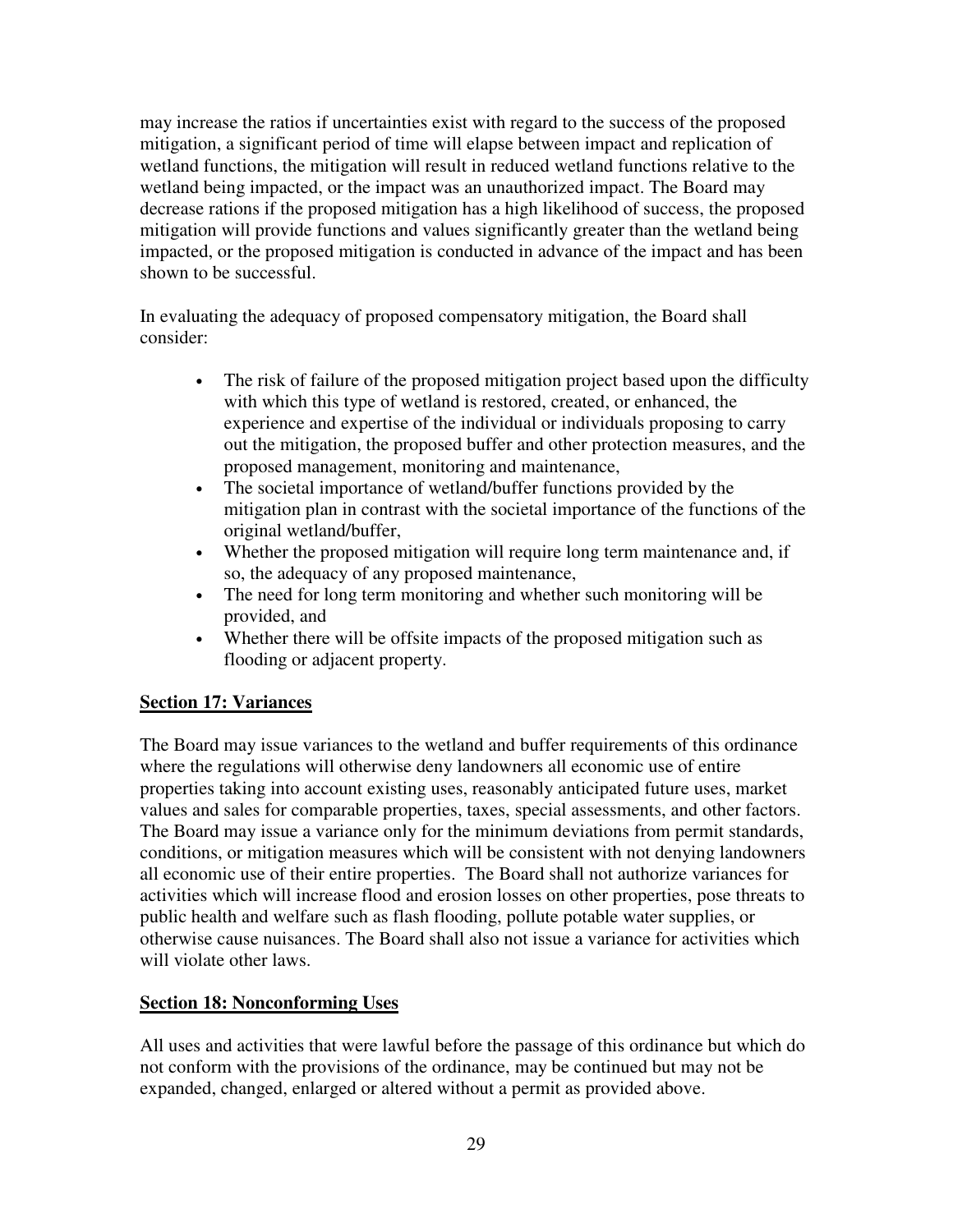may increase the ratios if uncertainties exist with regard to the success of the proposed mitigation, a significant period of time will elapse between impact and replication of wetland functions, the mitigation will result in reduced wetland functions relative to the wetland being impacted, or the impact was an unauthorized impact. The Board may decrease rations if the proposed mitigation has a high likelihood of success, the proposed mitigation will provide functions and values significantly greater than the wetland being impacted, or the proposed mitigation is conducted in advance of the impact and has been shown to be successful.

In evaluating the adequacy of proposed compensatory mitigation, the Board shall consider:

- The risk of failure of the proposed mitigation project based upon the difficulty with which this type of wetland is restored, created, or enhanced, the experience and expertise of the individual or individuals proposing to carry out the mitigation, the proposed buffer and other protection measures, and the proposed management, monitoring and maintenance,
- The societal importance of wetland/buffer functions provided by the mitigation plan in contrast with the societal importance of the functions of the original wetland/buffer,
- Whether the proposed mitigation will require long term maintenance and, if so, the adequacy of any proposed maintenance,
- The need for long term monitoring and whether such monitoring will be provided, and
- Whether there will be offsite impacts of the proposed mitigation such as flooding or adjacent property.

## **Section 17: Variances**

The Board may issue variances to the wetland and buffer requirements of this ordinance where the regulations will otherwise deny landowners all economic use of entire properties taking into account existing uses, reasonably anticipated future uses, market values and sales for comparable properties, taxes, special assessments, and other factors. The Board may issue a variance only for the minimum deviations from permit standards, conditions, or mitigation measures which will be consistent with not denying landowners all economic use of their entire properties. The Board shall not authorize variances for activities which will increase flood and erosion losses on other properties, pose threats to public health and welfare such as flash flooding, pollute potable water supplies, or otherwise cause nuisances. The Board shall also not issue a variance for activities which will violate other laws.

## **Section 18: Nonconforming Uses**

All uses and activities that were lawful before the passage of this ordinance but which do not conform with the provisions of the ordinance, may be continued but may not be expanded, changed, enlarged or altered without a permit as provided above.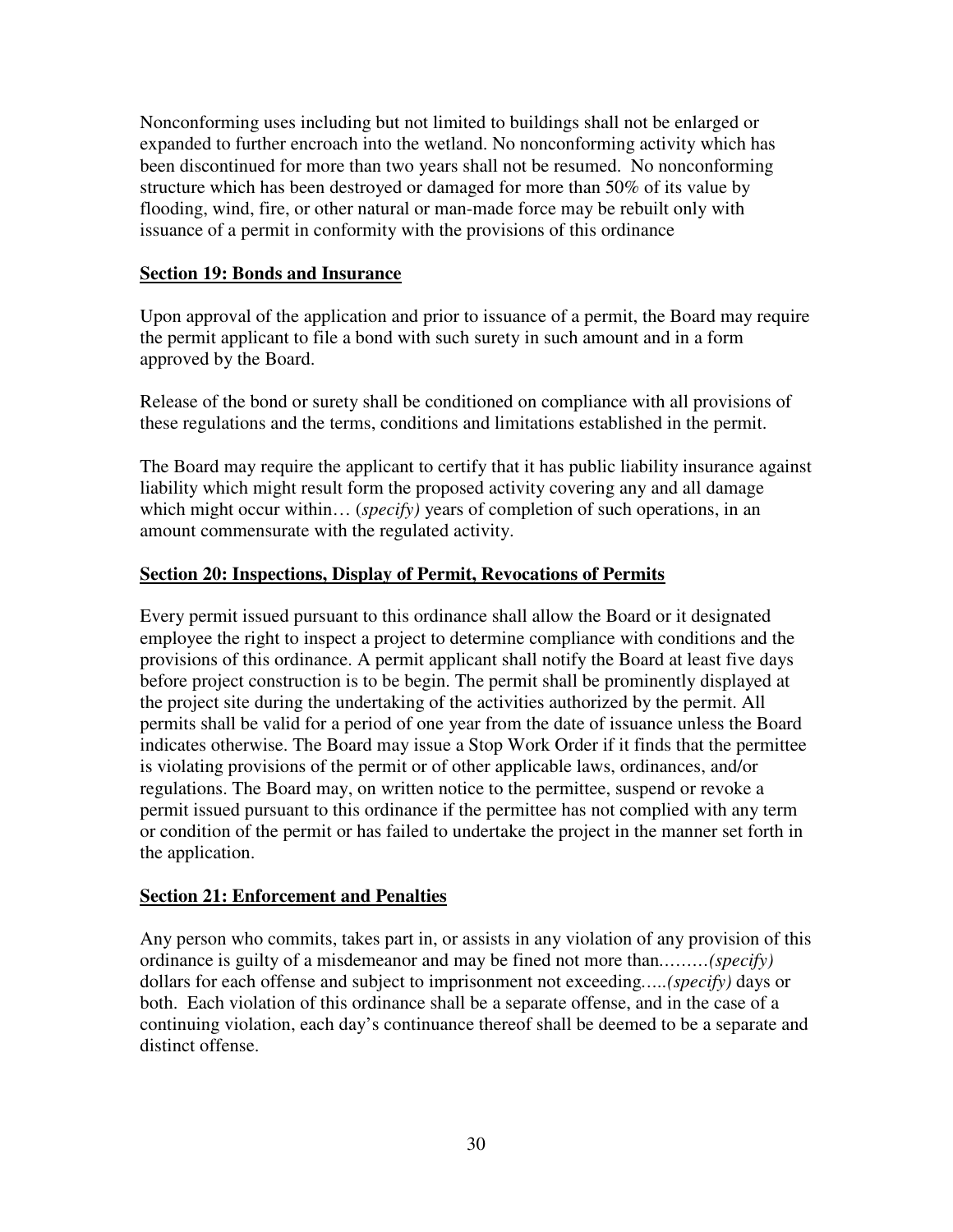Nonconforming uses including but not limited to buildings shall not be enlarged or expanded to further encroach into the wetland. No nonconforming activity which has been discontinued for more than two years shall not be resumed. No nonconforming structure which has been destroyed or damaged for more than 50% of its value by flooding, wind, fire, or other natural or man-made force may be rebuilt only with issuance of a permit in conformity with the provisions of this ordinance

#### **Section 19: Bonds and Insurance**

Upon approval of the application and prior to issuance of a permit, the Board may require the permit applicant to file a bond with such surety in such amount and in a form approved by the Board.

Release of the bond or surety shall be conditioned on compliance with all provisions of these regulations and the terms, conditions and limitations established in the permit.

The Board may require the applicant to certify that it has public liability insurance against liability which might result form the proposed activity covering any and all damage which might occur within... (*specify*) years of completion of such operations, in an amount commensurate with the regulated activity.

#### **Section 20: Inspections, Display of Permit, Revocations of Permits**

Every permit issued pursuant to this ordinance shall allow the Board or it designated employee the right to inspect a project to determine compliance with conditions and the provisions of this ordinance. A permit applicant shall notify the Board at least five days before project construction is to be begin. The permit shall be prominently displayed at the project site during the undertaking of the activities authorized by the permit. All permits shall be valid for a period of one year from the date of issuance unless the Board indicates otherwise. The Board may issue a Stop Work Order if it finds that the permittee is violating provisions of the permit or of other applicable laws, ordinances, and/or regulations. The Board may, on written notice to the permittee, suspend or revoke a permit issued pursuant to this ordinance if the permittee has not complied with any term or condition of the permit or has failed to undertake the project in the manner set forth in the application.

#### **Section 21: Enforcement and Penalties**

Any person who commits, takes part in, or assists in any violation of any provision of this ordinance is guilty of a misdemeanor and may be fined not more than*………(specify)* dollars for each offense and subject to imprisonment not exceeding*…..(specify)* days or both. Each violation of this ordinance shall be a separate offense, and in the case of a continuing violation, each day's continuance thereof shall be deemed to be a separate and distinct offense.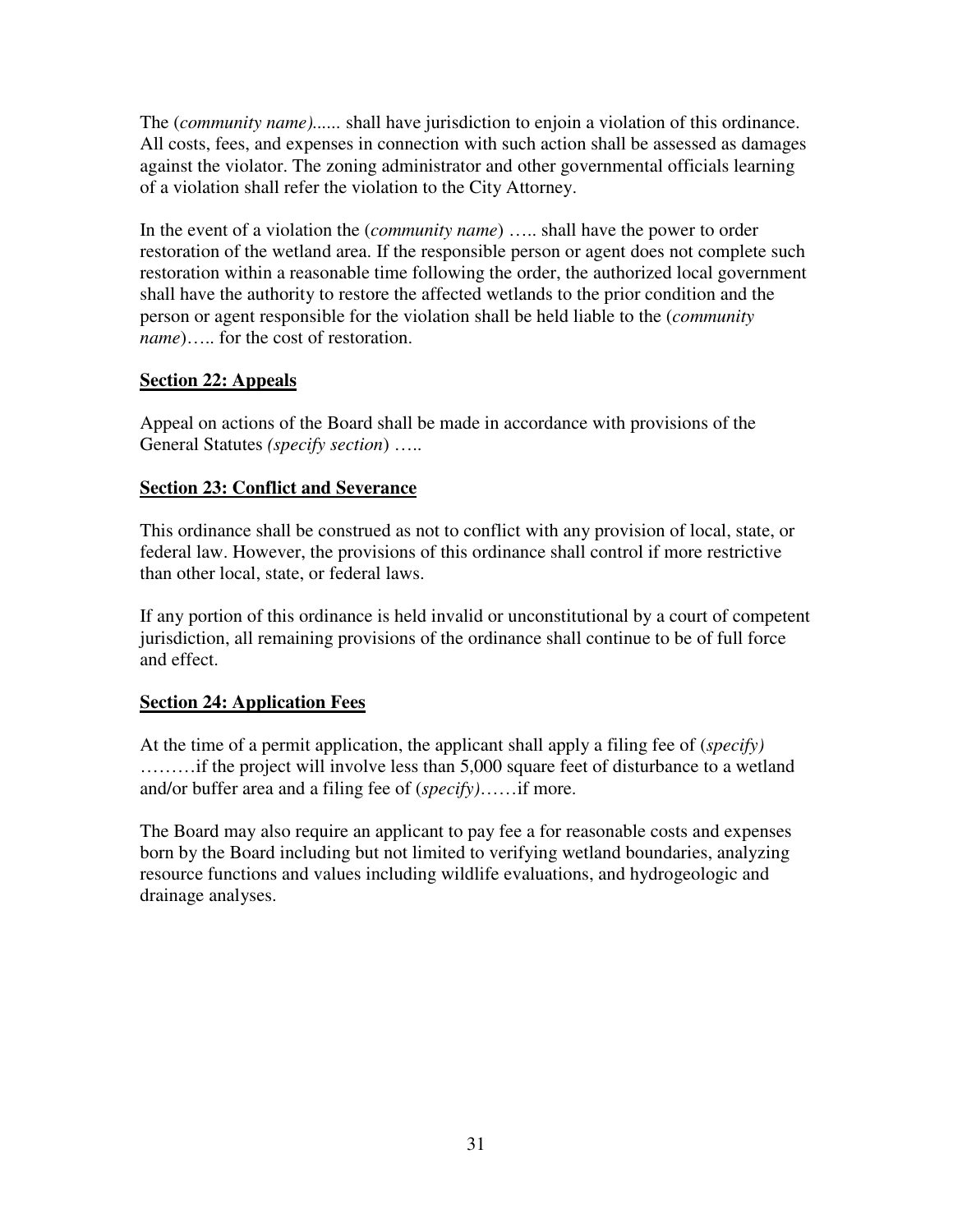The (*community name)......* shall have jurisdiction to enjoin a violation of this ordinance. All costs, fees, and expenses in connection with such action shall be assessed as damages against the violator. The zoning administrator and other governmental officials learning of a violation shall refer the violation to the City Attorney.

In the event of a violation the (*community name*) ….. shall have the power to order restoration of the wetland area. If the responsible person or agent does not complete such restoration within a reasonable time following the order, the authorized local government shall have the authority to restore the affected wetlands to the prior condition and the person or agent responsible for the violation shall be held liable to the (*community name*)..... for the cost of restoration.

## **Section 22: Appeals**

Appeal on actions of the Board shall be made in accordance with provisions of the General Statutes *(specify section*) …..

#### **Section 23: Conflict and Severance**

This ordinance shall be construed as not to conflict with any provision of local, state, or federal law. However, the provisions of this ordinance shall control if more restrictive than other local, state, or federal laws.

If any portion of this ordinance is held invalid or unconstitutional by a court of competent jurisdiction, all remaining provisions of the ordinance shall continue to be of full force and effect.

## **Section 24: Application Fees**

At the time of a permit application, the applicant shall apply a filing fee of (*specify)*  ………if the project will involve less than 5,000 square feet of disturbance to a wetland and/or buffer area and a filing fee of (*specify)*……if more.

The Board may also require an applicant to pay fee a for reasonable costs and expenses born by the Board including but not limited to verifying wetland boundaries, analyzing resource functions and values including wildlife evaluations, and hydrogeologic and drainage analyses.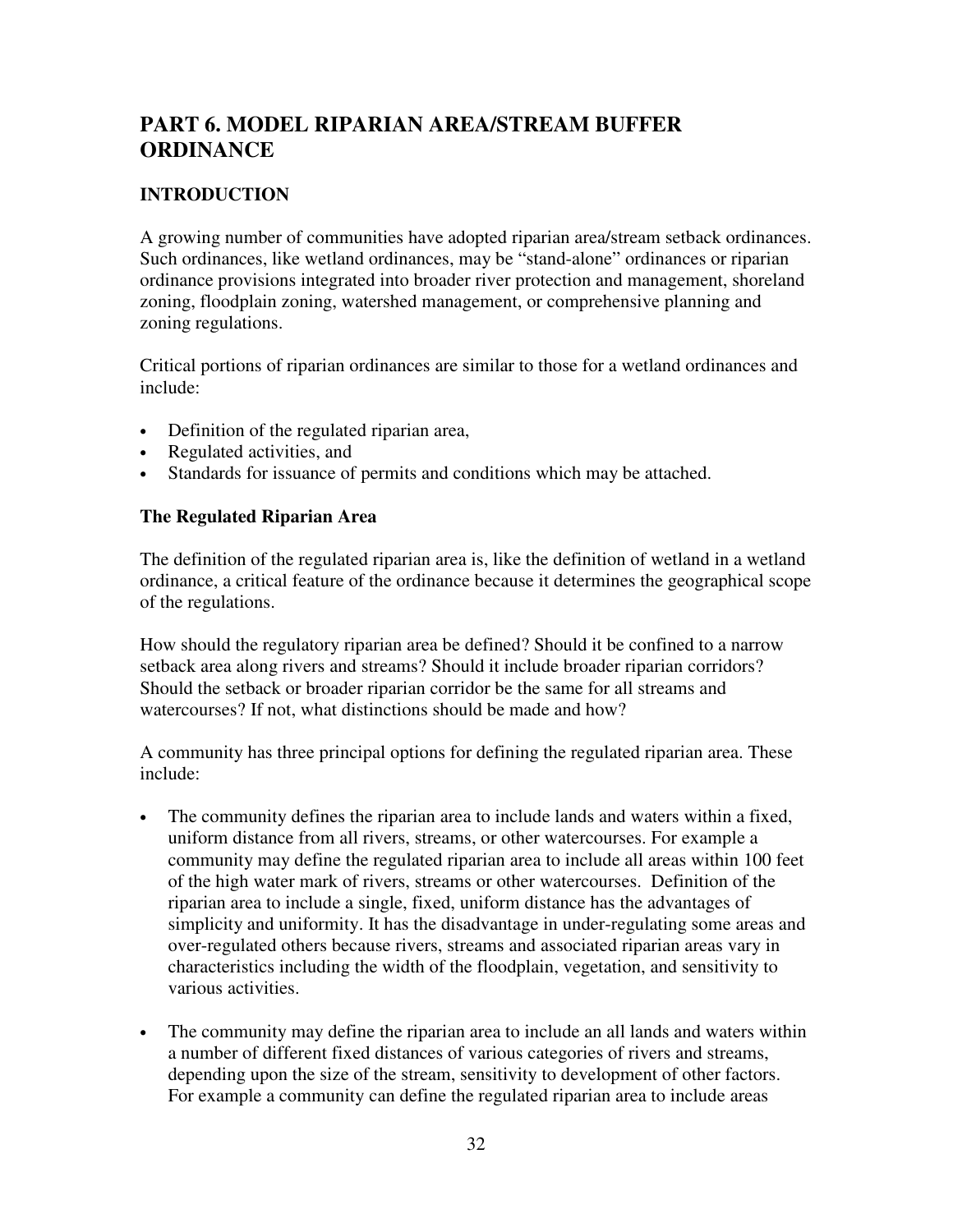# **PART 6. MODEL RIPARIAN AREA/STREAM BUFFER ORDINANCE**

# **INTRODUCTION**

A growing number of communities have adopted riparian area/stream setback ordinances. Such ordinances, like wetland ordinances, may be "stand-alone" ordinances or riparian ordinance provisions integrated into broader river protection and management, shoreland zoning, floodplain zoning, watershed management, or comprehensive planning and zoning regulations.

Critical portions of riparian ordinances are similar to those for a wetland ordinances and include:

- Definition of the regulated riparian area,
- Regulated activities, and
- Standards for issuance of permits and conditions which may be attached.

# **The Regulated Riparian Area**

The definition of the regulated riparian area is, like the definition of wetland in a wetland ordinance, a critical feature of the ordinance because it determines the geographical scope of the regulations.

How should the regulatory riparian area be defined? Should it be confined to a narrow setback area along rivers and streams? Should it include broader riparian corridors? Should the setback or broader riparian corridor be the same for all streams and watercourses? If not, what distinctions should be made and how?

A community has three principal options for defining the regulated riparian area. These include:

- The community defines the riparian area to include lands and waters within a fixed, uniform distance from all rivers, streams, or other watercourses. For example a community may define the regulated riparian area to include all areas within 100 feet of the high water mark of rivers, streams or other watercourses. Definition of the riparian area to include a single, fixed, uniform distance has the advantages of simplicity and uniformity. It has the disadvantage in under-regulating some areas and over-regulated others because rivers, streams and associated riparian areas vary in characteristics including the width of the floodplain, vegetation, and sensitivity to various activities.
- The community may define the riparian area to include an all lands and waters within a number of different fixed distances of various categories of rivers and streams, depending upon the size of the stream, sensitivity to development of other factors. For example a community can define the regulated riparian area to include areas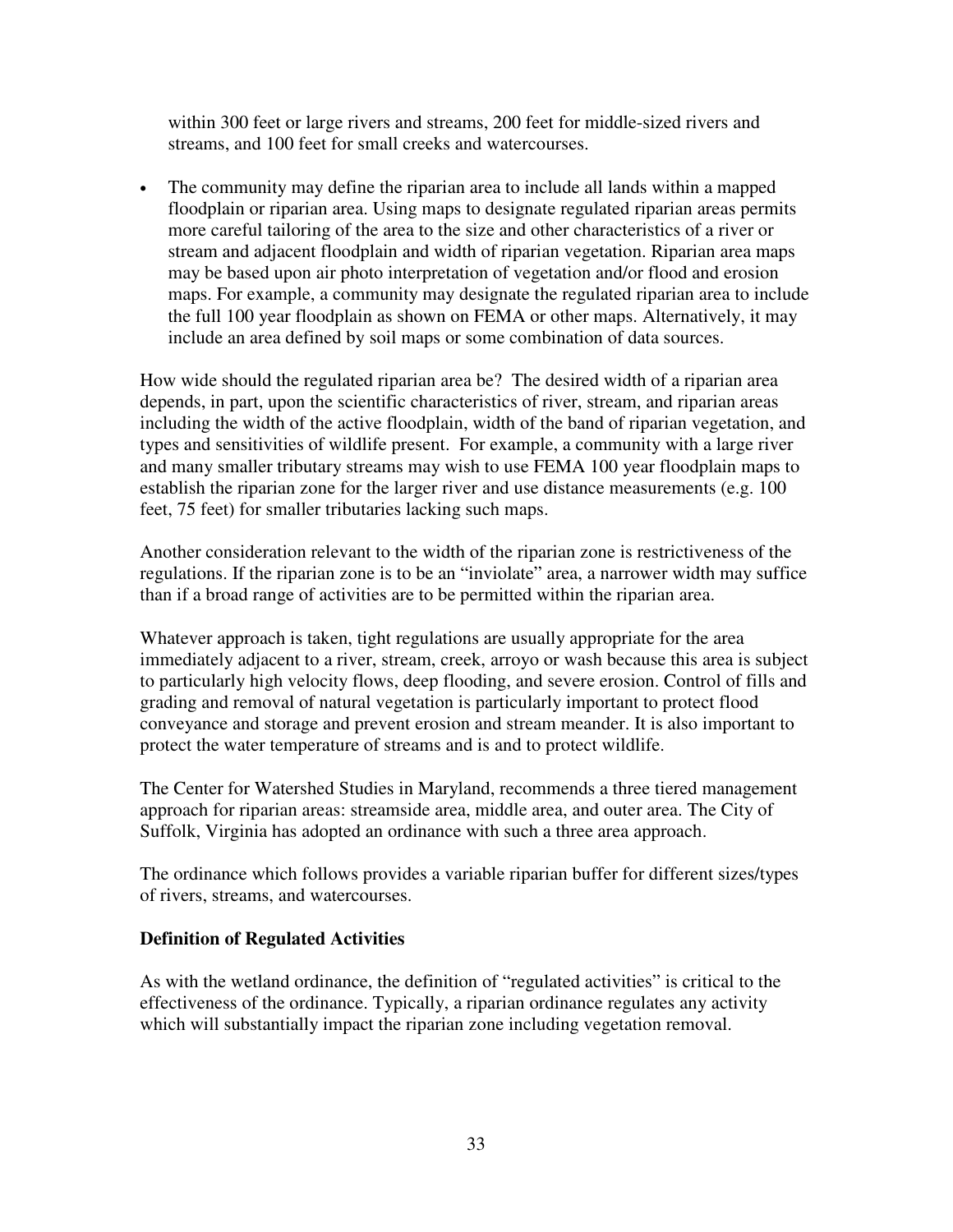within 300 feet or large rivers and streams, 200 feet for middle-sized rivers and streams, and 100 feet for small creeks and watercourses.

• The community may define the riparian area to include all lands within a mapped floodplain or riparian area. Using maps to designate regulated riparian areas permits more careful tailoring of the area to the size and other characteristics of a river or stream and adjacent floodplain and width of riparian vegetation. Riparian area maps may be based upon air photo interpretation of vegetation and/or flood and erosion maps. For example, a community may designate the regulated riparian area to include the full 100 year floodplain as shown on FEMA or other maps. Alternatively, it may include an area defined by soil maps or some combination of data sources.

How wide should the regulated riparian area be? The desired width of a riparian area depends, in part, upon the scientific characteristics of river, stream, and riparian areas including the width of the active floodplain, width of the band of riparian vegetation, and types and sensitivities of wildlife present. For example, a community with a large river and many smaller tributary streams may wish to use FEMA 100 year floodplain maps to establish the riparian zone for the larger river and use distance measurements (e.g. 100 feet, 75 feet) for smaller tributaries lacking such maps.

Another consideration relevant to the width of the riparian zone is restrictiveness of the regulations. If the riparian zone is to be an "inviolate" area, a narrower width may suffice than if a broad range of activities are to be permitted within the riparian area.

Whatever approach is taken, tight regulations are usually appropriate for the area immediately adjacent to a river, stream, creek, arroyo or wash because this area is subject to particularly high velocity flows, deep flooding, and severe erosion. Control of fills and grading and removal of natural vegetation is particularly important to protect flood conveyance and storage and prevent erosion and stream meander. It is also important to protect the water temperature of streams and is and to protect wildlife.

The Center for Watershed Studies in Maryland, recommends a three tiered management approach for riparian areas: streamside area, middle area, and outer area. The City of Suffolk, Virginia has adopted an ordinance with such a three area approach.

The ordinance which follows provides a variable riparian buffer for different sizes/types of rivers, streams, and watercourses.

## **Definition of Regulated Activities**

As with the wetland ordinance, the definition of "regulated activities" is critical to the effectiveness of the ordinance. Typically, a riparian ordinance regulates any activity which will substantially impact the riparian zone including vegetation removal.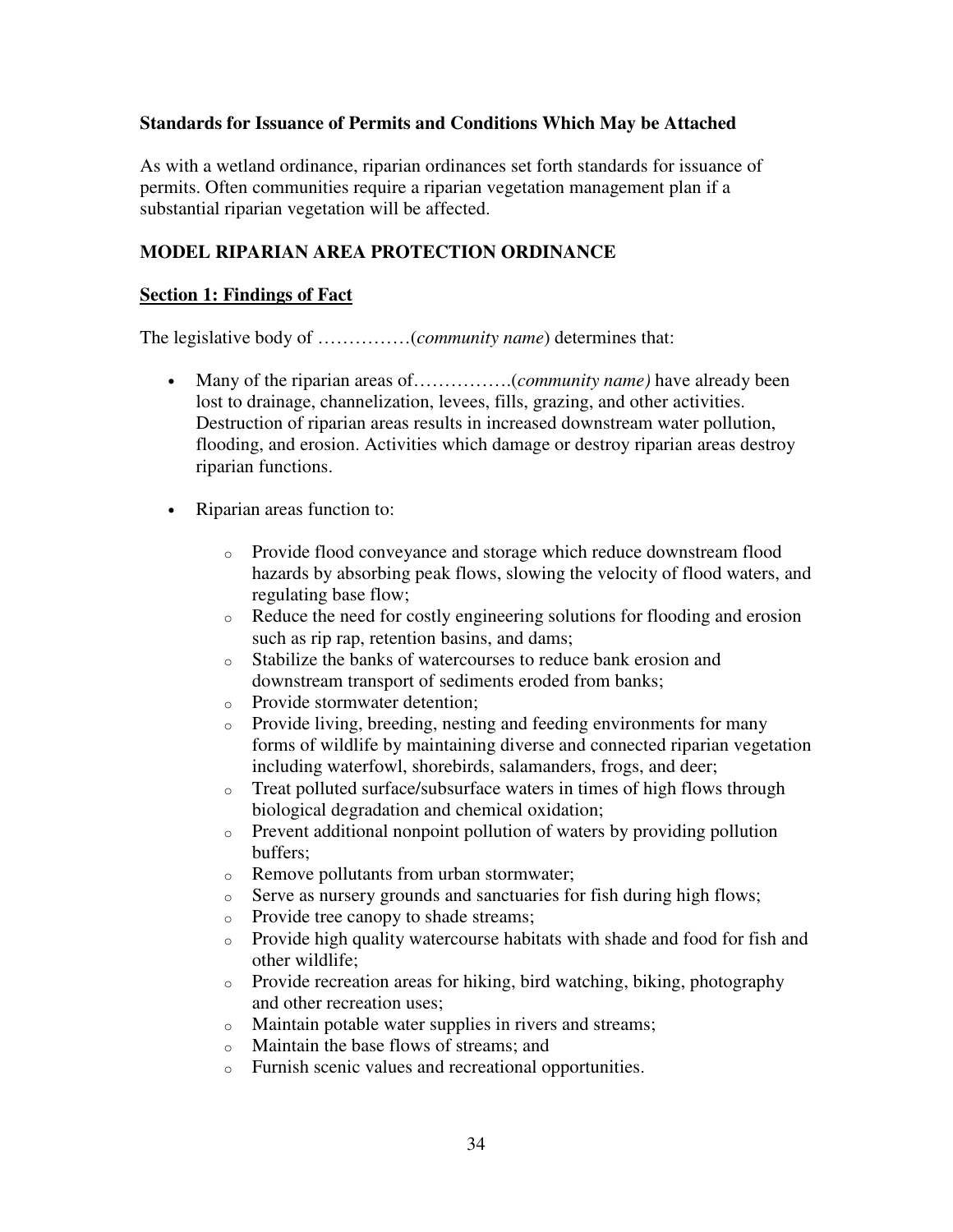#### **Standards for Issuance of Permits and Conditions Which May be Attached**

As with a wetland ordinance, riparian ordinances set forth standards for issuance of permits. Often communities require a riparian vegetation management plan if a substantial riparian vegetation will be affected.

# **MODEL RIPARIAN AREA PROTECTION ORDINANCE**

#### **Section 1: Findings of Fact**

The legislative body of ……………(*community name*) determines that:

- Many of the riparian areas of…………….(*community name)* have already been lost to drainage, channelization, levees, fills, grazing, and other activities. Destruction of riparian areas results in increased downstream water pollution, flooding, and erosion. Activities which damage or destroy riparian areas destroy riparian functions.
- Riparian areas function to:
	- o Provide flood conveyance and storage which reduce downstream flood hazards by absorbing peak flows, slowing the velocity of flood waters, and regulating base flow;
	- o Reduce the need for costly engineering solutions for flooding and erosion such as rip rap, retention basins, and dams;
	- o Stabilize the banks of watercourses to reduce bank erosion and downstream transport of sediments eroded from banks;
	- o Provide stormwater detention;
	- o Provide living, breeding, nesting and feeding environments for many forms of wildlife by maintaining diverse and connected riparian vegetation including waterfowl, shorebirds, salamanders, frogs, and deer;
	- o Treat polluted surface/subsurface waters in times of high flows through biological degradation and chemical oxidation;
	- o Prevent additional nonpoint pollution of waters by providing pollution buffers;
	- o Remove pollutants from urban stormwater;
	- o Serve as nursery grounds and sanctuaries for fish during high flows;
	- o Provide tree canopy to shade streams;
	- o Provide high quality watercourse habitats with shade and food for fish and other wildlife;
	- o Provide recreation areas for hiking, bird watching, biking, photography and other recreation uses;
	- o Maintain potable water supplies in rivers and streams;
	- o Maintain the base flows of streams; and
	- o Furnish scenic values and recreational opportunities.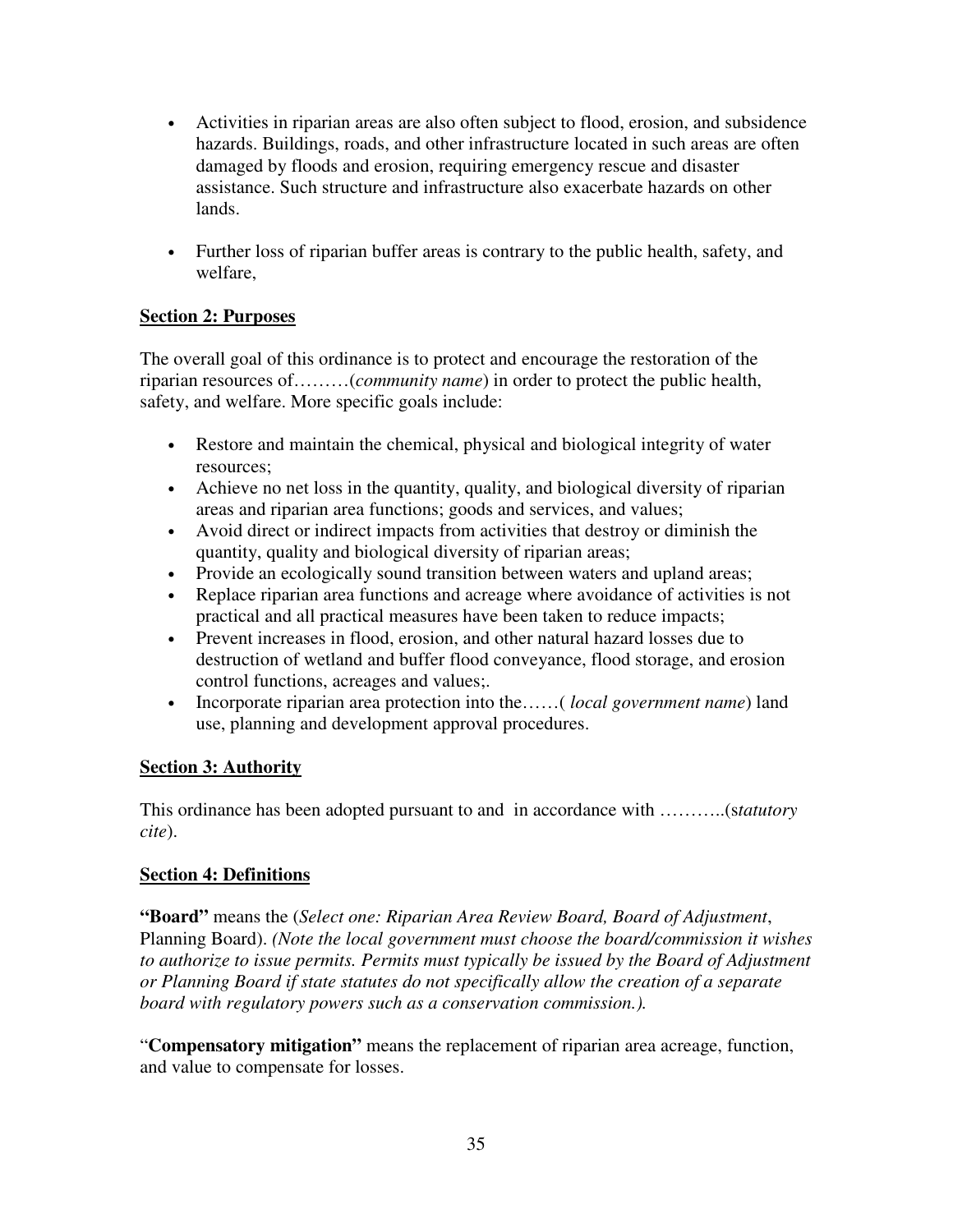- Activities in riparian areas are also often subject to flood, erosion, and subsidence hazards. Buildings, roads, and other infrastructure located in such areas are often damaged by floods and erosion, requiring emergency rescue and disaster assistance. Such structure and infrastructure also exacerbate hazards on other lands.
- Further loss of riparian buffer areas is contrary to the public health, safety, and welfare,

# **Section 2: Purposes**

The overall goal of this ordinance is to protect and encourage the restoration of the riparian resources of………(*community name*) in order to protect the public health, safety, and welfare. More specific goals include:

- Restore and maintain the chemical, physical and biological integrity of water resources;
- Achieve no net loss in the quantity, quality, and biological diversity of riparian areas and riparian area functions; goods and services, and values;
- Avoid direct or indirect impacts from activities that destroy or diminish the quantity, quality and biological diversity of riparian areas;
- Provide an ecologically sound transition between waters and upland areas;
- Replace riparian area functions and acreage where avoidance of activities is not practical and all practical measures have been taken to reduce impacts;
- Prevent increases in flood, erosion, and other natural hazard losses due to destruction of wetland and buffer flood conveyance, flood storage, and erosion control functions, acreages and values;.
- Incorporate riparian area protection into the……( *local government name*) land use, planning and development approval procedures.

## **Section 3: Authority**

This ordinance has been adopted pursuant to and in accordance with ………..(s*tatutory cite*).

## **Section 4: Definitions**

**"Board"** means the (*Select one: Riparian Area Review Board, Board of Adjustment*, Planning Board). *(Note the local government must choose the board/commission it wishes to authorize to issue permits. Permits must typically be issued by the Board of Adjustment or Planning Board if state statutes do not specifically allow the creation of a separate board with regulatory powers such as a conservation commission.).* 

"**Compensatory mitigation"** means the replacement of riparian area acreage, function, and value to compensate for losses.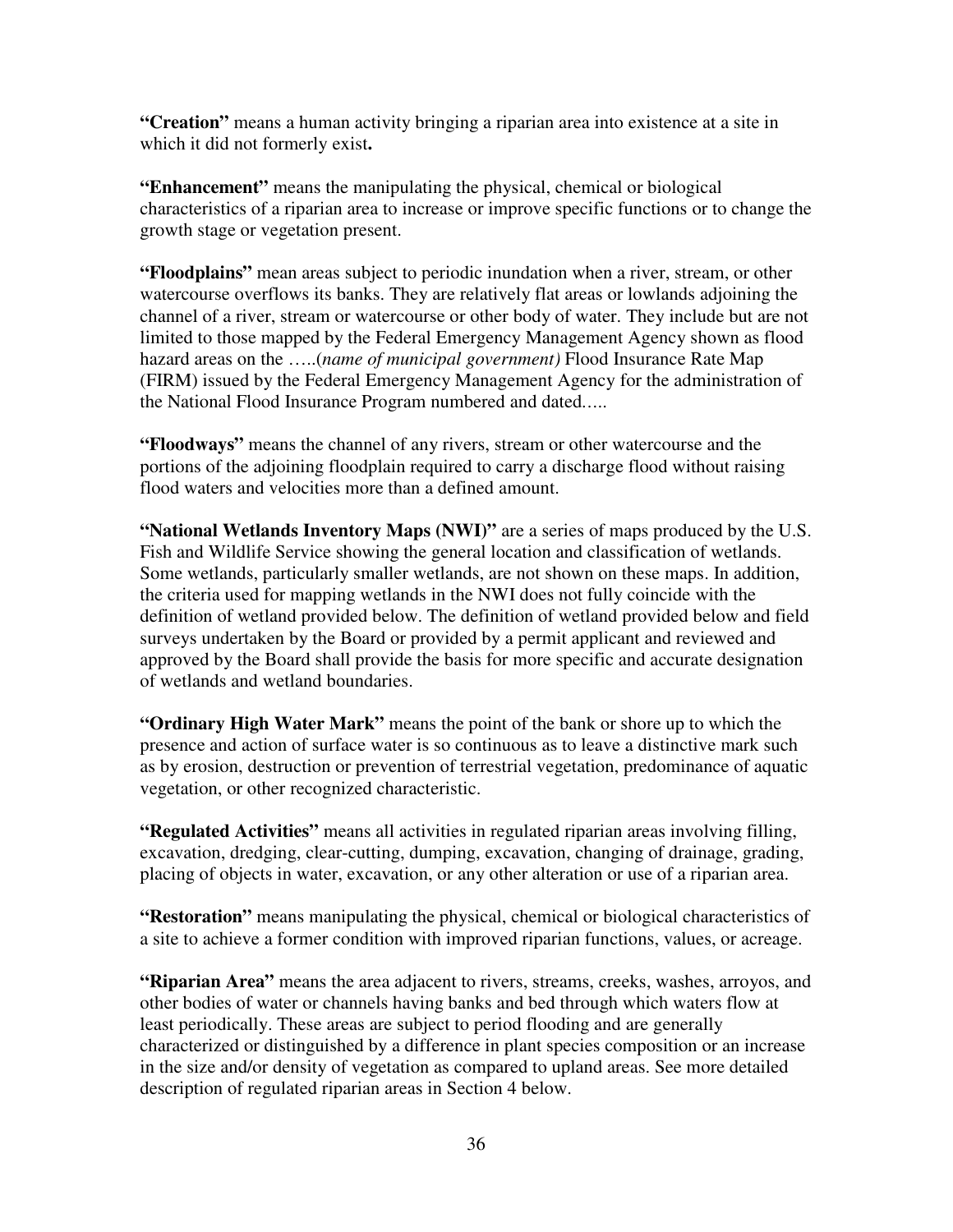**"Creation"** means a human activity bringing a riparian area into existence at a site in which it did not formerly exist**.** 

**"Enhancement"** means the manipulating the physical, chemical or biological characteristics of a riparian area to increase or improve specific functions or to change the growth stage or vegetation present.

**"Floodplains"** mean areas subject to periodic inundation when a river, stream, or other watercourse overflows its banks. They are relatively flat areas or lowlands adjoining the channel of a river, stream or watercourse or other body of water. They include but are not limited to those mapped by the Federal Emergency Management Agency shown as flood hazard areas on the …..(*name of municipal government)* Flood Insurance Rate Map (FIRM) issued by the Federal Emergency Management Agency for the administration of the National Flood Insurance Program numbered and dated*…..* 

**"Floodways"** means the channel of any rivers, stream or other watercourse and the portions of the adjoining floodplain required to carry a discharge flood without raising flood waters and velocities more than a defined amount.

**"National Wetlands Inventory Maps (NWI)"** are a series of maps produced by the U.S. Fish and Wildlife Service showing the general location and classification of wetlands. Some wetlands, particularly smaller wetlands, are not shown on these maps. In addition, the criteria used for mapping wetlands in the NWI does not fully coincide with the definition of wetland provided below. The definition of wetland provided below and field surveys undertaken by the Board or provided by a permit applicant and reviewed and approved by the Board shall provide the basis for more specific and accurate designation of wetlands and wetland boundaries.

**"Ordinary High Water Mark"** means the point of the bank or shore up to which the presence and action of surface water is so continuous as to leave a distinctive mark such as by erosion, destruction or prevention of terrestrial vegetation, predominance of aquatic vegetation, or other recognized characteristic.

**"Regulated Activities"** means all activities in regulated riparian areas involving filling, excavation, dredging, clear-cutting, dumping, excavation, changing of drainage, grading, placing of objects in water, excavation, or any other alteration or use of a riparian area.

**"Restoration"** means manipulating the physical, chemical or biological characteristics of a site to achieve a former condition with improved riparian functions, values, or acreage.

**"Riparian Area"** means the area adjacent to rivers, streams, creeks, washes, arroyos, and other bodies of water or channels having banks and bed through which waters flow at least periodically. These areas are subject to period flooding and are generally characterized or distinguished by a difference in plant species composition or an increase in the size and/or density of vegetation as compared to upland areas. See more detailed description of regulated riparian areas in Section 4 below.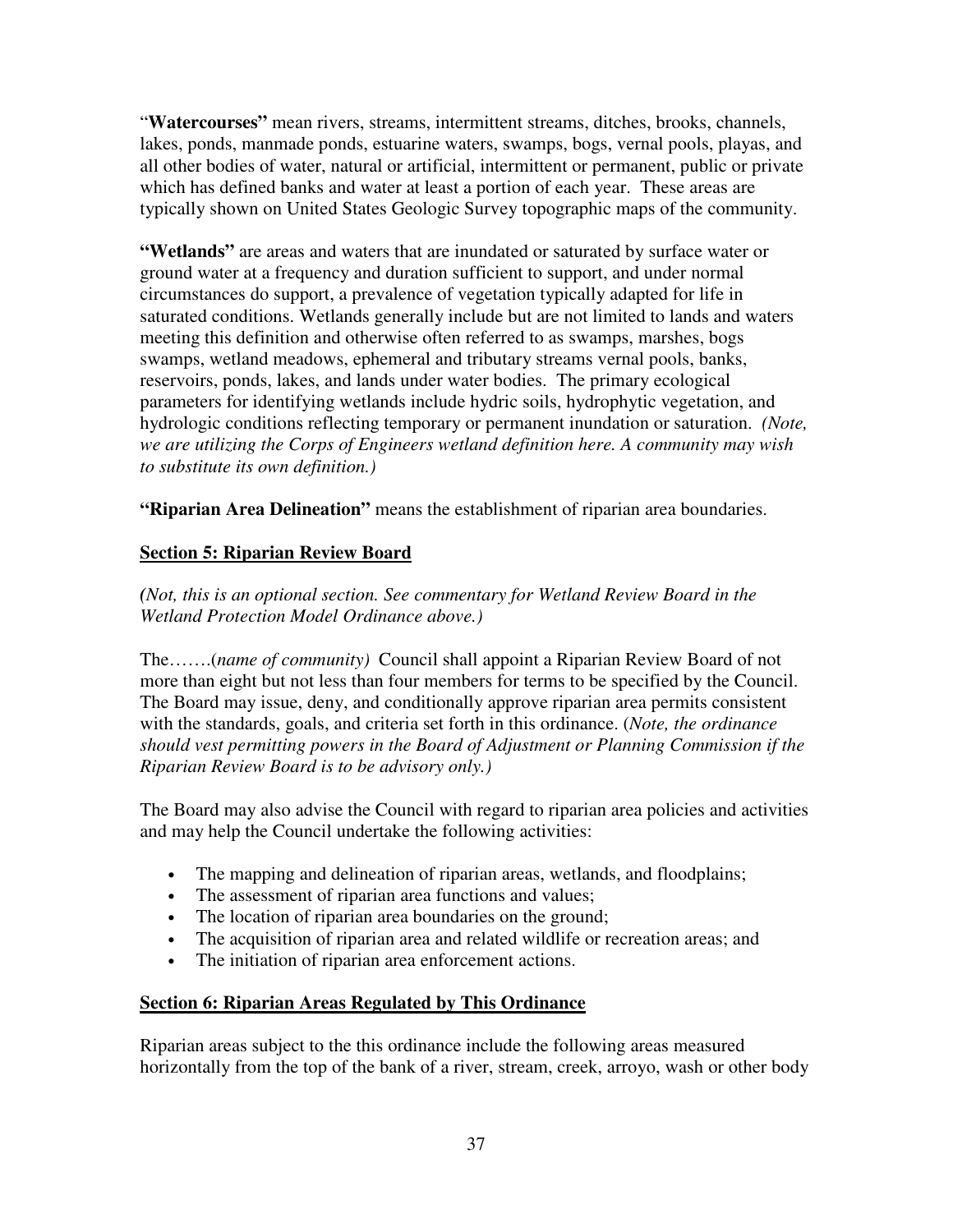"**Watercourses"** mean rivers, streams, intermittent streams, ditches, brooks, channels, lakes, ponds, manmade ponds, estuarine waters, swamps, bogs, vernal pools, playas, and all other bodies of water, natural or artificial, intermittent or permanent, public or private which has defined banks and water at least a portion of each year. These areas are typically shown on United States Geologic Survey topographic maps of the community.

**"Wetlands"** are areas and waters that are inundated or saturated by surface water or ground water at a frequency and duration sufficient to support, and under normal circumstances do support, a prevalence of vegetation typically adapted for life in saturated conditions. Wetlands generally include but are not limited to lands and waters meeting this definition and otherwise often referred to as swamps, marshes, bogs swamps, wetland meadows, ephemeral and tributary streams vernal pools, banks, reservoirs, ponds, lakes, and lands under water bodies. The primary ecological parameters for identifying wetlands include hydric soils, hydrophytic vegetation, and hydrologic conditions reflecting temporary or permanent inundation or saturation. *(Note, we are utilizing the Corps of Engineers wetland definition here. A community may wish to substitute its own definition.)* 

**"Riparian Area Delineation"** means the establishment of riparian area boundaries.

## **Section 5: Riparian Review Board**

*(Not, this is an optional section. See commentary for Wetland Review Board in the Wetland Protection Model Ordinance above.)* 

The…….(*name of community)* Council shall appoint a Riparian Review Board of not more than eight but not less than four members for terms to be specified by the Council. The Board may issue, deny, and conditionally approve riparian area permits consistent with the standards, goals, and criteria set forth in this ordinance. (*Note, the ordinance should vest permitting powers in the Board of Adjustment or Planning Commission if the Riparian Review Board is to be advisory only.)*

The Board may also advise the Council with regard to riparian area policies and activities and may help the Council undertake the following activities:

- The mapping and delineation of riparian areas, wetlands, and floodplains;
- The assessment of riparian area functions and values;
- The location of riparian area boundaries on the ground;
- The acquisition of riparian area and related wildlife or recreation areas; and
- The initiation of riparian area enforcement actions.

#### **Section 6: Riparian Areas Regulated by This Ordinance**

Riparian areas subject to the this ordinance include the following areas measured horizontally from the top of the bank of a river, stream, creek, arroyo, wash or other body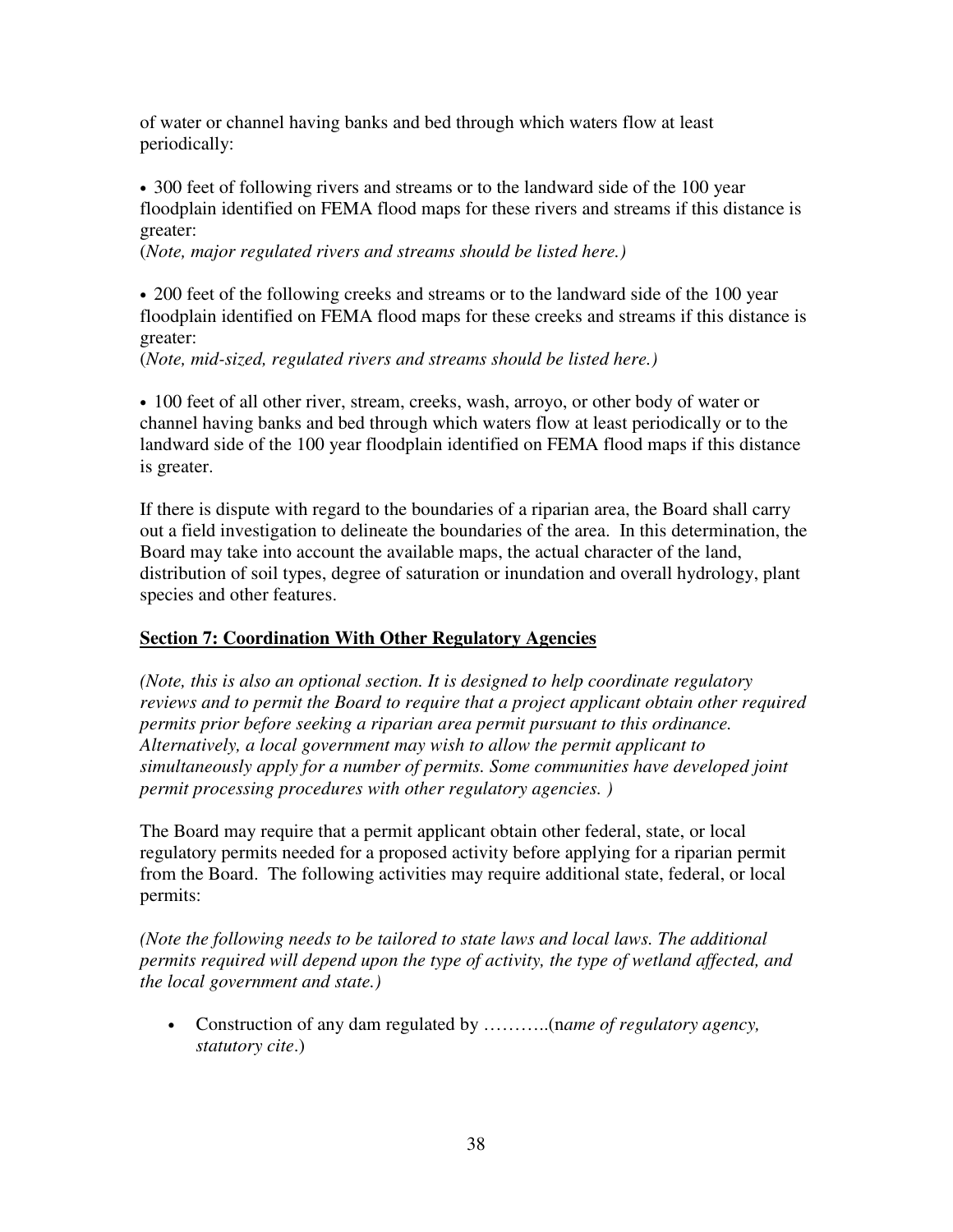of water or channel having banks and bed through which waters flow at least periodically:

• 300 feet of following rivers and streams or to the landward side of the 100 year floodplain identified on FEMA flood maps for these rivers and streams if this distance is greater:

(*Note, major regulated rivers and streams should be listed here.)* 

• 200 feet of the following creeks and streams or to the landward side of the 100 year floodplain identified on FEMA flood maps for these creeks and streams if this distance is greater:

(*Note, mid-sized, regulated rivers and streams should be listed here.)* 

• 100 feet of all other river, stream, creeks, wash, arroyo, or other body of water or channel having banks and bed through which waters flow at least periodically or to the landward side of the 100 year floodplain identified on FEMA flood maps if this distance is greater.

If there is dispute with regard to the boundaries of a riparian area, the Board shall carry out a field investigation to delineate the boundaries of the area. In this determination, the Board may take into account the available maps, the actual character of the land, distribution of soil types, degree of saturation or inundation and overall hydrology, plant species and other features.

# **Section 7: Coordination With Other Regulatory Agencies**

*(Note, this is also an optional section. It is designed to help coordinate regulatory reviews and to permit the Board to require that a project applicant obtain other required permits prior before seeking a riparian area permit pursuant to this ordinance. Alternatively, a local government may wish to allow the permit applicant to simultaneously apply for a number of permits. Some communities have developed joint permit processing procedures with other regulatory agencies. )* 

The Board may require that a permit applicant obtain other federal, state, or local regulatory permits needed for a proposed activity before applying for a riparian permit from the Board. The following activities may require additional state, federal, or local permits:

*(Note the following needs to be tailored to state laws and local laws. The additional permits required will depend upon the type of activity, the type of wetland affected, and the local government and state.)* 

• Construction of any dam regulated by ………..(n*ame of regulatory agency, statutory cite*.)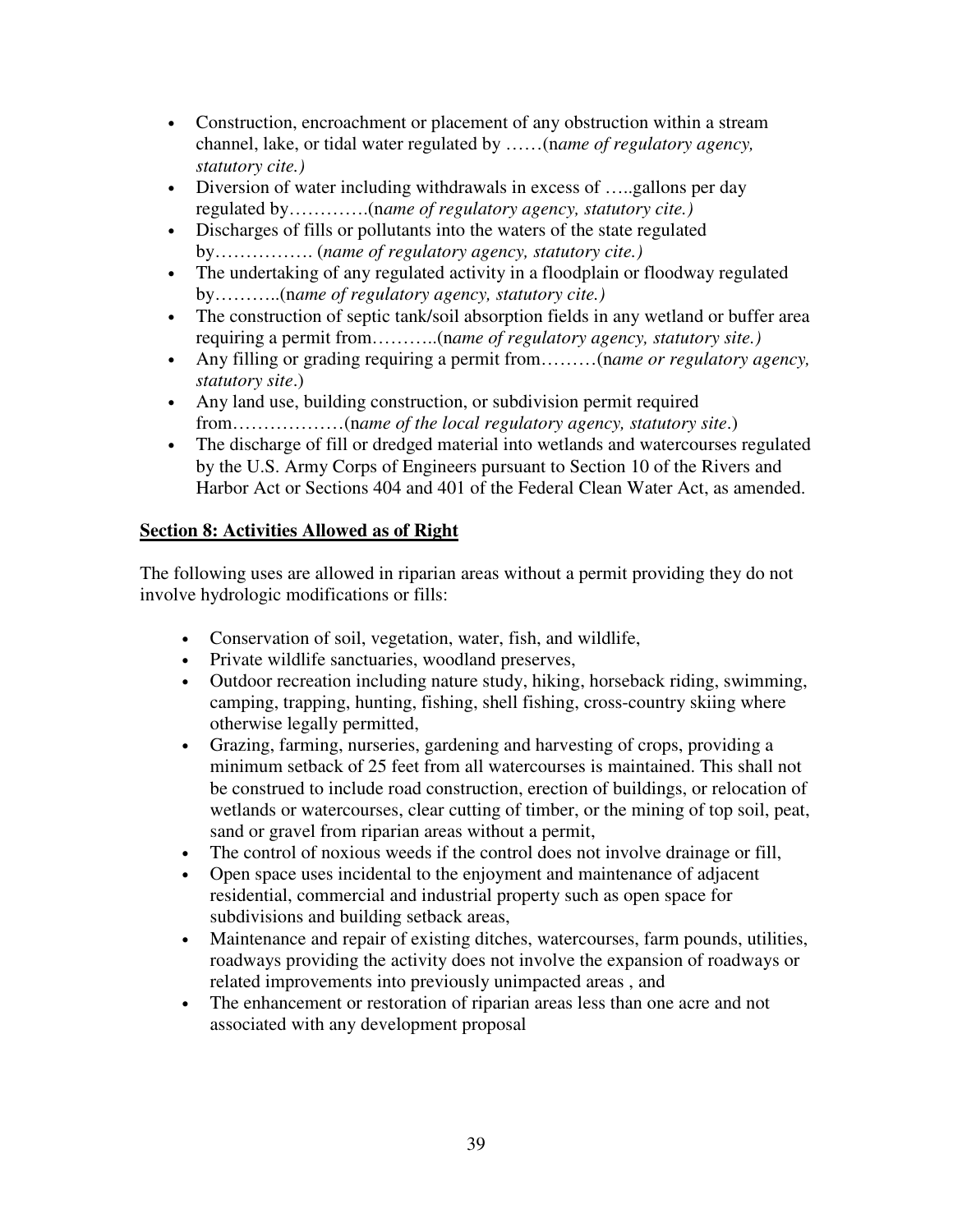- Construction, encroachment or placement of any obstruction within a stream channel, lake, or tidal water regulated by ……(n*ame of regulatory agency, statutory cite.)*
- Diversion of water including withdrawals in excess of .....gallons per day regulated by………….(n*ame of regulatory agency, statutory cite.)*
- Discharges of fills or pollutants into the waters of the state regulated by……………. (*name of regulatory agency, statutory cite.)*
- The undertaking of any regulated activity in a floodplain or floodway regulated by………..(n*ame of regulatory agency, statutory cite.)*
- The construction of septic tank/soil absorption fields in any wetland or buffer area requiring a permit from………..(n*ame of regulatory agency, statutory site.)*
- Any filling or grading requiring a permit from………(n*ame or regulatory agency, statutory site*.)
- Any land use, building construction, or subdivision permit required from………………(n*ame of the local regulatory agency, statutory site*.)
- The discharge of fill or dredged material into wetlands and watercourses regulated by the U.S. Army Corps of Engineers pursuant to Section 10 of the Rivers and Harbor Act or Sections 404 and 401 of the Federal Clean Water Act, as amended.

# **Section 8: Activities Allowed as of Right**

The following uses are allowed in riparian areas without a permit providing they do not involve hydrologic modifications or fills:

- Conservation of soil, vegetation, water, fish, and wildlife,
- Private wildlife sanctuaries, woodland preserves,
- Outdoor recreation including nature study, hiking, horseback riding, swimming, camping, trapping, hunting, fishing, shell fishing, cross-country skiing where otherwise legally permitted,
- Grazing, farming, nurseries, gardening and harvesting of crops, providing a minimum setback of 25 feet from all watercourses is maintained. This shall not be construed to include road construction, erection of buildings, or relocation of wetlands or watercourses, clear cutting of timber, or the mining of top soil, peat, sand or gravel from riparian areas without a permit,
- The control of noxious weeds if the control does not involve drainage or fill,
- Open space uses incidental to the enjoyment and maintenance of adjacent residential, commercial and industrial property such as open space for subdivisions and building setback areas,
- Maintenance and repair of existing ditches, watercourses, farm pounds, utilities, roadways providing the activity does not involve the expansion of roadways or related improvements into previously unimpacted areas , and
- The enhancement or restoration of riparian areas less than one acre and not associated with any development proposal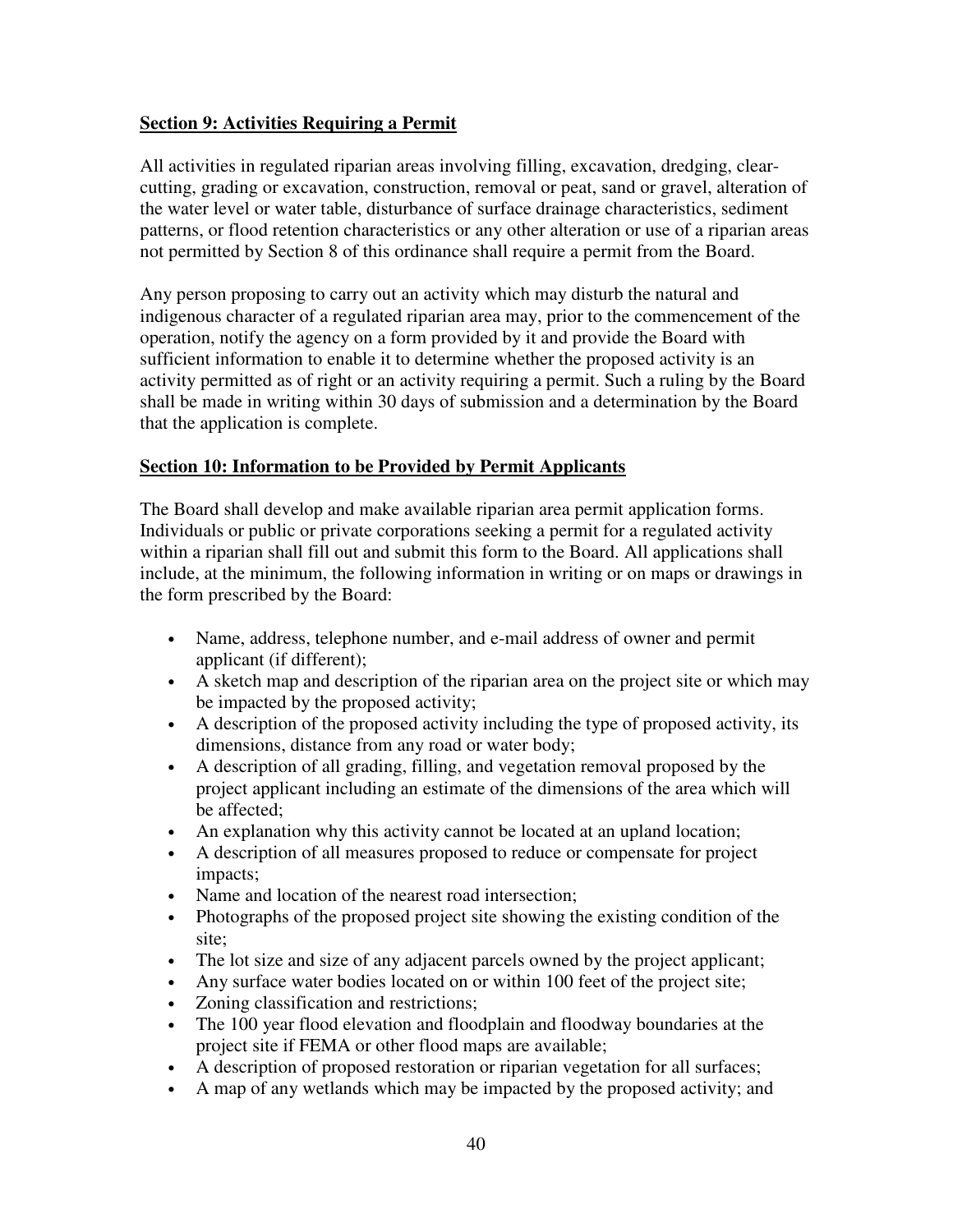## **Section 9: Activities Requiring a Permit**

All activities in regulated riparian areas involving filling, excavation, dredging, clearcutting, grading or excavation, construction, removal or peat, sand or gravel, alteration of the water level or water table, disturbance of surface drainage characteristics, sediment patterns, or flood retention characteristics or any other alteration or use of a riparian areas not permitted by Section 8 of this ordinance shall require a permit from the Board.

Any person proposing to carry out an activity which may disturb the natural and indigenous character of a regulated riparian area may, prior to the commencement of the operation, notify the agency on a form provided by it and provide the Board with sufficient information to enable it to determine whether the proposed activity is an activity permitted as of right or an activity requiring a permit. Such a ruling by the Board shall be made in writing within 30 days of submission and a determination by the Board that the application is complete.

#### **Section 10: Information to be Provided by Permit Applicants**

The Board shall develop and make available riparian area permit application forms. Individuals or public or private corporations seeking a permit for a regulated activity within a riparian shall fill out and submit this form to the Board. All applications shall include, at the minimum, the following information in writing or on maps or drawings in the form prescribed by the Board:

- Name, address, telephone number, and e-mail address of owner and permit applicant (if different);
- A sketch map and description of the riparian area on the project site or which may be impacted by the proposed activity;
- A description of the proposed activity including the type of proposed activity, its dimensions, distance from any road or water body;
- A description of all grading, filling, and vegetation removal proposed by the project applicant including an estimate of the dimensions of the area which will be affected;
- An explanation why this activity cannot be located at an upland location;
- A description of all measures proposed to reduce or compensate for project impacts;
- Name and location of the nearest road intersection;
- Photographs of the proposed project site showing the existing condition of the site;
- The lot size and size of any adjacent parcels owned by the project applicant;
- Any surface water bodies located on or within 100 feet of the project site;
- Zoning classification and restrictions;
- The 100 year flood elevation and floodplain and floodway boundaries at the project site if FEMA or other flood maps are available;
- A description of proposed restoration or riparian vegetation for all surfaces;
- A map of any wetlands which may be impacted by the proposed activity; and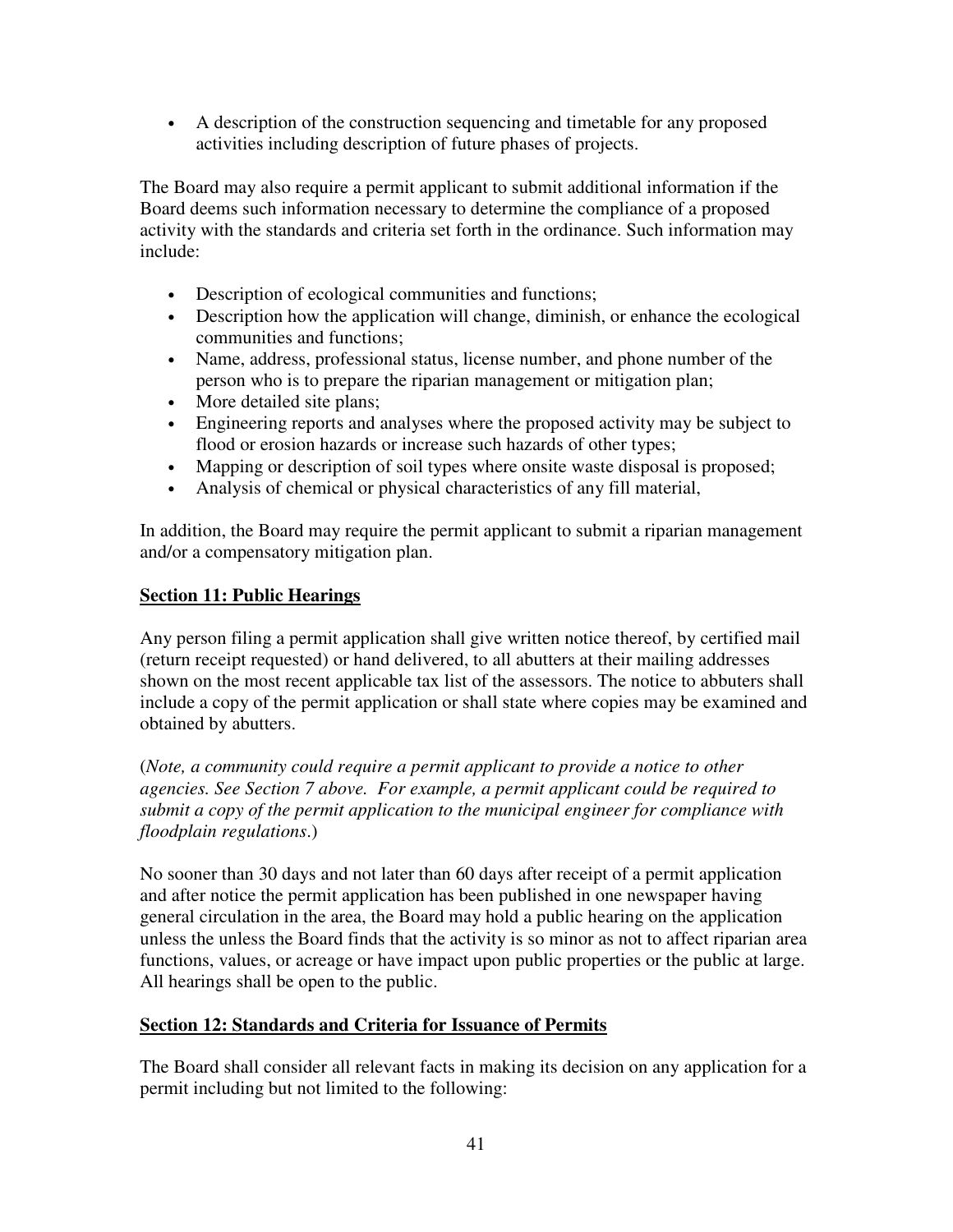• A description of the construction sequencing and timetable for any proposed activities including description of future phases of projects.

The Board may also require a permit applicant to submit additional information if the Board deems such information necessary to determine the compliance of a proposed activity with the standards and criteria set forth in the ordinance. Such information may include:

- Description of ecological communities and functions;
- Description how the application will change, diminish, or enhance the ecological communities and functions;
- Name, address, professional status, license number, and phone number of the person who is to prepare the riparian management or mitigation plan;
- More detailed site plans;
- Engineering reports and analyses where the proposed activity may be subject to flood or erosion hazards or increase such hazards of other types;
- Mapping or description of soil types where onsite waste disposal is proposed;
- Analysis of chemical or physical characteristics of any fill material,

In addition, the Board may require the permit applicant to submit a riparian management and/or a compensatory mitigation plan.

# **Section 11: Public Hearings**

Any person filing a permit application shall give written notice thereof, by certified mail (return receipt requested) or hand delivered, to all abutters at their mailing addresses shown on the most recent applicable tax list of the assessors. The notice to abbuters shall include a copy of the permit application or shall state where copies may be examined and obtained by abutters.

(*Note, a community could require a permit applicant to provide a notice to other agencies. See Section 7 above. For example, a permit applicant could be required to submit a copy of the permit application to the municipal engineer for compliance with floodplain regulations*.)

No sooner than 30 days and not later than 60 days after receipt of a permit application and after notice the permit application has been published in one newspaper having general circulation in the area, the Board may hold a public hearing on the application unless the unless the Board finds that the activity is so minor as not to affect riparian area functions, values, or acreage or have impact upon public properties or the public at large. All hearings shall be open to the public.

# **Section 12: Standards and Criteria for Issuance of Permits**

The Board shall consider all relevant facts in making its decision on any application for a permit including but not limited to the following: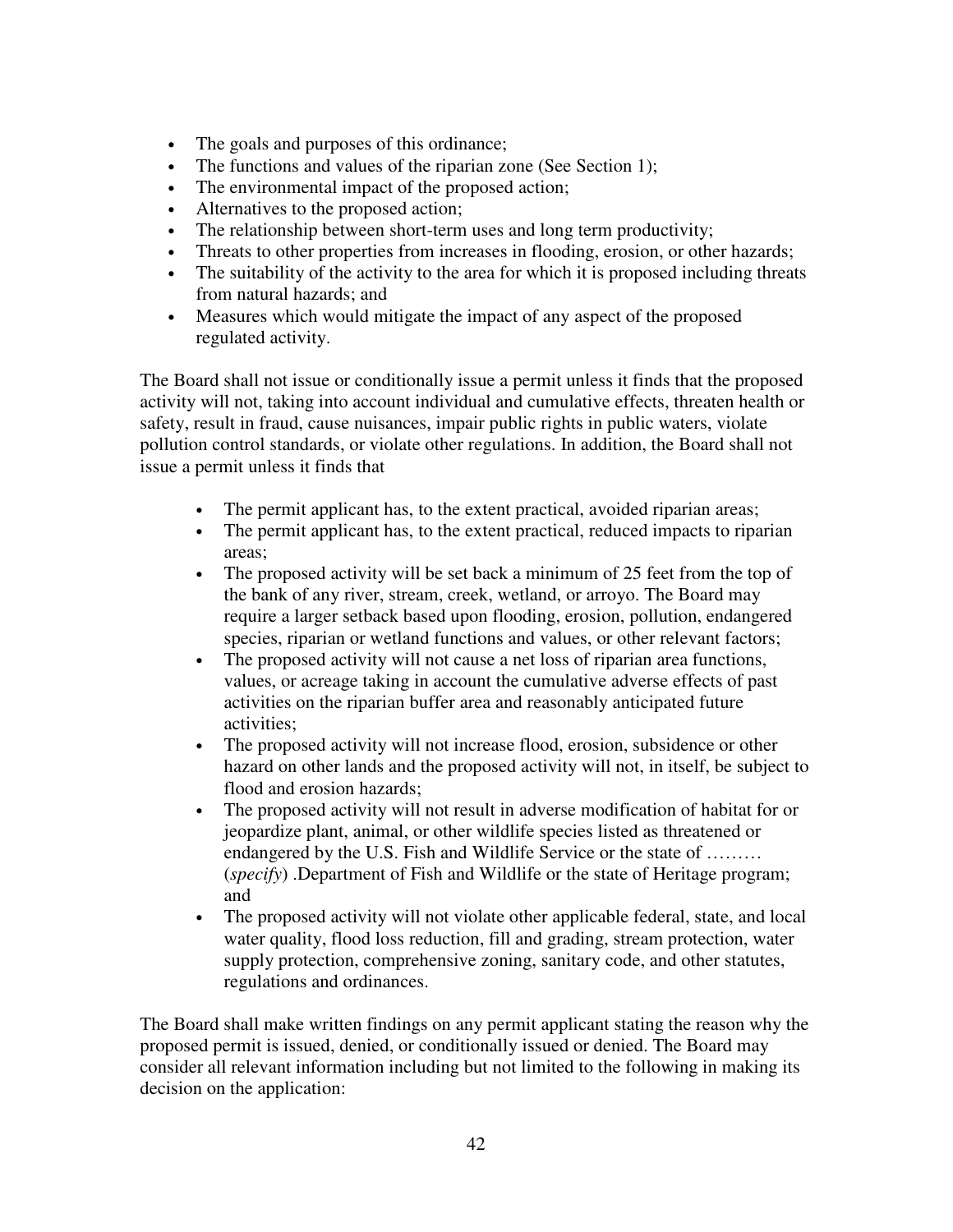- The goals and purposes of this ordinance;
- The functions and values of the riparian zone (See Section 1);
- The environmental impact of the proposed action;
- Alternatives to the proposed action;
- The relationship between short-term uses and long term productivity;
- Threats to other properties from increases in flooding, erosion, or other hazards;
- The suitability of the activity to the area for which it is proposed including threats from natural hazards; and
- Measures which would mitigate the impact of any aspect of the proposed regulated activity.

The Board shall not issue or conditionally issue a permit unless it finds that the proposed activity will not, taking into account individual and cumulative effects, threaten health or safety, result in fraud, cause nuisances, impair public rights in public waters, violate pollution control standards, or violate other regulations. In addition, the Board shall not issue a permit unless it finds that

- The permit applicant has, to the extent practical, avoided riparian areas;
- The permit applicant has, to the extent practical, reduced impacts to riparian areas;
- The proposed activity will be set back a minimum of 25 feet from the top of the bank of any river, stream, creek, wetland, or arroyo. The Board may require a larger setback based upon flooding, erosion, pollution, endangered species, riparian or wetland functions and values, or other relevant factors;
- The proposed activity will not cause a net loss of riparian area functions, values, or acreage taking in account the cumulative adverse effects of past activities on the riparian buffer area and reasonably anticipated future activities;
- The proposed activity will not increase flood, erosion, subsidence or other hazard on other lands and the proposed activity will not, in itself, be subject to flood and erosion hazards;
- The proposed activity will not result in adverse modification of habitat for or jeopardize plant, animal, or other wildlife species listed as threatened or endangered by the U.S. Fish and Wildlife Service or the state of ……… (*specify*) .Department of Fish and Wildlife or the state of Heritage program; and
- The proposed activity will not violate other applicable federal, state, and local water quality, flood loss reduction, fill and grading, stream protection, water supply protection, comprehensive zoning, sanitary code, and other statutes, regulations and ordinances.

The Board shall make written findings on any permit applicant stating the reason why the proposed permit is issued, denied, or conditionally issued or denied. The Board may consider all relevant information including but not limited to the following in making its decision on the application: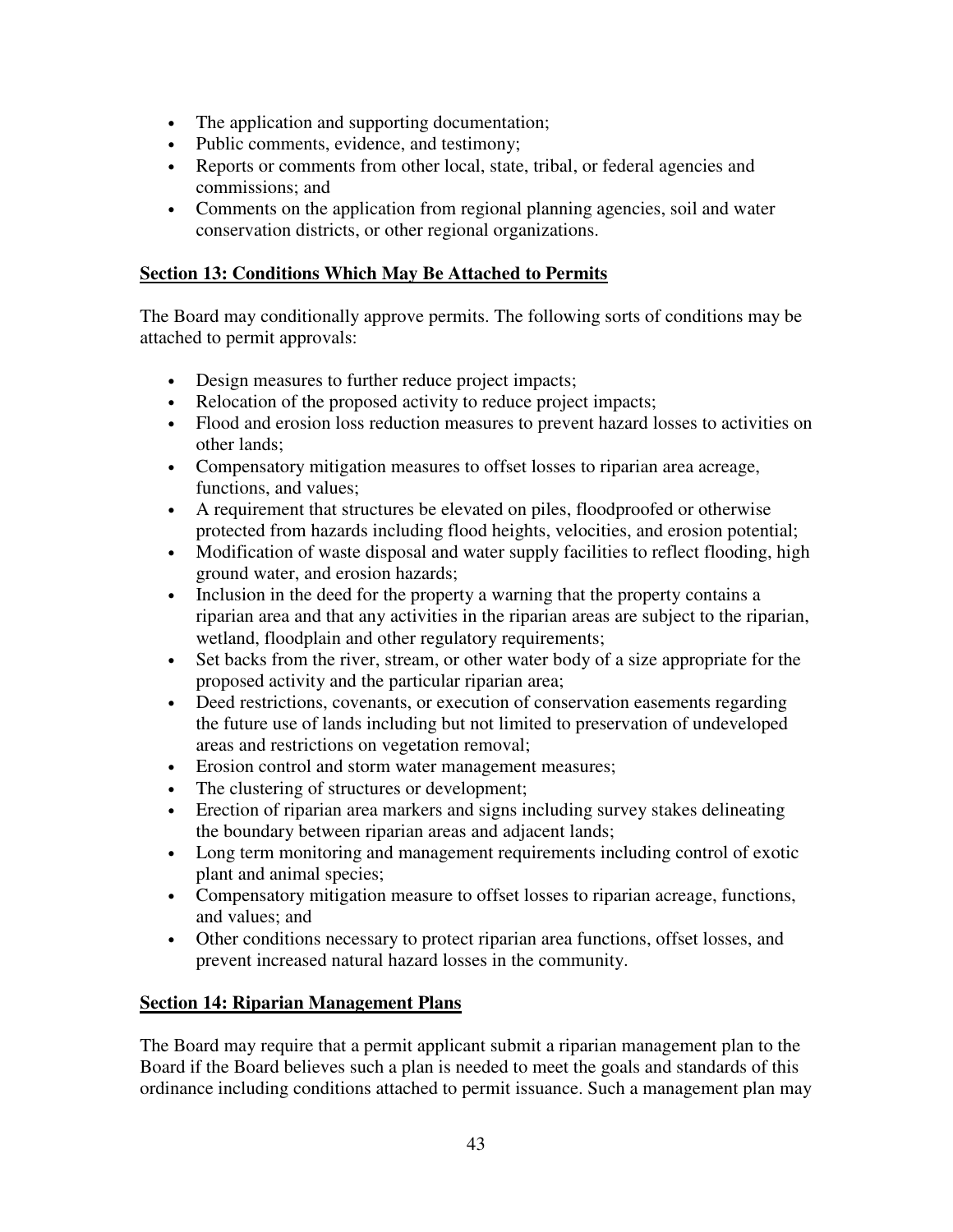- The application and supporting documentation;
- Public comments, evidence, and testimony;
- Reports or comments from other local, state, tribal, or federal agencies and commissions; and
- Comments on the application from regional planning agencies, soil and water conservation districts, or other regional organizations.

# **Section 13: Conditions Which May Be Attached to Permits**

The Board may conditionally approve permits. The following sorts of conditions may be attached to permit approvals:

- Design measures to further reduce project impacts;
- Relocation of the proposed activity to reduce project impacts;
- Flood and erosion loss reduction measures to prevent hazard losses to activities on other lands;
- Compensatory mitigation measures to offset losses to riparian area acreage, functions, and values;
- A requirement that structures be elevated on piles, floodproofed or otherwise protected from hazards including flood heights, velocities, and erosion potential;
- Modification of waste disposal and water supply facilities to reflect flooding, high ground water, and erosion hazards;
- Inclusion in the deed for the property a warning that the property contains a riparian area and that any activities in the riparian areas are subject to the riparian, wetland, floodplain and other regulatory requirements;
- Set backs from the river, stream, or other water body of a size appropriate for the proposed activity and the particular riparian area;
- Deed restrictions, covenants, or execution of conservation easements regarding the future use of lands including but not limited to preservation of undeveloped areas and restrictions on vegetation removal;
- Erosion control and storm water management measures;
- The clustering of structures or development;
- Erection of riparian area markers and signs including survey stakes delineating the boundary between riparian areas and adjacent lands;
- Long term monitoring and management requirements including control of exotic plant and animal species;
- Compensatory mitigation measure to offset losses to riparian acreage, functions, and values; and
- Other conditions necessary to protect riparian area functions, offset losses, and prevent increased natural hazard losses in the community.

## **Section 14: Riparian Management Plans**

The Board may require that a permit applicant submit a riparian management plan to the Board if the Board believes such a plan is needed to meet the goals and standards of this ordinance including conditions attached to permit issuance. Such a management plan may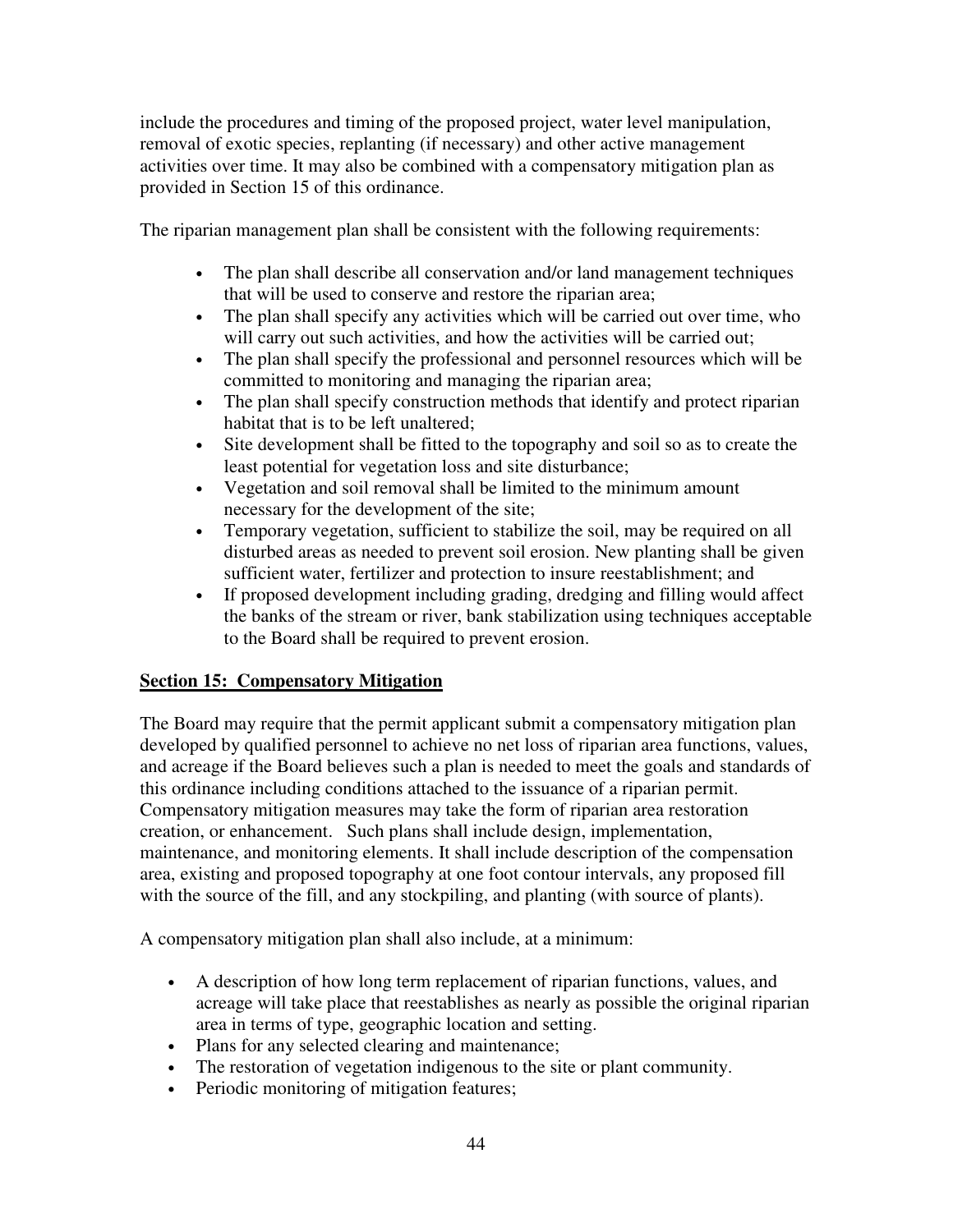include the procedures and timing of the proposed project, water level manipulation, removal of exotic species, replanting (if necessary) and other active management activities over time. It may also be combined with a compensatory mitigation plan as provided in Section 15 of this ordinance.

The riparian management plan shall be consistent with the following requirements:

- The plan shall describe all conservation and/or land management techniques that will be used to conserve and restore the riparian area;
- The plan shall specify any activities which will be carried out over time, who will carry out such activities, and how the activities will be carried out;
- The plan shall specify the professional and personnel resources which will be committed to monitoring and managing the riparian area;
- The plan shall specify construction methods that identify and protect riparian habitat that is to be left unaltered;
- Site development shall be fitted to the topography and soil so as to create the least potential for vegetation loss and site disturbance;
- Vegetation and soil removal shall be limited to the minimum amount necessary for the development of the site;
- Temporary vegetation, sufficient to stabilize the soil, may be required on all disturbed areas as needed to prevent soil erosion. New planting shall be given sufficient water, fertilizer and protection to insure reestablishment; and
- If proposed development including grading, dredging and filling would affect the banks of the stream or river, bank stabilization using techniques acceptable to the Board shall be required to prevent erosion.

## **Section 15: Compensatory Mitigation**

The Board may require that the permit applicant submit a compensatory mitigation plan developed by qualified personnel to achieve no net loss of riparian area functions, values, and acreage if the Board believes such a plan is needed to meet the goals and standards of this ordinance including conditions attached to the issuance of a riparian permit. Compensatory mitigation measures may take the form of riparian area restoration creation, or enhancement. Such plans shall include design, implementation, maintenance, and monitoring elements. It shall include description of the compensation area, existing and proposed topography at one foot contour intervals, any proposed fill with the source of the fill, and any stockpiling, and planting (with source of plants).

A compensatory mitigation plan shall also include, at a minimum:

- A description of how long term replacement of riparian functions, values, and acreage will take place that reestablishes as nearly as possible the original riparian area in terms of type, geographic location and setting.
- Plans for any selected clearing and maintenance;
- The restoration of vegetation indigenous to the site or plant community.
- Periodic monitoring of mitigation features;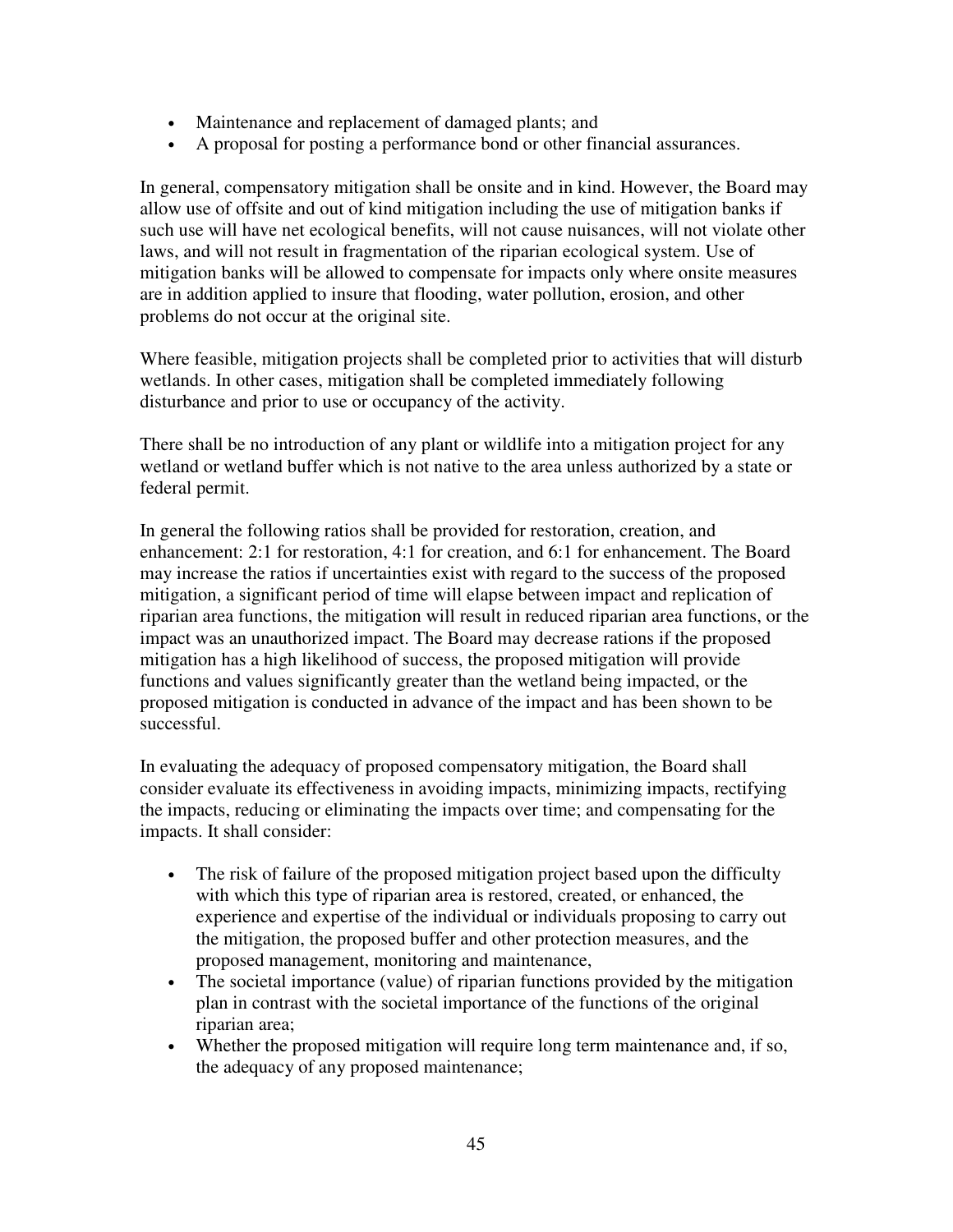- Maintenance and replacement of damaged plants; and
- A proposal for posting a performance bond or other financial assurances.

In general, compensatory mitigation shall be onsite and in kind. However, the Board may allow use of offsite and out of kind mitigation including the use of mitigation banks if such use will have net ecological benefits, will not cause nuisances, will not violate other laws, and will not result in fragmentation of the riparian ecological system. Use of mitigation banks will be allowed to compensate for impacts only where onsite measures are in addition applied to insure that flooding, water pollution, erosion, and other problems do not occur at the original site.

Where feasible, mitigation projects shall be completed prior to activities that will disturb wetlands. In other cases, mitigation shall be completed immediately following disturbance and prior to use or occupancy of the activity.

There shall be no introduction of any plant or wildlife into a mitigation project for any wetland or wetland buffer which is not native to the area unless authorized by a state or federal permit.

In general the following ratios shall be provided for restoration, creation, and enhancement: 2:1 for restoration, 4:1 for creation, and 6:1 for enhancement. The Board may increase the ratios if uncertainties exist with regard to the success of the proposed mitigation, a significant period of time will elapse between impact and replication of riparian area functions, the mitigation will result in reduced riparian area functions, or the impact was an unauthorized impact. The Board may decrease rations if the proposed mitigation has a high likelihood of success, the proposed mitigation will provide functions and values significantly greater than the wetland being impacted, or the proposed mitigation is conducted in advance of the impact and has been shown to be successful.

In evaluating the adequacy of proposed compensatory mitigation, the Board shall consider evaluate its effectiveness in avoiding impacts, minimizing impacts, rectifying the impacts, reducing or eliminating the impacts over time; and compensating for the impacts. It shall consider:

- The risk of failure of the proposed mitigation project based upon the difficulty with which this type of riparian area is restored, created, or enhanced, the experience and expertise of the individual or individuals proposing to carry out the mitigation, the proposed buffer and other protection measures, and the proposed management, monitoring and maintenance,
- The societal importance (value) of riparian functions provided by the mitigation plan in contrast with the societal importance of the functions of the original riparian area;
- Whether the proposed mitigation will require long term maintenance and, if so, the adequacy of any proposed maintenance;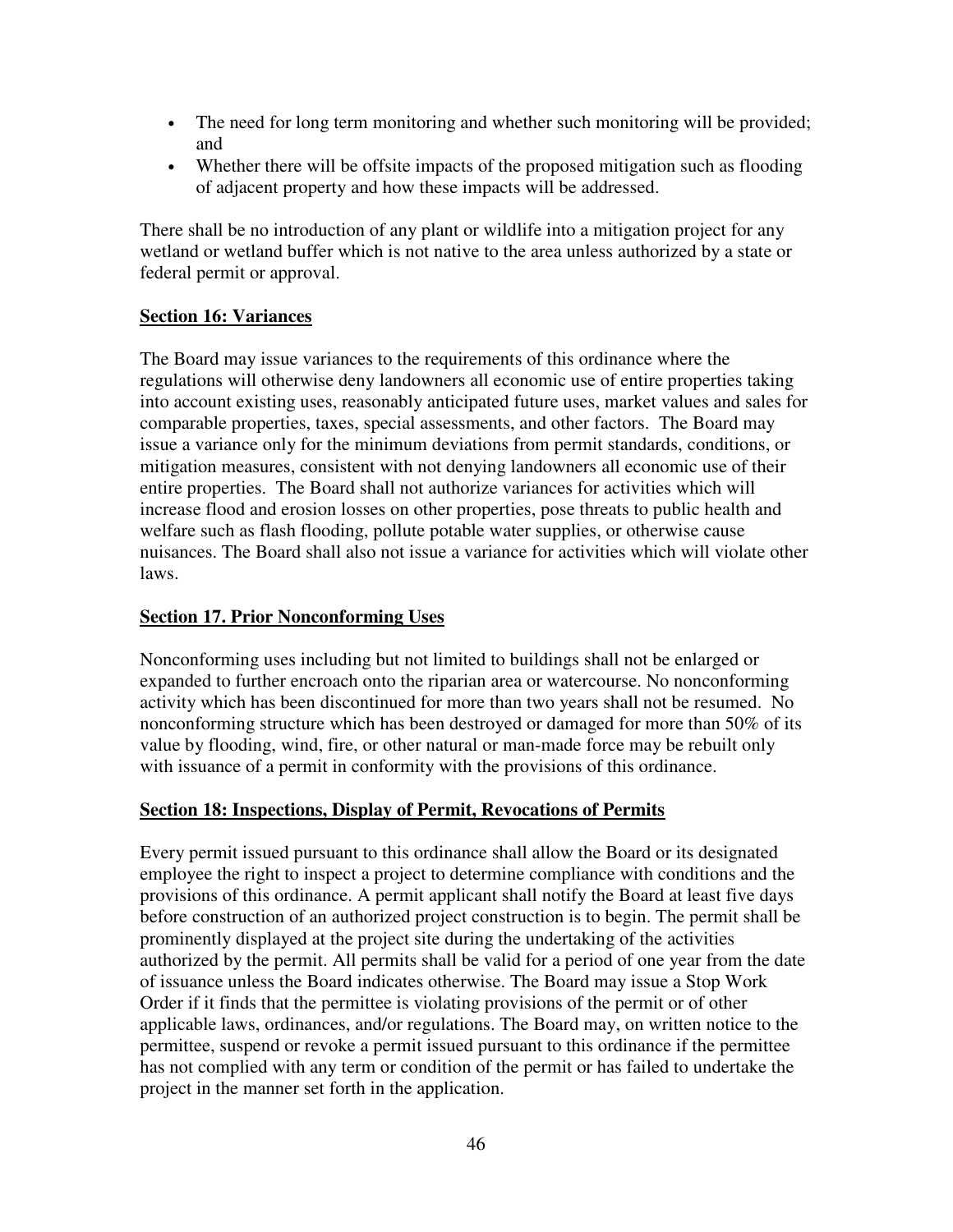- The need for long term monitoring and whether such monitoring will be provided; and
- Whether there will be offsite impacts of the proposed mitigation such as flooding of adjacent property and how these impacts will be addressed.

There shall be no introduction of any plant or wildlife into a mitigation project for any wetland or wetland buffer which is not native to the area unless authorized by a state or federal permit or approval.

# **Section 16: Variances**

The Board may issue variances to the requirements of this ordinance where the regulations will otherwise deny landowners all economic use of entire properties taking into account existing uses, reasonably anticipated future uses, market values and sales for comparable properties, taxes, special assessments, and other factors. The Board may issue a variance only for the minimum deviations from permit standards, conditions, or mitigation measures, consistent with not denying landowners all economic use of their entire properties. The Board shall not authorize variances for activities which will increase flood and erosion losses on other properties, pose threats to public health and welfare such as flash flooding, pollute potable water supplies, or otherwise cause nuisances. The Board shall also not issue a variance for activities which will violate other laws.

#### **Section 17. Prior Nonconforming Uses**

Nonconforming uses including but not limited to buildings shall not be enlarged or expanded to further encroach onto the riparian area or watercourse. No nonconforming activity which has been discontinued for more than two years shall not be resumed. No nonconforming structure which has been destroyed or damaged for more than 50% of its value by flooding, wind, fire, or other natural or man-made force may be rebuilt only with issuance of a permit in conformity with the provisions of this ordinance.

#### **Section 18: Inspections, Display of Permit, Revocations of Permits**

Every permit issued pursuant to this ordinance shall allow the Board or its designated employee the right to inspect a project to determine compliance with conditions and the provisions of this ordinance. A permit applicant shall notify the Board at least five days before construction of an authorized project construction is to begin. The permit shall be prominently displayed at the project site during the undertaking of the activities authorized by the permit. All permits shall be valid for a period of one year from the date of issuance unless the Board indicates otherwise. The Board may issue a Stop Work Order if it finds that the permittee is violating provisions of the permit or of other applicable laws, ordinances, and/or regulations. The Board may, on written notice to the permittee, suspend or revoke a permit issued pursuant to this ordinance if the permittee has not complied with any term or condition of the permit or has failed to undertake the project in the manner set forth in the application.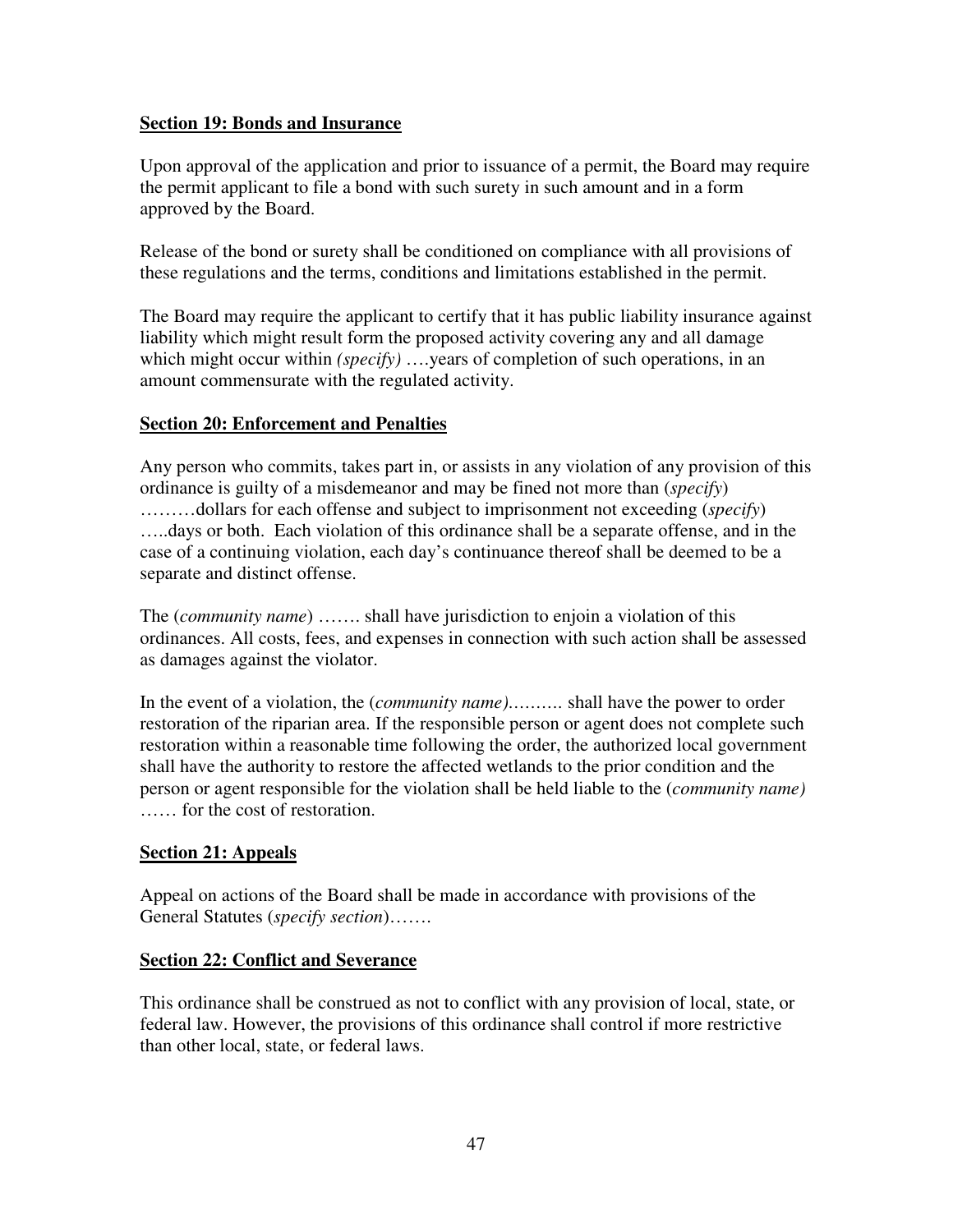#### **Section 19: Bonds and Insurance**

Upon approval of the application and prior to issuance of a permit, the Board may require the permit applicant to file a bond with such surety in such amount and in a form approved by the Board.

Release of the bond or surety shall be conditioned on compliance with all provisions of these regulations and the terms, conditions and limitations established in the permit.

The Board may require the applicant to certify that it has public liability insurance against liability which might result form the proposed activity covering any and all damage which might occur within *(specify)* ….years of completion of such operations, in an amount commensurate with the regulated activity.

## **Section 20: Enforcement and Penalties**

Any person who commits, takes part in, or assists in any violation of any provision of this ordinance is guilty of a misdemeanor and may be fined not more than (*specify*) ………dollars for each offense and subject to imprisonment not exceeding (*specify*) …..days or both. Each violation of this ordinance shall be a separate offense, and in the case of a continuing violation, each day's continuance thereof shall be deemed to be a separate and distinct offense.

The (*community name*) ……. shall have jurisdiction to enjoin a violation of this ordinances. All costs, fees, and expenses in connection with such action shall be assessed as damages against the violator.

In the event of a violation, the (*community name)……….* shall have the power to order restoration of the riparian area. If the responsible person or agent does not complete such restoration within a reasonable time following the order, the authorized local government shall have the authority to restore the affected wetlands to the prior condition and the person or agent responsible for the violation shall be held liable to the (*community name)* …… for the cost of restoration.

## **Section 21: Appeals**

Appeal on actions of the Board shall be made in accordance with provisions of the General Statutes (*specify section*)…….

## **Section 22: Conflict and Severance**

This ordinance shall be construed as not to conflict with any provision of local, state, or federal law. However, the provisions of this ordinance shall control if more restrictive than other local, state, or federal laws.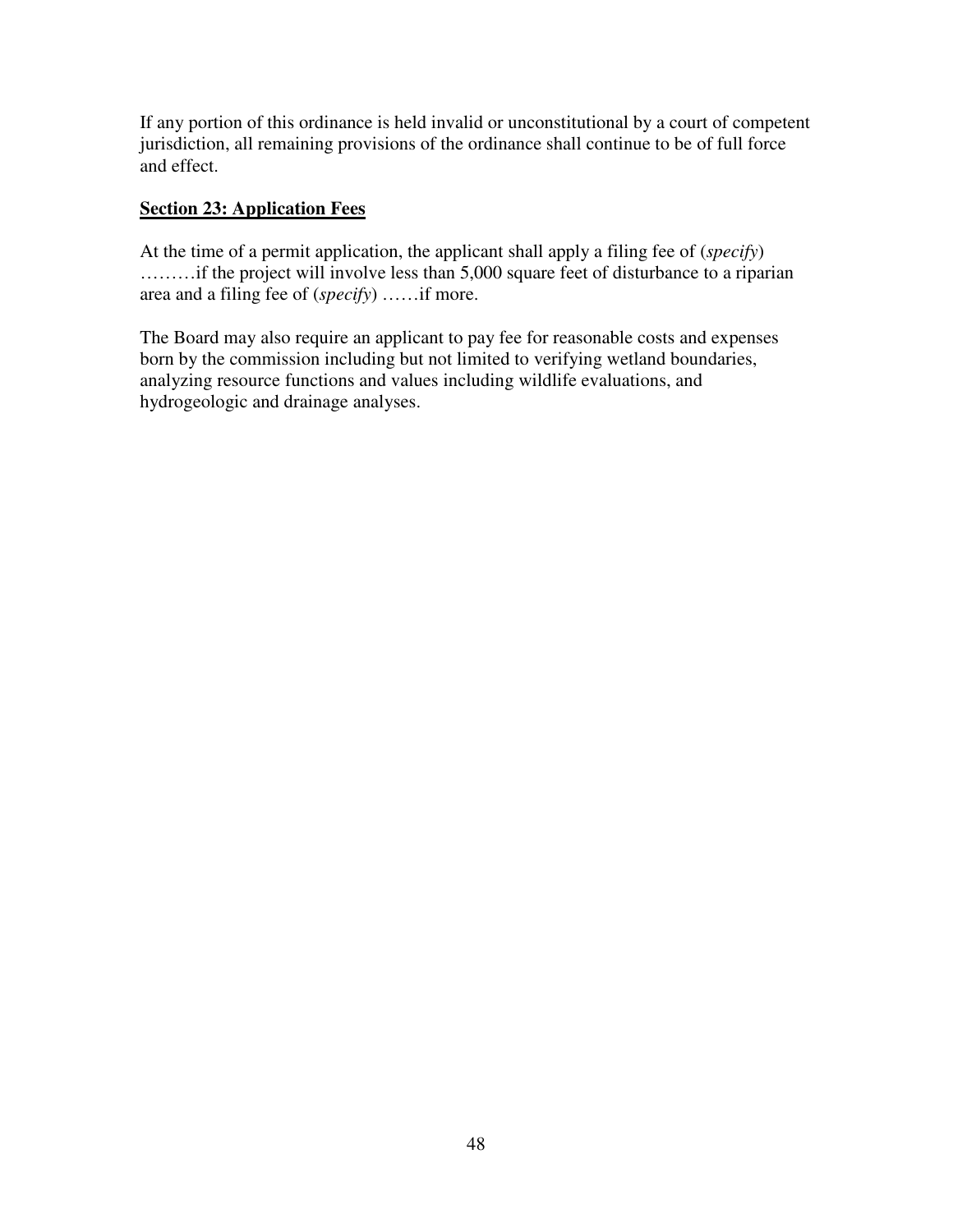If any portion of this ordinance is held invalid or unconstitutional by a court of competent jurisdiction, all remaining provisions of the ordinance shall continue to be of full force and effect.

# **Section 23: Application Fees**

At the time of a permit application, the applicant shall apply a filing fee of (*specify*) ………if the project will involve less than 5,000 square feet of disturbance to a riparian area and a filing fee of (*specify*) ……if more.

The Board may also require an applicant to pay fee for reasonable costs and expenses born by the commission including but not limited to verifying wetland boundaries, analyzing resource functions and values including wildlife evaluations, and hydrogeologic and drainage analyses.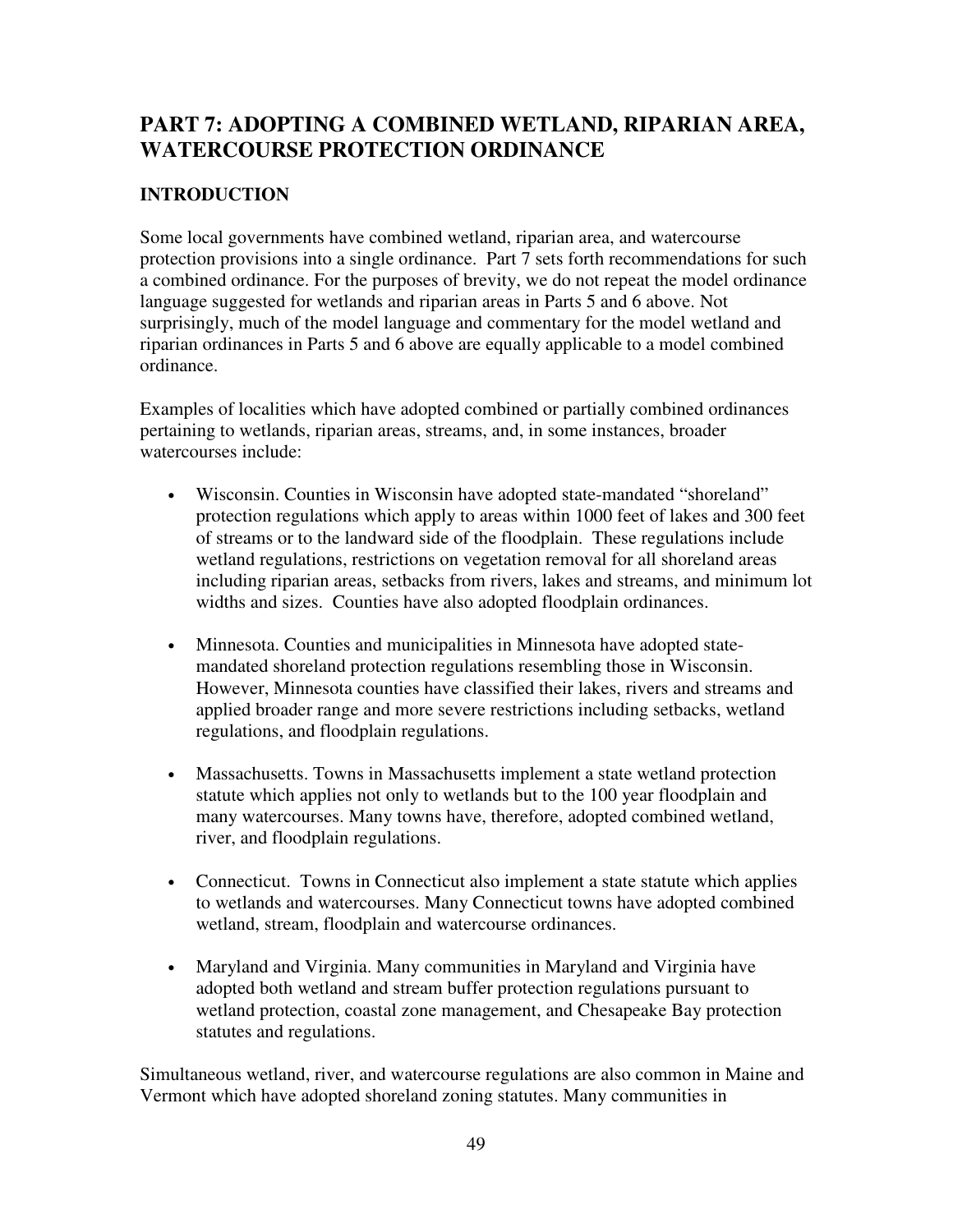# **PART 7: ADOPTING A COMBINED WETLAND, RIPARIAN AREA, WATERCOURSE PROTECTION ORDINANCE**

# **INTRODUCTION**

Some local governments have combined wetland, riparian area, and watercourse protection provisions into a single ordinance. Part 7 sets forth recommendations for such a combined ordinance. For the purposes of brevity, we do not repeat the model ordinance language suggested for wetlands and riparian areas in Parts 5 and 6 above. Not surprisingly, much of the model language and commentary for the model wetland and riparian ordinances in Parts 5 and 6 above are equally applicable to a model combined ordinance.

Examples of localities which have adopted combined or partially combined ordinances pertaining to wetlands, riparian areas, streams, and, in some instances, broader watercourses include:

- Wisconsin. Counties in Wisconsin have adopted state-mandated "shoreland" protection regulations which apply to areas within 1000 feet of lakes and 300 feet of streams or to the landward side of the floodplain. These regulations include wetland regulations, restrictions on vegetation removal for all shoreland areas including riparian areas, setbacks from rivers, lakes and streams, and minimum lot widths and sizes. Counties have also adopted floodplain ordinances.
- Minnesota. Counties and municipalities in Minnesota have adopted statemandated shoreland protection regulations resembling those in Wisconsin. However, Minnesota counties have classified their lakes, rivers and streams and applied broader range and more severe restrictions including setbacks, wetland regulations, and floodplain regulations.
- Massachusetts. Towns in Massachusetts implement a state wetland protection statute which applies not only to wetlands but to the 100 year floodplain and many watercourses. Many towns have, therefore, adopted combined wetland, river, and floodplain regulations.
- Connecticut. Towns in Connecticut also implement a state statute which applies to wetlands and watercourses. Many Connecticut towns have adopted combined wetland, stream, floodplain and watercourse ordinances.
- Maryland and Virginia. Many communities in Maryland and Virginia have adopted both wetland and stream buffer protection regulations pursuant to wetland protection, coastal zone management, and Chesapeake Bay protection statutes and regulations.

Simultaneous wetland, river, and watercourse regulations are also common in Maine and Vermont which have adopted shoreland zoning statutes. Many communities in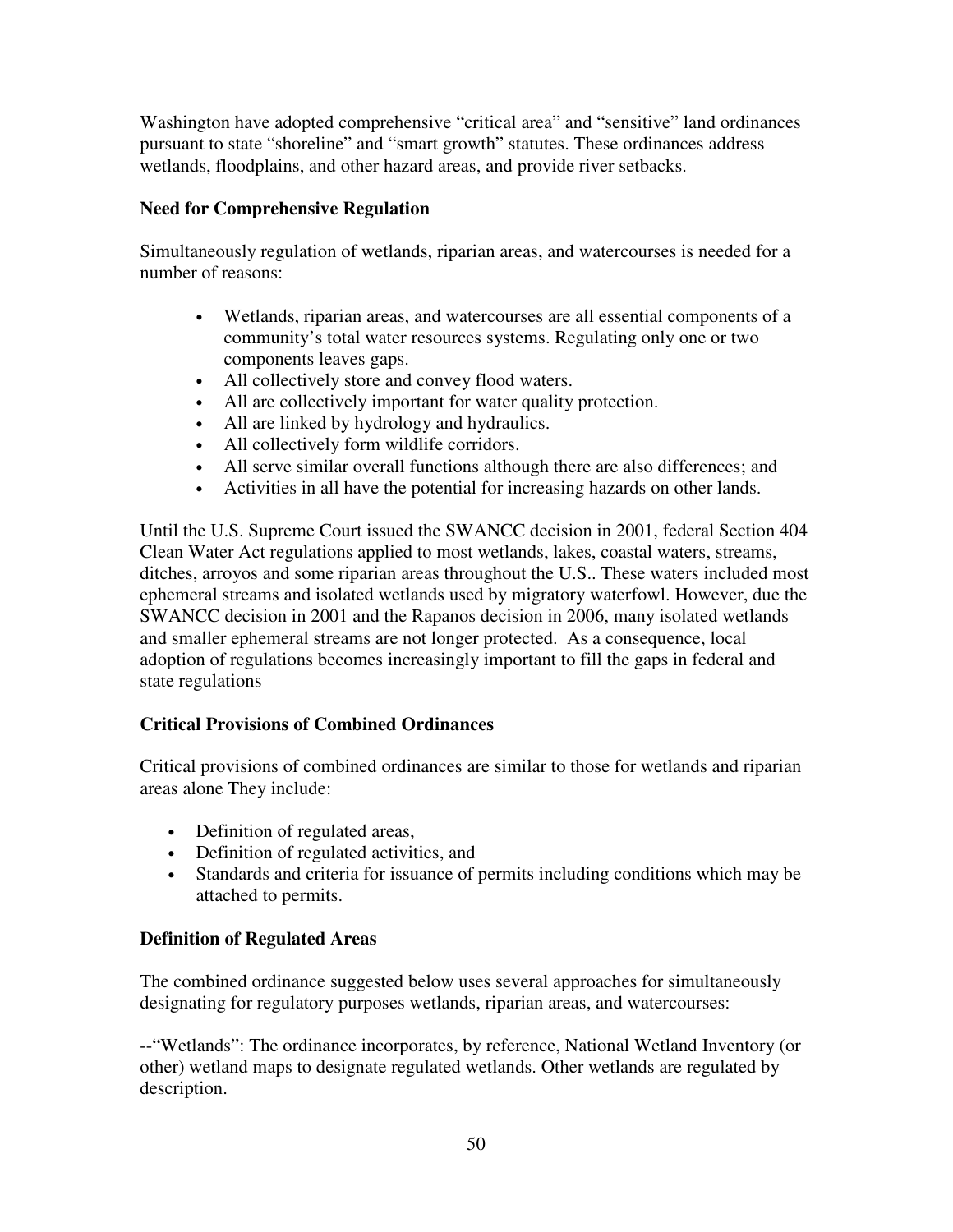Washington have adopted comprehensive "critical area" and "sensitive" land ordinances pursuant to state "shoreline" and "smart growth" statutes. These ordinances address wetlands, floodplains, and other hazard areas, and provide river setbacks.

## **Need for Comprehensive Regulation**

Simultaneously regulation of wetlands, riparian areas, and watercourses is needed for a number of reasons:

- Wetlands, riparian areas, and watercourses are all essential components of a community's total water resources systems. Regulating only one or two components leaves gaps.
- All collectively store and convey flood waters.
- All are collectively important for water quality protection.
- All are linked by hydrology and hydraulics.
- All collectively form wildlife corridors.
- All serve similar overall functions although there are also differences; and
- Activities in all have the potential for increasing hazards on other lands.

Until the U.S. Supreme Court issued the SWANCC decision in 2001, federal Section 404 Clean Water Act regulations applied to most wetlands, lakes, coastal waters, streams, ditches, arroyos and some riparian areas throughout the U.S.. These waters included most ephemeral streams and isolated wetlands used by migratory waterfowl. However, due the SWANCC decision in 2001 and the Rapanos decision in 2006, many isolated wetlands and smaller ephemeral streams are not longer protected. As a consequence, local adoption of regulations becomes increasingly important to fill the gaps in federal and state regulations

## **Critical Provisions of Combined Ordinances**

Critical provisions of combined ordinances are similar to those for wetlands and riparian areas alone They include:

- Definition of regulated areas,
- Definition of regulated activities, and
- Standards and criteria for issuance of permits including conditions which may be attached to permits.

## **Definition of Regulated Areas**

The combined ordinance suggested below uses several approaches for simultaneously designating for regulatory purposes wetlands, riparian areas, and watercourses:

--"Wetlands": The ordinance incorporates, by reference, National Wetland Inventory (or other) wetland maps to designate regulated wetlands. Other wetlands are regulated by description.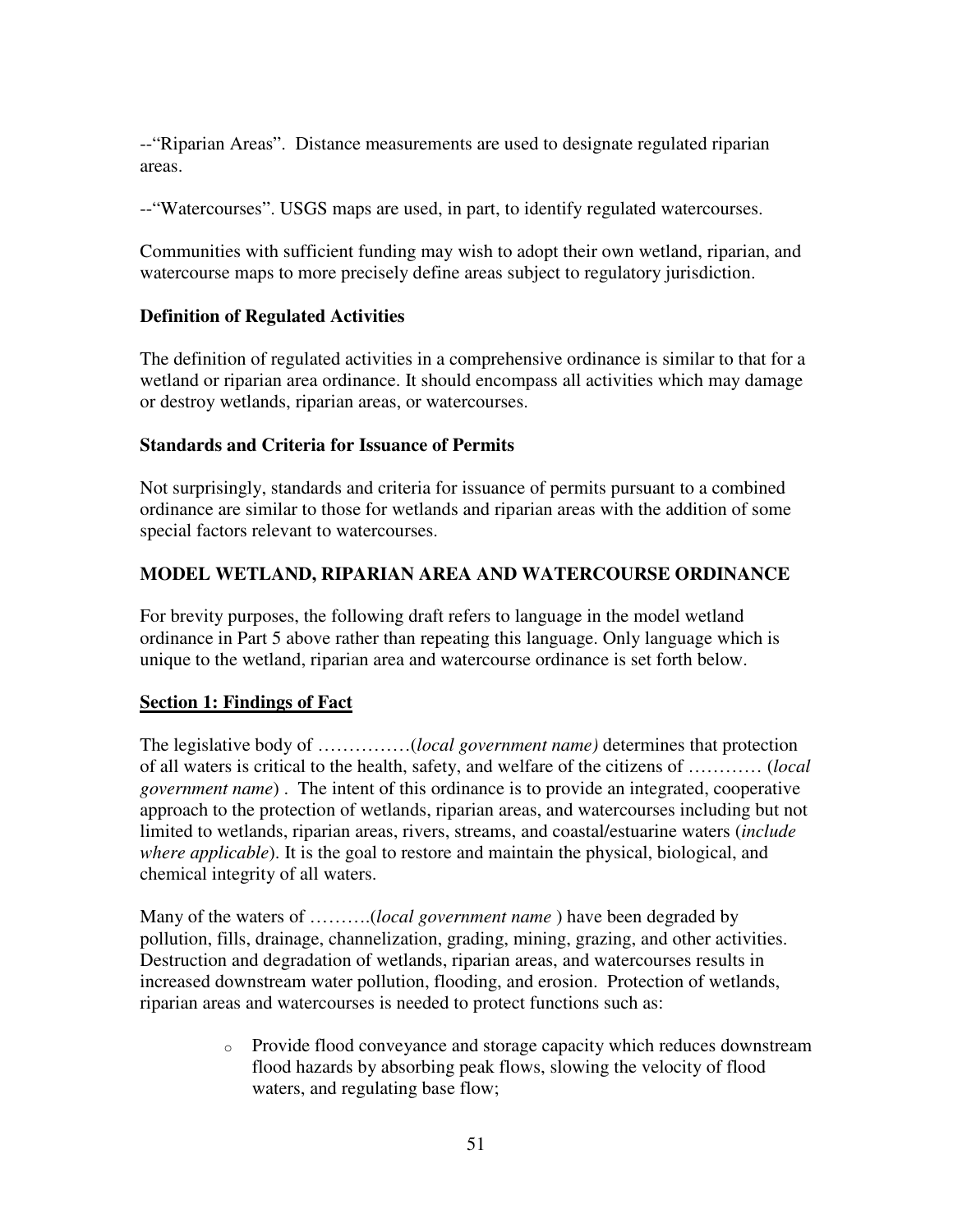--"Riparian Areas". Distance measurements are used to designate regulated riparian areas.

--"Watercourses". USGS maps are used, in part, to identify regulated watercourses.

Communities with sufficient funding may wish to adopt their own wetland, riparian, and watercourse maps to more precisely define areas subject to regulatory jurisdiction.

## **Definition of Regulated Activities**

The definition of regulated activities in a comprehensive ordinance is similar to that for a wetland or riparian area ordinance. It should encompass all activities which may damage or destroy wetlands, riparian areas, or watercourses.

#### **Standards and Criteria for Issuance of Permits**

Not surprisingly, standards and criteria for issuance of permits pursuant to a combined ordinance are similar to those for wetlands and riparian areas with the addition of some special factors relevant to watercourses.

## **MODEL WETLAND, RIPARIAN AREA AND WATERCOURSE ORDINANCE**

For brevity purposes, the following draft refers to language in the model wetland ordinance in Part 5 above rather than repeating this language. Only language which is unique to the wetland, riparian area and watercourse ordinance is set forth below.

#### **Section 1: Findings of Fact**

The legislative body of ……………(*local government name)* determines that protection of all waters is critical to the health, safety, and welfare of the citizens of ………… (*local government name*) . The intent of this ordinance is to provide an integrated, cooperative approach to the protection of wetlands, riparian areas, and watercourses including but not limited to wetlands, riparian areas, rivers, streams, and coastal/estuarine waters (*include where applicable*). It is the goal to restore and maintain the physical, biological, and chemical integrity of all waters.

Many of the waters of ……….(*local government name* ) have been degraded by pollution, fills, drainage, channelization, grading, mining, grazing, and other activities. Destruction and degradation of wetlands, riparian areas, and watercourses results in increased downstream water pollution, flooding, and erosion. Protection of wetlands, riparian areas and watercourses is needed to protect functions such as:

> o Provide flood conveyance and storage capacity which reduces downstream flood hazards by absorbing peak flows, slowing the velocity of flood waters, and regulating base flow;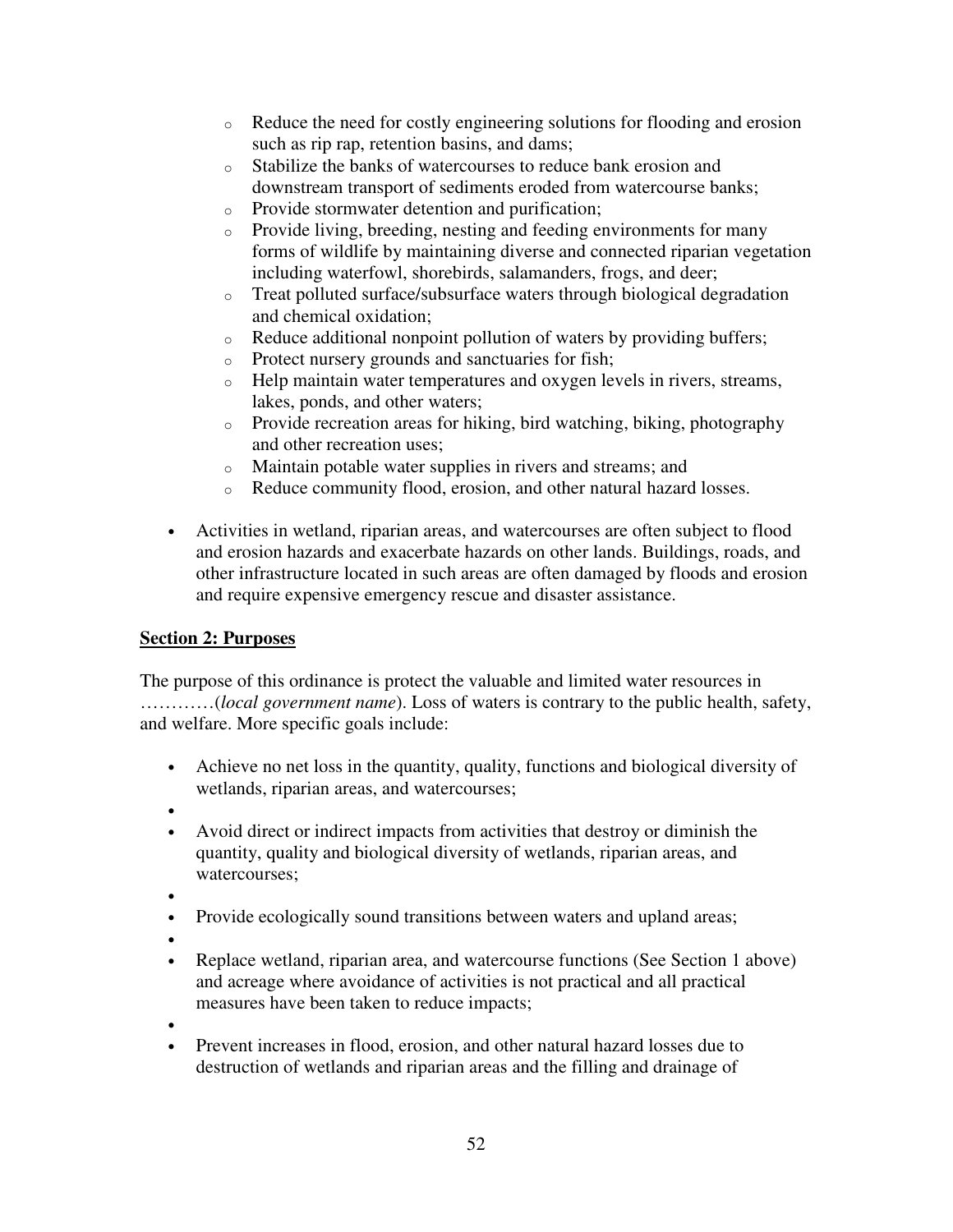- $\circ$  Reduce the need for costly engineering solutions for flooding and erosion such as rip rap, retention basins, and dams;
- o Stabilize the banks of watercourses to reduce bank erosion and downstream transport of sediments eroded from watercourse banks;
- o Provide stormwater detention and purification;
- o Provide living, breeding, nesting and feeding environments for many forms of wildlife by maintaining diverse and connected riparian vegetation including waterfowl, shorebirds, salamanders, frogs, and deer;
- o Treat polluted surface/subsurface waters through biological degradation and chemical oxidation;
- o Reduce additional nonpoint pollution of waters by providing buffers;
- o Protect nursery grounds and sanctuaries for fish;
- o Help maintain water temperatures and oxygen levels in rivers, streams, lakes, ponds, and other waters;
- o Provide recreation areas for hiking, bird watching, biking, photography and other recreation uses;
- o Maintain potable water supplies in rivers and streams; and
- o Reduce community flood, erosion, and other natural hazard losses.
- Activities in wetland, riparian areas, and watercourses are often subject to flood and erosion hazards and exacerbate hazards on other lands. Buildings, roads, and other infrastructure located in such areas are often damaged by floods and erosion and require expensive emergency rescue and disaster assistance.

# **Section 2: Purposes**

The purpose of this ordinance is protect the valuable and limited water resources in …………(*local government name*). Loss of waters is contrary to the public health, safety, and welfare. More specific goals include:

- Achieve no net loss in the quantity, quality, functions and biological diversity of wetlands, riparian areas, and watercourses;
- •
- Avoid direct or indirect impacts from activities that destroy or diminish the quantity, quality and biological diversity of wetlands, riparian areas, and watercourses;
- •
- Provide ecologically sound transitions between waters and upland areas;
- •
- Replace wetland, riparian area, and watercourse functions (See Section 1 above) and acreage where avoidance of activities is not practical and all practical measures have been taken to reduce impacts;
- •
- Prevent increases in flood, erosion, and other natural hazard losses due to destruction of wetlands and riparian areas and the filling and drainage of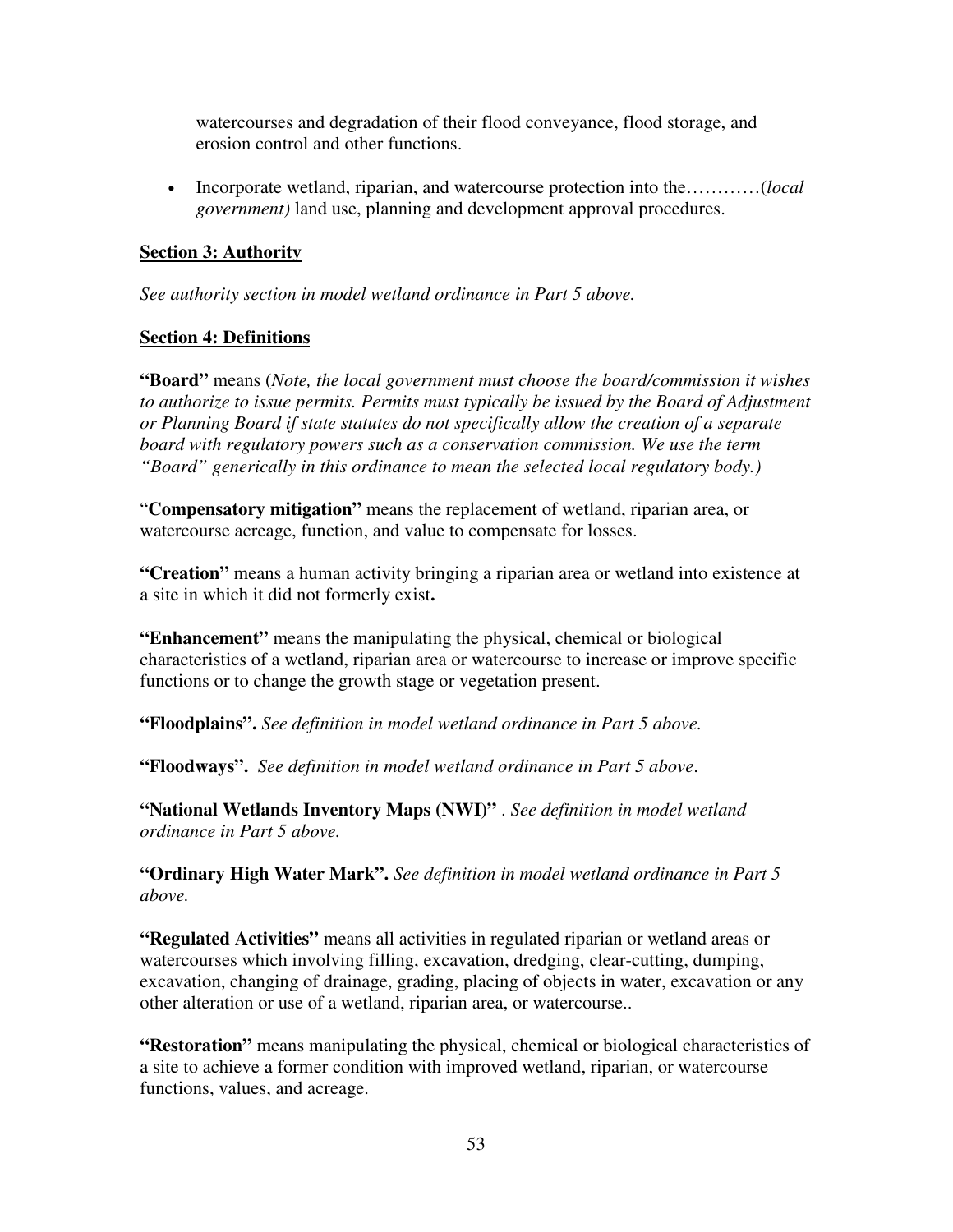watercourses and degradation of their flood conveyance, flood storage, and erosion control and other functions.

• Incorporate wetland, riparian, and watercourse protection into the…………(*local government)* land use, planning and development approval procedures.

# **Section 3: Authority**

*See authority section in model wetland ordinance in Part 5 above.* 

# **Section 4: Definitions**

**"Board"** means (*Note, the local government must choose the board/commission it wishes to authorize to issue permits. Permits must typically be issued by the Board of Adjustment or Planning Board if state statutes do not specifically allow the creation of a separate board with regulatory powers such as a conservation commission. We use the term "Board" generically in this ordinance to mean the selected local regulatory body.)* 

"**Compensatory mitigation"** means the replacement of wetland, riparian area, or watercourse acreage, function, and value to compensate for losses.

**"Creation"** means a human activity bringing a riparian area or wetland into existence at a site in which it did not formerly exist**.** 

**"Enhancement"** means the manipulating the physical, chemical or biological characteristics of a wetland, riparian area or watercourse to increase or improve specific functions or to change the growth stage or vegetation present.

**"Floodplains".** *See definition in model wetland ordinance in Part 5 above.* 

**"Floodways".** *See definition in model wetland ordinance in Part 5 above*.

**"National Wetlands Inventory Maps (NWI)"** . *See definition in model wetland ordinance in Part 5 above.* 

**"Ordinary High Water Mark".** *See definition in model wetland ordinance in Part 5 above.* 

**"Regulated Activities"** means all activities in regulated riparian or wetland areas or watercourses which involving filling, excavation, dredging, clear-cutting, dumping, excavation, changing of drainage, grading, placing of objects in water, excavation or any other alteration or use of a wetland, riparian area, or watercourse..

**"Restoration"** means manipulating the physical, chemical or biological characteristics of a site to achieve a former condition with improved wetland, riparian, or watercourse functions, values, and acreage.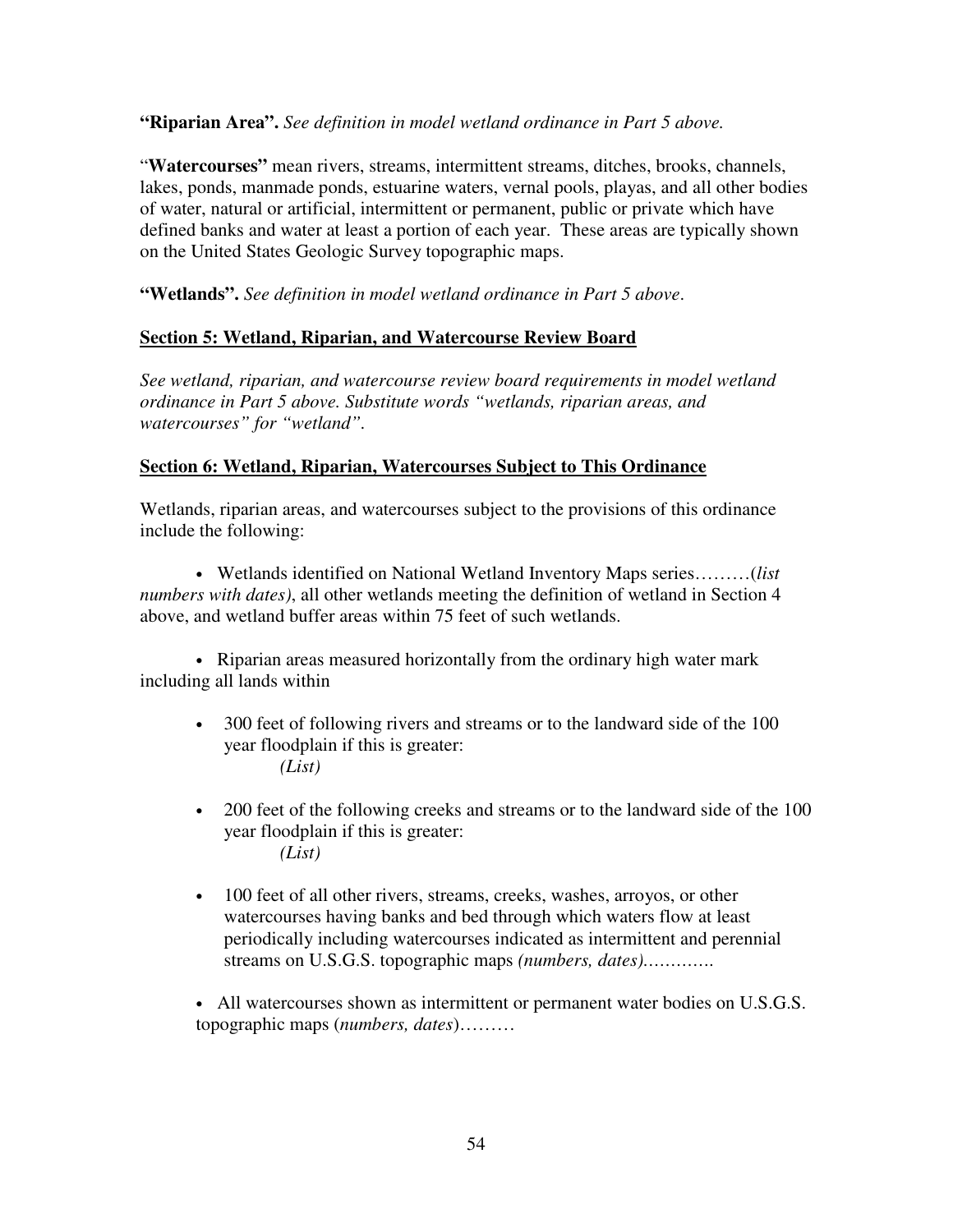**"Riparian Area".** *See definition in model wetland ordinance in Part 5 above.* 

"**Watercourses"** mean rivers, streams, intermittent streams, ditches, brooks, channels, lakes, ponds, manmade ponds, estuarine waters, vernal pools, playas, and all other bodies of water, natural or artificial, intermittent or permanent, public or private which have defined banks and water at least a portion of each year. These areas are typically shown on the United States Geologic Survey topographic maps.

**"Wetlands".** *See definition in model wetland ordinance in Part 5 above*.

## **Section 5: Wetland, Riparian, and Watercourse Review Board**

*See wetland, riparian, and watercourse review board requirements in model wetland ordinance in Part 5 above. Substitute words "wetlands, riparian areas, and watercourses" for "wetland".* 

#### **Section 6: Wetland, Riparian, Watercourses Subject to This Ordinance**

Wetlands, riparian areas, and watercourses subject to the provisions of this ordinance include the following:

• Wetlands identified on National Wetland Inventory Maps series………(*list numbers with dates)*, all other wetlands meeting the definition of wetland in Section 4 above, and wetland buffer areas within 75 feet of such wetlands.

• Riparian areas measured horizontally from the ordinary high water mark including all lands within

- 300 feet of following rivers and streams or to the landward side of the 100 year floodplain if this is greater: *(List)*
- 200 feet of the following creeks and streams or to the landward side of the 100 year floodplain if this is greater: *(List)*
- 100 feet of all other rivers, streams, creeks, washes, arroyos, or other watercourses having banks and bed through which waters flow at least periodically including watercourses indicated as intermittent and perennial streams on U.S.G.S. topographic maps *(numbers, dates)………….*

• All watercourses shown as intermittent or permanent water bodies on U.S.G.S. topographic maps (*numbers, dates*)………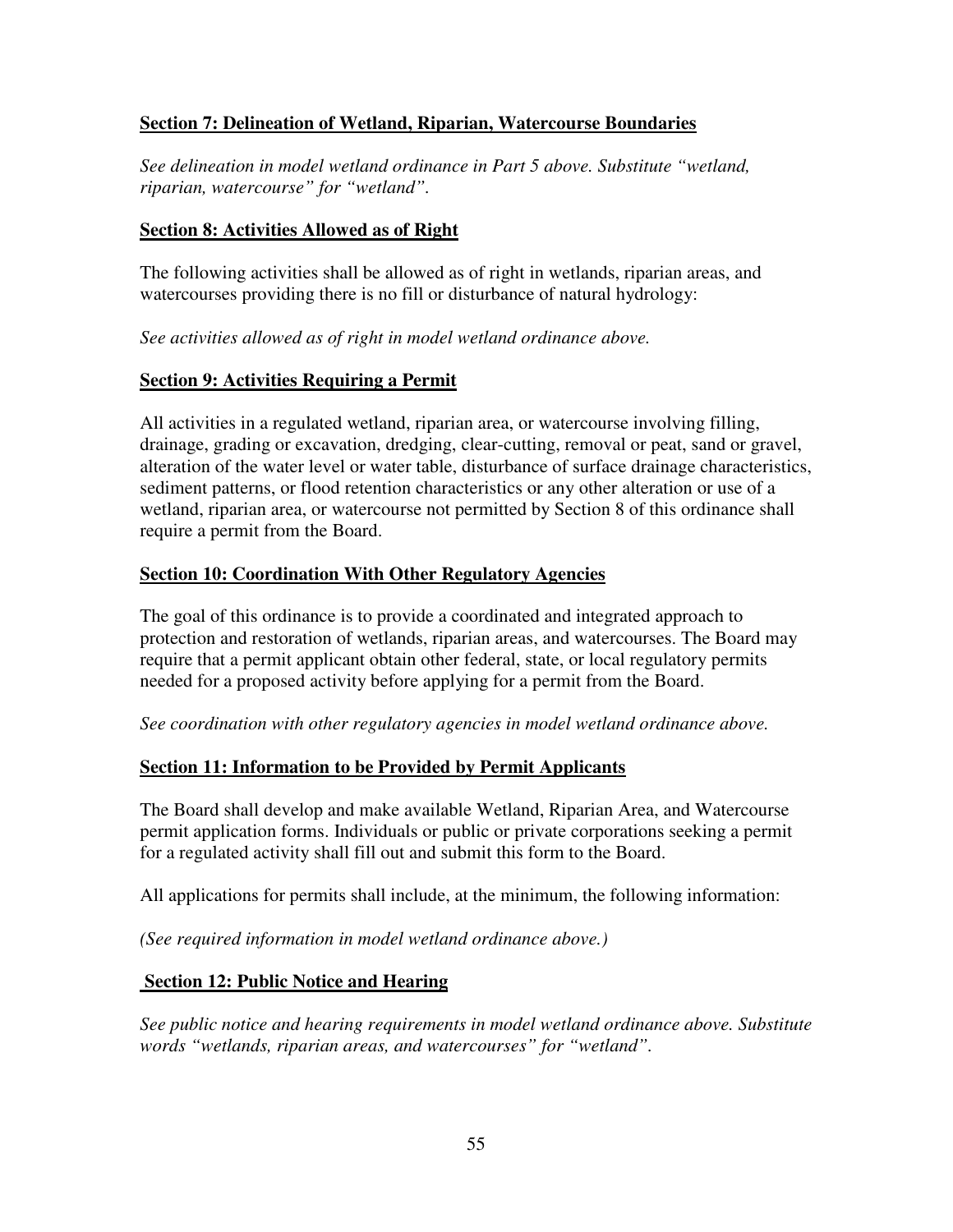## **Section 7: Delineation of Wetland, Riparian, Watercourse Boundaries**

*See delineation in model wetland ordinance in Part 5 above. Substitute "wetland, riparian, watercourse" for "wetland".* 

#### **Section 8: Activities Allowed as of Right**

The following activities shall be allowed as of right in wetlands, riparian areas, and watercourses providing there is no fill or disturbance of natural hydrology:

*See activities allowed as of right in model wetland ordinance above.* 

#### **Section 9: Activities Requiring a Permit**

All activities in a regulated wetland, riparian area, or watercourse involving filling, drainage, grading or excavation, dredging, clear-cutting, removal or peat, sand or gravel, alteration of the water level or water table, disturbance of surface drainage characteristics, sediment patterns, or flood retention characteristics or any other alteration or use of a wetland, riparian area, or watercourse not permitted by Section 8 of this ordinance shall require a permit from the Board.

#### **Section 10: Coordination With Other Regulatory Agencies**

The goal of this ordinance is to provide a coordinated and integrated approach to protection and restoration of wetlands, riparian areas, and watercourses. The Board may require that a permit applicant obtain other federal, state, or local regulatory permits needed for a proposed activity before applying for a permit from the Board.

*See coordination with other regulatory agencies in model wetland ordinance above.* 

#### **Section 11: Information to be Provided by Permit Applicants**

The Board shall develop and make available Wetland, Riparian Area, and Watercourse permit application forms. Individuals or public or private corporations seeking a permit for a regulated activity shall fill out and submit this form to the Board.

All applications for permits shall include, at the minimum, the following information:

*(See required information in model wetland ordinance above.)* 

#### **Section 12: Public Notice and Hearing**

*See public notice and hearing requirements in model wetland ordinance above. Substitute words "wetlands, riparian areas, and watercourses" for "wetland".*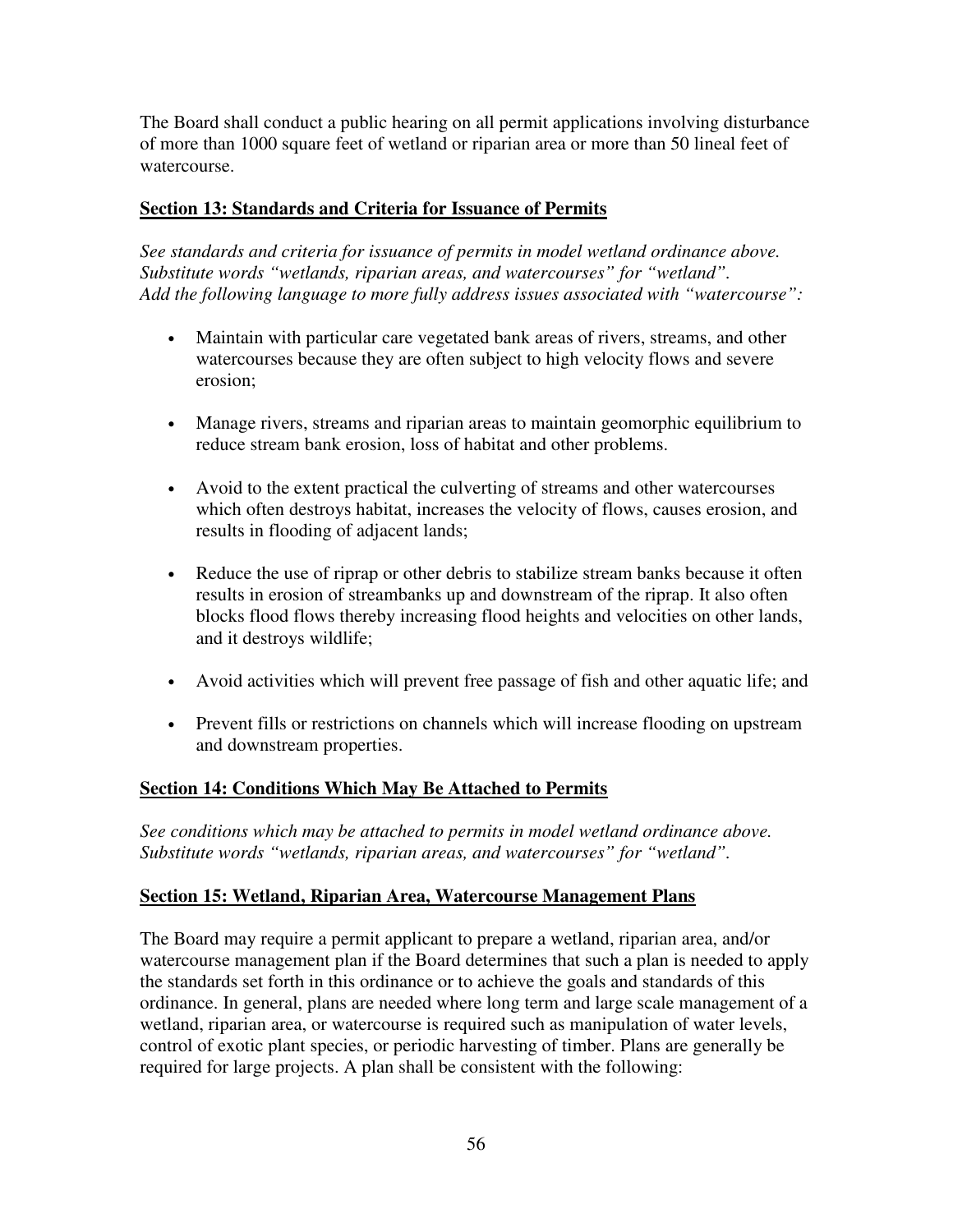The Board shall conduct a public hearing on all permit applications involving disturbance of more than 1000 square feet of wetland or riparian area or more than 50 lineal feet of watercourse.

# **Section 13: Standards and Criteria for Issuance of Permits**

*See standards and criteria for issuance of permits in model wetland ordinance above. Substitute words "wetlands, riparian areas, and watercourses" for "wetland". Add the following language to more fully address issues associated with "watercourse":* 

- Maintain with particular care vegetated bank areas of rivers, streams, and other watercourses because they are often subject to high velocity flows and severe erosion;
- Manage rivers, streams and riparian areas to maintain geomorphic equilibrium to reduce stream bank erosion, loss of habitat and other problems.
- Avoid to the extent practical the culverting of streams and other watercourses which often destroys habitat, increases the velocity of flows, causes erosion, and results in flooding of adjacent lands;
- Reduce the use of riprap or other debris to stabilize stream banks because it often results in erosion of streambanks up and downstream of the riprap. It also often blocks flood flows thereby increasing flood heights and velocities on other lands, and it destroys wildlife;
- Avoid activities which will prevent free passage of fish and other aquatic life; and
- Prevent fills or restrictions on channels which will increase flooding on upstream and downstream properties.

## **Section 14: Conditions Which May Be Attached to Permits**

*See conditions which may be attached to permits in model wetland ordinance above. Substitute words "wetlands, riparian areas, and watercourses" for "wetland".* 

## **Section 15: Wetland, Riparian Area, Watercourse Management Plans**

The Board may require a permit applicant to prepare a wetland, riparian area, and/or watercourse management plan if the Board determines that such a plan is needed to apply the standards set forth in this ordinance or to achieve the goals and standards of this ordinance. In general, plans are needed where long term and large scale management of a wetland, riparian area, or watercourse is required such as manipulation of water levels, control of exotic plant species, or periodic harvesting of timber. Plans are generally be required for large projects. A plan shall be consistent with the following: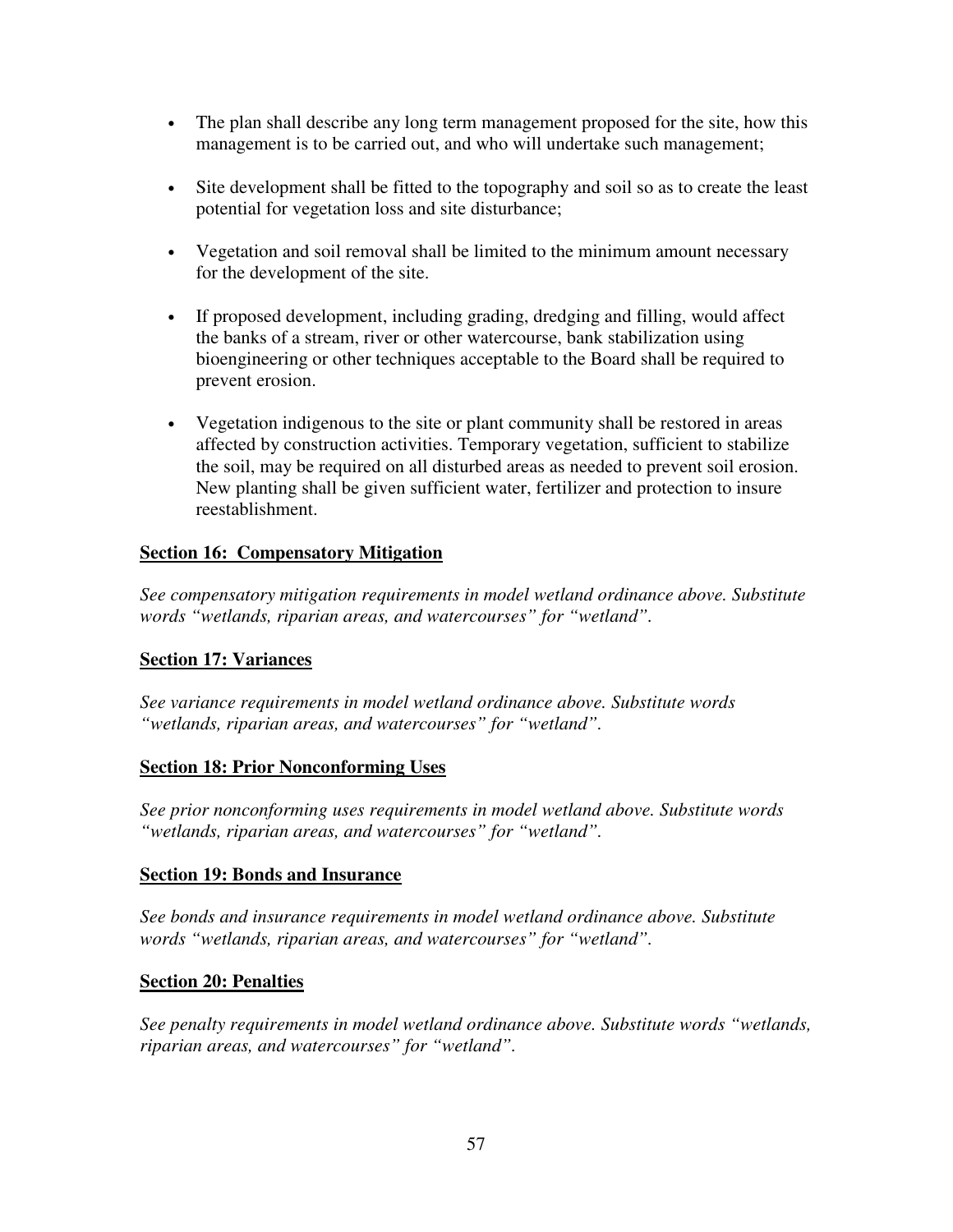- The plan shall describe any long term management proposed for the site, how this management is to be carried out, and who will undertake such management;
- Site development shall be fitted to the topography and soil so as to create the least potential for vegetation loss and site disturbance;
- Vegetation and soil removal shall be limited to the minimum amount necessary for the development of the site.
- If proposed development, including grading, dredging and filling, would affect the banks of a stream, river or other watercourse, bank stabilization using bioengineering or other techniques acceptable to the Board shall be required to prevent erosion.
- Vegetation indigenous to the site or plant community shall be restored in areas affected by construction activities. Temporary vegetation, sufficient to stabilize the soil, may be required on all disturbed areas as needed to prevent soil erosion. New planting shall be given sufficient water, fertilizer and protection to insure reestablishment.

## **Section 16: Compensatory Mitigation**

*See compensatory mitigation requirements in model wetland ordinance above. Substitute words "wetlands, riparian areas, and watercourses" for "wetland".* 

## **Section 17: Variances**

*See variance requirements in model wetland ordinance above. Substitute words "wetlands, riparian areas, and watercourses" for "wetland".* 

## **Section 18: Prior Nonconforming Uses**

*See prior nonconforming uses requirements in model wetland above. Substitute words "wetlands, riparian areas, and watercourses" for "wetland".* 

## **Section 19: Bonds and Insurance**

*See bonds and insurance requirements in model wetland ordinance above. Substitute words "wetlands, riparian areas, and watercourses" for "wetland".* 

## **Section 20: Penalties**

*See penalty requirements in model wetland ordinance above. Substitute words "wetlands, riparian areas, and watercourses" for "wetland".*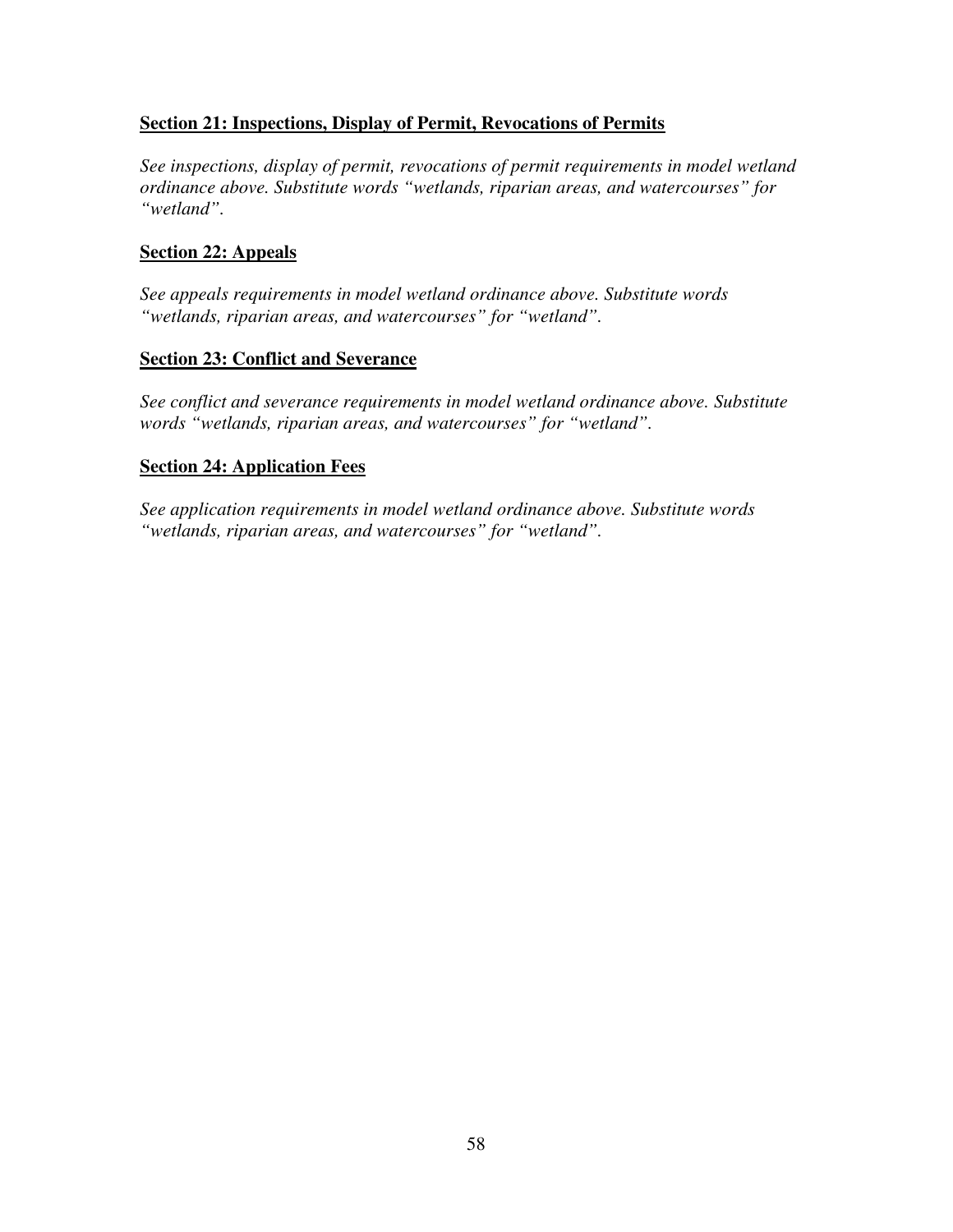## **Section 21: Inspections, Display of Permit, Revocations of Permits**

*See inspections, display of permit, revocations of permit requirements in model wetland ordinance above. Substitute words "wetlands, riparian areas, and watercourses" for "wetland".* 

#### **Section 22: Appeals**

*See appeals requirements in model wetland ordinance above. Substitute words "wetlands, riparian areas, and watercourses" for "wetland".* 

#### **Section 23: Conflict and Severance**

*See conflict and severance requirements in model wetland ordinance above. Substitute words "wetlands, riparian areas, and watercourses" for "wetland".* 

#### **Section 24: Application Fees**

*See application requirements in model wetland ordinance above. Substitute words "wetlands, riparian areas, and watercourses" for "wetland".*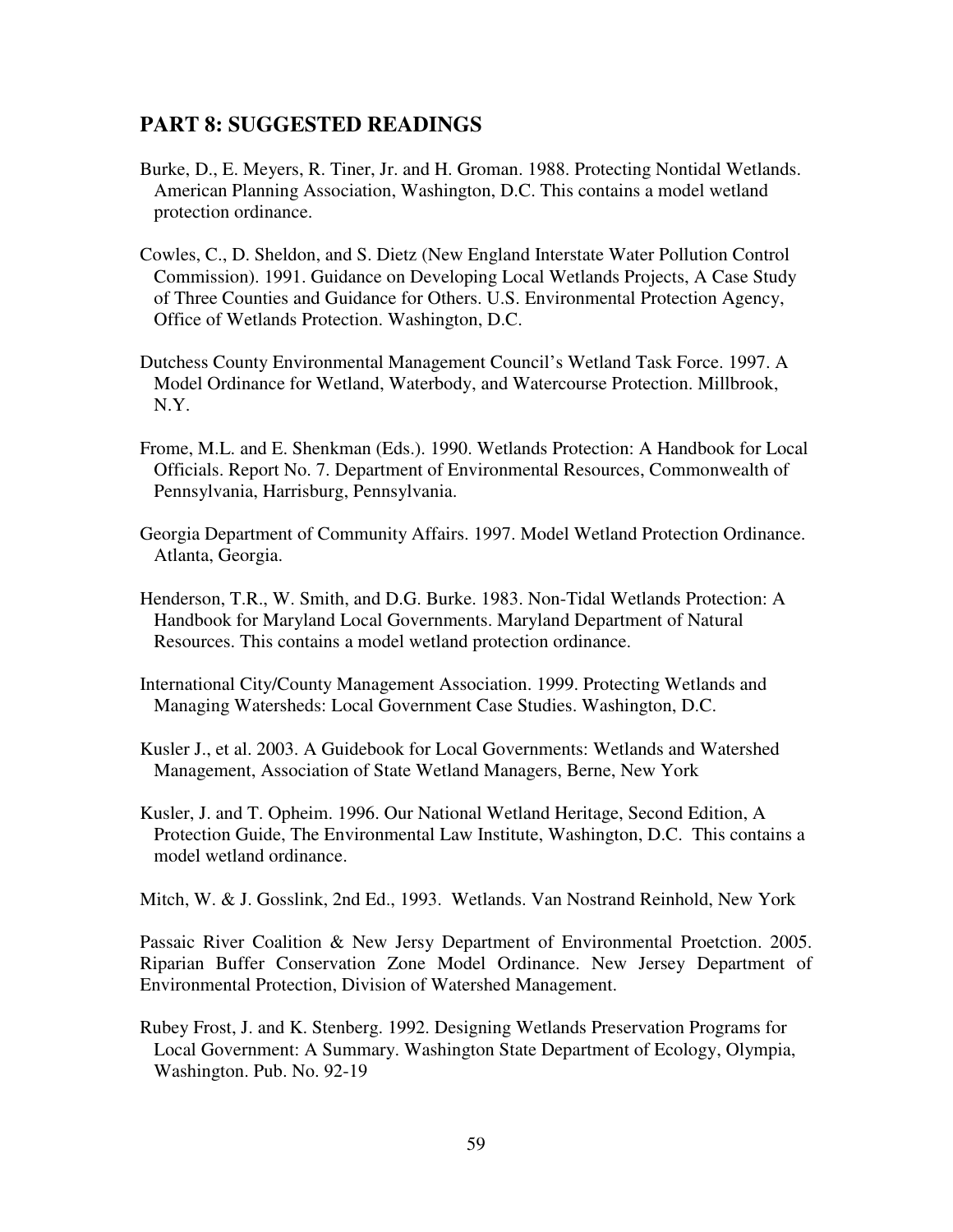# **PART 8: SUGGESTED READINGS**

- Burke, D., E. Meyers, R. Tiner, Jr. and H. Groman. 1988. Protecting Nontidal Wetlands. American Planning Association, Washington, D.C. This contains a model wetland protection ordinance.
- Cowles, C., D. Sheldon, and S. Dietz (New England Interstate Water Pollution Control Commission). 1991. Guidance on Developing Local Wetlands Projects, A Case Study of Three Counties and Guidance for Others. U.S. Environmental Protection Agency, Office of Wetlands Protection. Washington, D.C.
- Dutchess County Environmental Management Council's Wetland Task Force. 1997. A Model Ordinance for Wetland, Waterbody, and Watercourse Protection. Millbrook, N.Y.
- Frome, M.L. and E. Shenkman (Eds.). 1990. Wetlands Protection: A Handbook for Local Officials. Report No. 7. Department of Environmental Resources, Commonwealth of Pennsylvania, Harrisburg, Pennsylvania.
- Georgia Department of Community Affairs. 1997. Model Wetland Protection Ordinance. Atlanta, Georgia.
- Henderson, T.R., W. Smith, and D.G. Burke. 1983. Non-Tidal Wetlands Protection: A Handbook for Maryland Local Governments. Maryland Department of Natural Resources. This contains a model wetland protection ordinance.
- International City/County Management Association. 1999. Protecting Wetlands and Managing Watersheds: Local Government Case Studies. Washington, D.C.
- Kusler J., et al. 2003. A Guidebook for Local Governments: Wetlands and Watershed Management, Association of State Wetland Managers, Berne, New York
- Kusler, J. and T. Opheim. 1996. Our National Wetland Heritage, Second Edition, A Protection Guide, The Environmental Law Institute, Washington, D.C. This contains a model wetland ordinance.

Mitch, W. & J. Gosslink, 2nd Ed., 1993. Wetlands. Van Nostrand Reinhold, New York

Passaic River Coalition & New Jersy Department of Environmental Proetction. 2005. Riparian Buffer Conservation Zone Model Ordinance. New Jersey Department of Environmental Protection, Division of Watershed Management.

Rubey Frost, J. and K. Stenberg. 1992. Designing Wetlands Preservation Programs for Local Government: A Summary. Washington State Department of Ecology, Olympia, Washington. Pub. No. 92-19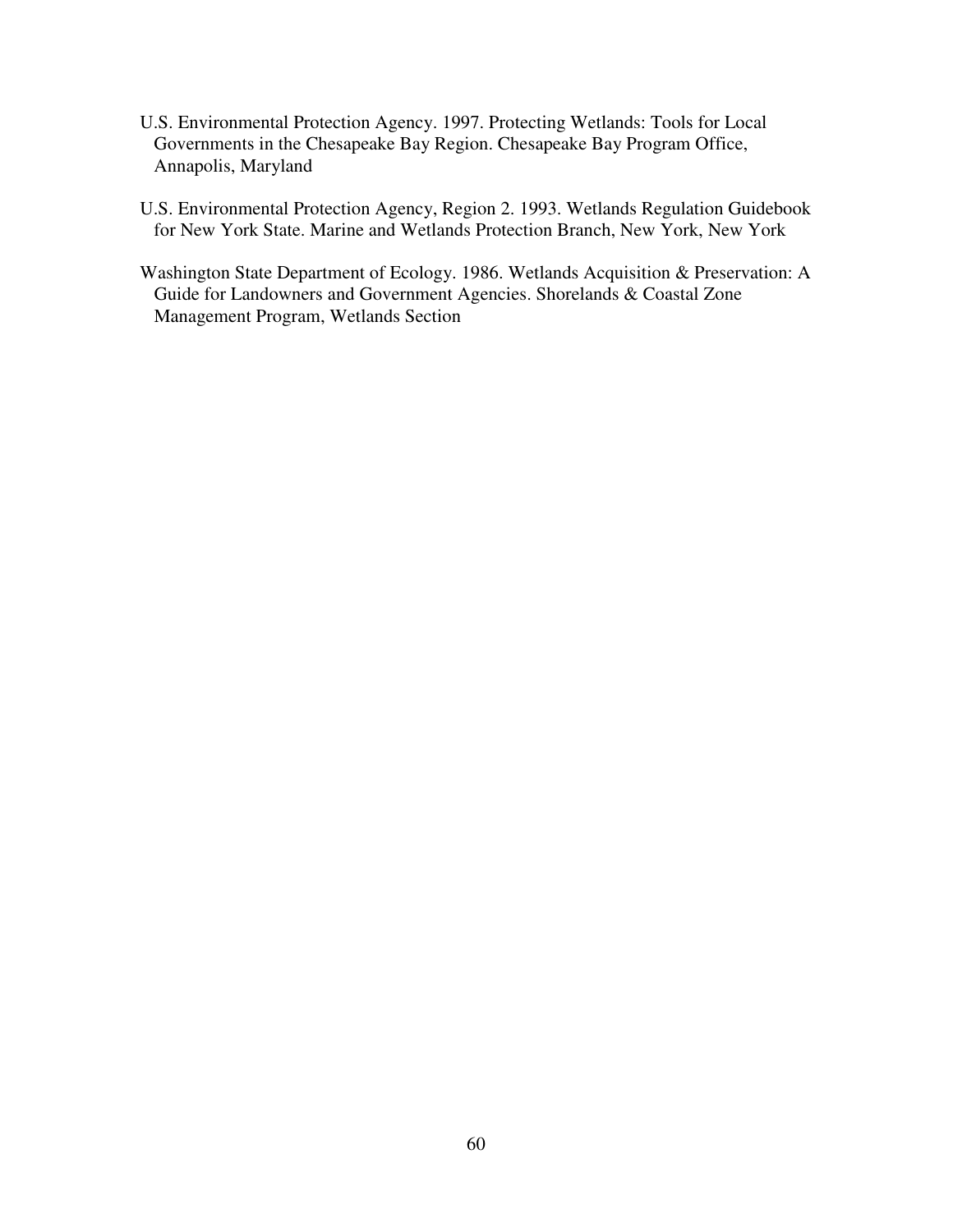- U.S. Environmental Protection Agency. 1997. Protecting Wetlands: Tools for Local Governments in the Chesapeake Bay Region. Chesapeake Bay Program Office, Annapolis, Maryland
- U.S. Environmental Protection Agency, Region 2. 1993. Wetlands Regulation Guidebook for New York State. Marine and Wetlands Protection Branch, New York, New York
- Washington State Department of Ecology. 1986. Wetlands Acquisition & Preservation: A Guide for Landowners and Government Agencies. Shorelands & Coastal Zone Management Program, Wetlands Section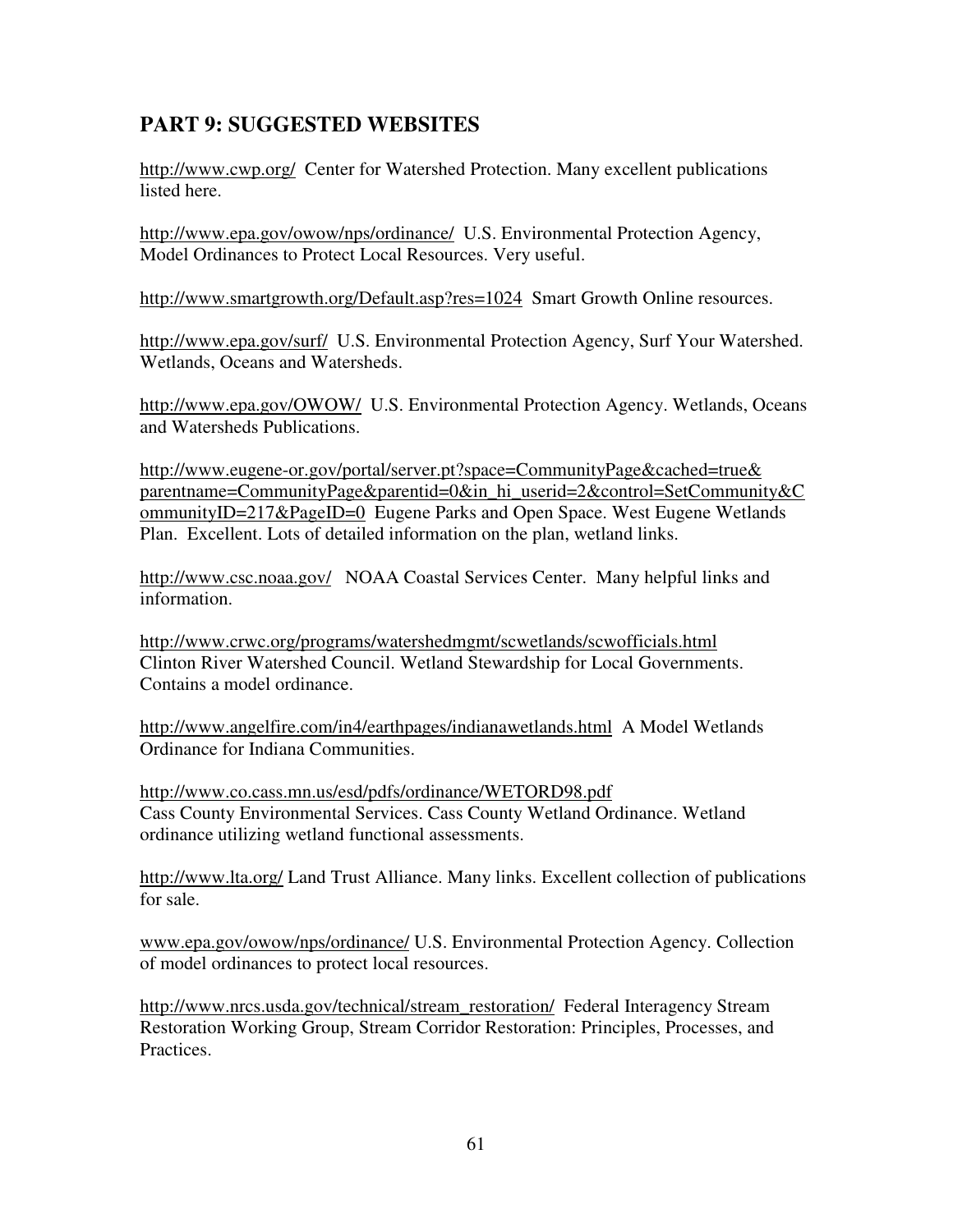# **PART 9: SUGGESTED WEBSITES**

http://www.cwp.org/ Center for Watershed Protection. Many excellent publications listed here.

http://www.epa.gov/owow/nps/ordinance/ U.S. Environmental Protection Agency, Model Ordinances to Protect Local Resources. Very useful.

http://www.smartgrowth.org/Default.asp?res=1024 Smart Growth Online resources.

http://www.epa.gov/surf/ U.S. Environmental Protection Agency, Surf Your Watershed. Wetlands, Oceans and Watersheds.

http://www.epa.gov/OWOW/ U.S. Environmental Protection Agency. Wetlands, Oceans and Watersheds Publications.

http://www.eugene-or.gov/portal/server.pt?space=CommunityPage&cached=true& parentname=CommunityPage&parentid=0&in\_hi\_userid=2&control=SetCommunity&C ommunityID=217&PageID=0 Eugene Parks and Open Space. West Eugene Wetlands Plan. Excellent. Lots of detailed information on the plan, wetland links.

http://www.csc.noaa.gov/ NOAA Coastal Services Center. Many helpful links and information.

http://www.crwc.org/programs/watershedmgmt/scwetlands/scwofficials.html Clinton River Watershed Council. Wetland Stewardship for Local Governments. Contains a model ordinance.

http://www.angelfire.com/in4/earthpages/indianawetlands.html A Model Wetlands Ordinance for Indiana Communities.

http://www.co.cass.mn.us/esd/pdfs/ordinance/WETORD98.pdf Cass County Environmental Services. Cass County Wetland Ordinance. Wetland ordinance utilizing wetland functional assessments.

http://www.lta.org/ Land Trust Alliance. Many links. Excellent collection of publications for sale.

www.epa.gov/owow/nps/ordinance/ U.S. Environmental Protection Agency. Collection of model ordinances to protect local resources.

http://www.nrcs.usda.gov/technical/stream\_restoration/ Federal Interagency Stream Restoration Working Group, Stream Corridor Restoration: Principles, Processes, and Practices.